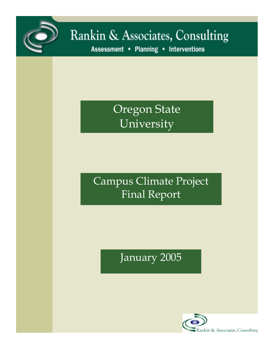

# Rankin & Associates, Consulting

Assessment . Planning . Interventions

Oregon State University

Campus Climate Project Final Report

January 2005

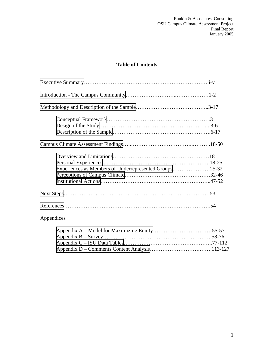# **Table of Contents**

| Experiences as Members of Underrepresented Groups25-32 |  |
|--------------------------------------------------------|--|
|                                                        |  |
|                                                        |  |
|                                                        |  |
|                                                        |  |
| Appendices                                             |  |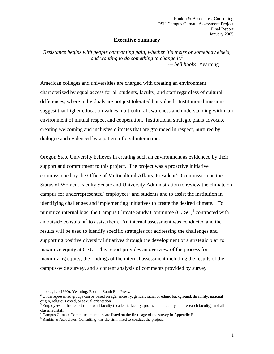#### **Executive Summary**

<span id="page-2-0"></span>*Resistance begins with people confronting pain, whether it's theirs or somebody else's, and wanting to do something to change it.*<sup>1</sup>  *--- bell hooks,* Yearning

American colleges and universities are charged with creating an environment characterized by equal access for all students, faculty, and staff regardless of cultural differences, where individuals are not just tolerated but valued. Institutional missions suggest that higher education values multicultural awareness and understanding within an environment of mutual respect and cooperation. Institutional strategic plans advocate creating welcoming and inclusive climates that are grounded in respect, nurtured by dialogue and evidenced by a pattern of civil interaction.

Oregon State University believes in creating such an environment as evidenced by their support and commitment to this project. The project was a proactive initiative commissioned by the Office of Multicultural Affairs, President's Commission on the Status of Women, Faculty Senate and University Administration to review the climate on campus for underrepresented<sup>2</sup> employees<sup>3</sup> and students and to assist the institution in identifying challenges and implementing initiatives to create the desired climate. To minimize internal bias, the Campus Climate Study Committee  $(CCSC)^4$  contracted with an outside consultant<sup>5</sup> to assist them. An internal assessment was conducted and the results will be used to identify specific strategies for addressing the challenges and supporting positive diversity initiatives through the development of a strategic plan to maximize equity at OSU. This report provides an overview of the process for maximizing equity, the findings of the internal assessment including the results of the campus-wide survey, and a content analysis of comments provided by survey

<sup>&</sup>lt;sup>1</sup> hooks, b. (1990), Yearning. Boston: South End Press.

 $2<sup>2</sup>$  Underrepresented groups can be based on age, ancestry, gender, racial or ethnic background, disability, national origin, religious creed, or sexual orientation.

<sup>&</sup>lt;sup>3</sup> Employees in this report refer to all faculty (academic faculty, professional faculty, and research faculty), and all classified staff.

<sup>&</sup>lt;sup>4</sup> Campus Climate Committee members are listed on the first page of the survey in Appendix B.

<sup>&</sup>lt;sup>5</sup> Rankin & Associates, Consulting was the firm hired to conduct the project.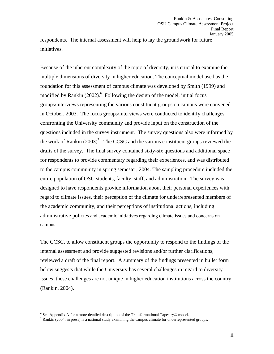respondents. The internal assessment will help to lay the groundwork for future initiatives.

Because of the inherent complexity of the topic of diversity, it is crucial to examine the multiple dimensions of diversity in higher education. The conceptual model used as the foundation for this assessment of campus climate was developed by Smith (1999) and modified by Rankin  $(2002)$ .<sup>6</sup> Following the design of the model, initial focus groups/interviews representing the various constituent groups on campus were convened in October, 2003. The focus groups/interviews were conducted to identify challenges confronting the University community and provide input on the construction of the questions included in the survey instrument. The survey questions also were informed by the work of Rankin  $(2003)^7$ . The CCSC and the various constituent groups reviewed the drafts of the survey. The final survey contained sixty-six questions and additional space for respondents to provide commentary regarding their experiences, and was distributed to the campus community in spring semester, 2004. The sampling procedure included the entire population of OSU students, faculty, staff, and administration. The survey was designed to have respondents provide information about their personal experiences with regard to climate issues, their perception of the climate for underrepresented members of the academic community, and their perceptions of institutional actions, including administrative policies and academic initiatives regarding climate issues and concerns on campus.

The CCSC, to allow constituent groups the opportunity to respond to the findings of the internal assessment and provide suggested revisions and/or further clarifications, reviewed a draft of the final report. A summary of the findings presented in bullet form below suggests that while the University has several challenges in regard to diversity issues, these challenges are not unique in higher education institutions across the country (Rankin, 2004).

Expediance Appendix A for a more detailed description of the Transformational Tapestry© model.<br><sup>7</sup> Benkin (2004, in press) is a pational study avamining the samples climate for underspacean

 $\frac{7}{7}$  Rankin (2004, in press) is a national study examining the campus climate for underrepresented groups.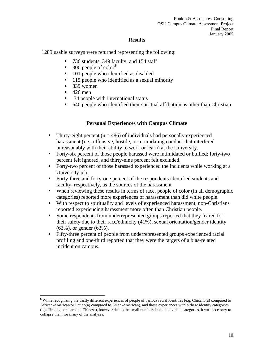#### **Results**

1289 usable surveys were returned representing the following:

- 736 students, 349 faculty, and 154 staff
- 300 people of color<sup>8</sup>
- 101 people who identified as disabled
- 115 people who identified as a sexual minority
- $\blacksquare$  839 women
- $\blacksquare$  426 men

 $\overline{a}$ 

- 34 people with international status
- 640 people who identified their spiritual affiliation as other than Christian

#### **Personal Experiences with Campus Climate**

- Thirty-eight percent ( $n = 486$ ) of individuals had personally experienced harassment (i.e., offensive, hostile, or intimidating conduct that interfered unreasonably with their ability to work or learn) at the University.
- Forty-six percent of those people harassed were intimidated or bullied; forty-two percent felt ignored, and thirty-nine percent felt excluded.
- Forty-two percent of those harassed experienced the incidents while working at a University job.
- Forty-three and forty-one percent of the respondents identified students and faculty, respectively, as the sources of the harassment
- When reviewing these results in terms of race, people of color (in all demographic categories) reported more experiences of harassment than did white people.
- With respect to spirituality and levels of experienced harassment, non-Christians reported experiencing harassment more often than Christian people.
- Some respondents from underrepresented groups reported that they feared for their safety due to their race/ethnicity (41%), sexual orientation/gender identity (63%), or gender (63%).
- Fifty-three percent of people from underrepresented groups experienced racial profiling and one-third reported that they were the targets of a bias-related incident on campus.

<sup>&</sup>lt;sup>8</sup> While recognizing the vastly different experiences of people of various racial identities (e.g. Chicano(a) compared to African-American or Latino(a) compared to Asian-American), and those experiences within these identity categories (e.g. Hmong compared to Chinese), however due to the small numbers in the individual categories, it was necessary to collapse them for many of the analyses.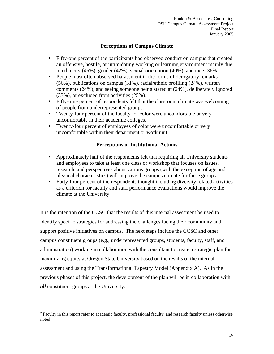## **Perceptions of Campus Climate**

- Fifty-one percent of the participants had observed conduct on campus that created an offensive, hostile, or intimidating working or learning environment mainly due to ethnicity (45%), gender (42%), sexual orientation (40%), and race (36%).
- People most often observed harassment in the forms of derogatory remarks (56%), publications on campus (31%), racial/ethnic profiling (24%), written comments (24%), and seeing someone being stared at (24%), deliberately ignored (33%), or excluded from activities (25%).
- Fifty-nine percent of respondents felt that the classroom climate was welcoming of people from underrepresented groups.
- Twenty-four percent of the faculty<sup>9</sup> of color were uncomfortable or very uncomfortable in their academic colleges.
- Twenty-four percent of employees of color were uncomfortable or very uncomfortable within their department or work unit.

## **Perceptions of Institutional Actions**

- Approximately half of the respondents felt that requiring all University students and employees to take at least one class or workshop that focuses on issues, research, and perspectives about various groups (with the exception of age and physical characteristics) will improve the campus climate for these groups.
- Forty-four percent of the respondents thought including diversity related activities as a criterion for faculty and staff performance evaluations would improve the climate at the University.

It is the intention of the CCSC that the results of this internal assessment be used to identify specific strategies for addressing the challenges facing their community and support positive initiatives on campus. The next steps include the CCSC and other campus constituent groups (e.g., underrepresented groups, students, faculty, staff, and administration) working in collaboration with the consultant to create a strategic plan for maximizing equity at Oregon State University based on the results of the internal assessment and using the Transformational Tapestry Model (Appendix A). As in the previous phases of this project, the development of the plan will be in collaboration with *all* constituent groups at the University.

<sup>&</sup>lt;sup>9</sup> Faculty in this report refer to academic faculty, professional faculty, and research faculty unless otherwise noted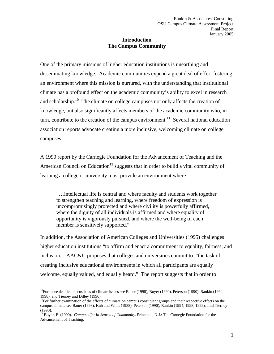## **Introduction The Campus Community**

<span id="page-6-0"></span>One of the primary missions of higher education institutions is unearthing and disseminating knowledge. Academic communities expend a great deal of effort fostering an environment where this mission is nurtured, with the understanding that institutional climate has a profound effect on the academic community's ability to excel in research and scholarship.<sup>10</sup> The climate on college campuses not only affects the creation of knowledge, but also significantly affects members of the academic community who, in turn, contribute to the creation of the campus environment.<sup>11</sup> Several national education association reports advocate creating a more inclusive, welcoming climate on college campuses.

A 1990 report by the Carnegie Foundation for the Advancement of Teaching and the American Council on Education<sup>12</sup> suggests that in order to build a vital community of learning a college or university must provide an environment where

"…intellectual life is central and where faculty and students work together to strengthen teaching and learning, where freedom of expression is uncompromisingly protected and where civility is powerfully affirmed, where the dignity of all individuals is affirmed and where equality of opportunity is vigorously pursued, and where the well-being of each member is sensitively supported."

In addition, the Association of American Colleges and Universities (1995) challenges higher education institutions "to affirm and enact a commitment to equality, fairness, and inclusion." AAC&U proposes that colleges and universities commit to "the task of creating inclusive educational environments in which all participants are equally welcome, equally valued, and equally heard." The report suggests that in order to

 $\overline{a}$  $10$ For more detailed discussions of climate issues see Bauer (1998), Boyer (1990), Peterson (1990), Rankin (1994, 1998), and Tierney and Dilley (1996).

 $11$ For further examination of the effects of climate on campus constituent groups and their respective effects on the campus climate see Bauer (1998), Kuh and Whitt (1988), Peterson (1990), Rankin (1994, 1998, 1999), amd Tierney (1990).

<sup>&</sup>lt;sup>12</sup> Boyer, E. (1990). *Campus life: In Search of Community*. Princeton, N.J.: The Carnegie Foundation for the Advancement of Teaching.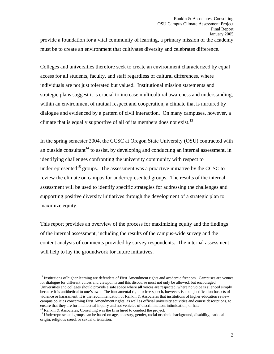provide a foundation for a vital community of learning, a primary mission of the academy must be to create an environment that cultivates diversity and celebrates difference.

Colleges and universities therefore seek to create an environment characterized by equal access for all students, faculty, and staff regardless of cultural differences, where individuals are not just tolerated but valued. Institutional mission statements and strategic plans suggest it is crucial to increase multicultural awareness and understanding, within an environment of mutual respect and cooperation, a climate that is nurtured by dialogue and evidenced by a pattern of civil interaction. On many campuses, however, a climate that is equally supportive of all of its members does not exist.<sup>13</sup>

In the spring semester 2004, the CCSC at Oregon State University (OSU) contracted with an outside consultant<sup>14</sup> to assist, by developing and conducting an internal assessment, in identifying challenges confronting the university community with respect to underrepresented<sup>15</sup> groups. The assessment was a proactive initiative by the CCSC to review the climate on campus for underrepresented groups. The results of the internal assessment will be used to identify specific strategies for addressing the challenges and supporting positive diversity initiatives through the development of a strategic plan to maximize equity.

This report provides an overview of the process for maximizing equity and the findings of the internal assessment, including the results of the campus-wide survey and the content analysis of comments provided by survey respondents. The internal assessment will help to lay the groundwork for future initiatives.

<sup>&</sup>lt;sup>13</sup> Institutions of higher learning are defenders of First Amendment rights and academic freedom. Campuses are venues for dialogue for different voices and viewpoints and this discourse must not only be allowed, but encouraged. Universities and colleges should provide a safe space where **all** voices are respected, where no voice is silenced simply because it is antithetical to one's own. The fundamental right to free speech, however, is not a justification for acts of violence or harassment. It is the recommendation of Rankin & Associates that institutions of higher education review campus policies concerning First Amendment rights, as well as official university activities and course descriptions, to ensure that they are for intellectual inquiry and not vehicles of discrimination, intimidation, or hate. <sup>14</sup> Rankin & Associates, Consulting was the firm hired to conduct the project.

<sup>&</sup>lt;sup>15</sup> Underrepresented groups can be based on age, ancestry, gender, racial or ethnic background, disability, national origin, religious creed, or sexual orientation.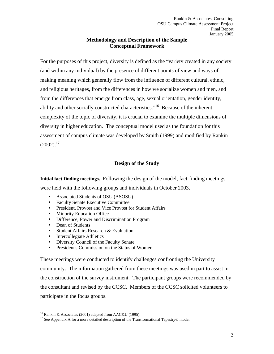## **Methodology and Description of the Sample Conceptual Framework**

<span id="page-8-0"></span>For the purposes of this project, diversity is defined as the "variety created in any society (and within any individual) by the presence of different points of view and ways of making meaning which generally flow from the influence of different cultural, ethnic, and religious heritages, from the differences in how we socialize women and men, and from the differences that emerge from class, age, sexual orientation, gender identity, ability and other socially constructed characteristics."16 Because of the inherent complexity of the topic of diversity, it is crucial to examine the multiple dimensions of diversity in higher education. The conceptual model used as the foundation for this assessment of campus climate was developed by Smith (1999) and modified by Rankin  $(2002).^{17}$ 

## **Design of the Study**

**Initial fact-finding meetings.** Following the design of the model, fact-finding meetings were held with the following groups and individuals in October 2003.

- Associated Students of OSU (ASOSU)
- Faculty Senate Executive Committee
- **President, Provost and Vice Provost for Student Affairs**
- **Minority Education Office**
- Difference, Power and Discrimination Program
- Dean of Students

 $\overline{a}$ 

- **Student Affairs Research & Evaluation**
- **Intercollegiate Athletics**
- **Diversity Council of the Faculty Senate**
- **President's Commission on the Status of Women**

These meetings were conducted to identify challenges confronting the University community. The information gathered from these meetings was used in part to assist in the construction of the survey instrument. The participant groups were recommended by the consultant and revised by the CCSC. Members of the CCSC solicited volunteers to participate in the focus groups.

<sup>&</sup>lt;sup>16</sup> Rankin & Associates (2001) adapted from AAC&U (1995).

<sup>&</sup>lt;sup>17</sup> See Appendix A for a more detailed description of the Transformational Tapestry© model.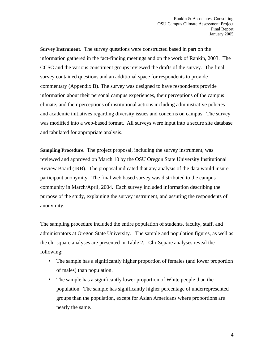**Survey Instrument**. The survey questions were constructed based in part on the information gathered in the fact-finding meetings and on the work of Rankin, 2003. The CCSC and the various constituent groups reviewed the drafts of the survey. The final survey contained questions and an additional space for respondents to provide commentary (Appendix B). The survey was designed to have respondents provide information about their personal campus experiences, their perceptions of the campus climate, and their perceptions of institutional actions including administrative policies and academic initiatives regarding diversity issues and concerns on campus. The survey was modified into a web-based format. All surveys were input into a secure site database and tabulated for appropriate analysis.

**Sampling Procedure.** The project proposal, including the survey instrument, was reviewed and approved on March 10 by the OSU Oregon State University Institutional Review Board (IRB). The proposal indicated that any analysis of the data would insure participant anonymity. The final web based survey was distributed to the campus community in March/April, 2004. Each survey included information describing the purpose of the study, explaining the survey instrument, and assuring the respondents of anonymity.

The sampling procedure included the entire population of students, faculty, staff, and administrators at Oregon State University. The sample and population figures, as well as the chi-square analyses are presented in Table 2. Chi-Square analyses reveal the following:

- The sample has a significantly higher proportion of females (and lower proportion of males) than population.
- The sample has a significantly lower proportion of White people than the population. The sample has significantly higher percentage of underrepresented groups than the population, except for Asian Americans where proportions are nearly the same.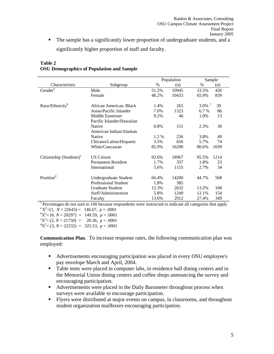The sample has a significantly lower proportion of undergraduate students, and a significantly higher proportion of staff and faculty.

|                                                                                                                      |                           |       | Population |                      | Sample |  |  |
|----------------------------------------------------------------------------------------------------------------------|---------------------------|-------|------------|----------------------|--------|--|--|
| Characteristic                                                                                                       | Subgroup                  | $\%$  | (n)        | $\%$                 | (n)    |  |  |
| Gender <sup>a</sup>                                                                                                  | Male                      | 51.2% | 10945      | 33.5%                | 426    |  |  |
|                                                                                                                      | Female                    | 48.2% | 10433      | 65.9%                | 839    |  |  |
| Race/Ethnicity <sup>b</sup>                                                                                          | African American /Black   | 1.4%  | 265        | $3.0\%$ <sup>1</sup> | 39     |  |  |
|                                                                                                                      | Asian/Pacific Islander    | 7.0%  | 1323       | 6.7 %                | 86     |  |  |
|                                                                                                                      | Middle Easterner          | 0.2%  | 46         | 1.0%                 | 13     |  |  |
|                                                                                                                      | Pacific Islander/Hawaiian |       |            |                      |        |  |  |
|                                                                                                                      | <b>Native</b>             | 0.8%  | 151        | 2.3%                 | 30     |  |  |
|                                                                                                                      | American Indian/Alaskan   |       |            |                      |        |  |  |
|                                                                                                                      | <b>Native</b>             | 1.2 % | 236        | 3.8%                 | 49     |  |  |
|                                                                                                                      | Chicano/Latino/Hispanic   | 3.5%  | 656        | 5.7%                 | 74     |  |  |
|                                                                                                                      | White/Caucasian           | 85.9% | 16290      | 80.6%                | 1039   |  |  |
| Citizenship $(Students)^c$                                                                                           | <b>US Citizen</b>         | 92.6% | 18967      | 95.5%                | 1214   |  |  |
|                                                                                                                      | <b>Permanent Resident</b> | 1.7%  | 357        | 1.8%                 | 23     |  |  |
|                                                                                                                      | International             | 5.6%  | 1155       | 2.7%                 | 34     |  |  |
| Position <sup>d</sup>                                                                                                | Undergraduate Student     | 66.4% | 14200      | 44.7%                | 568    |  |  |
|                                                                                                                      | Professional Student      | 1.8%  | 385        |                      |        |  |  |
|                                                                                                                      | <b>Graduate Student</b>   | 12.3% | 2632       | 13.2%                | 168    |  |  |
|                                                                                                                      | Staff/Administration      | 5.8%  | 1249       | 12.1%                | 154    |  |  |
|                                                                                                                      | Faculty                   | 13.6% | 2912       | 27.4%                | 349    |  |  |
| <sup>1</sup> Percentages do not sum to 100 because respondents were instructed to indicate all categories that apply |                           |       |            |                      |        |  |  |

## **Table 2 OSU Demographics of Population and Sample**

 ${}^{a}X^{2}=(1, N=22643)=146.67, p=.0001$ <br> ${}^{b}X^{2}=(6, N=20207) = 140.50, p=.0001$  $K^bX^2 = (6, N = 20297) = 149.59, p = .0001$ <br>  $K^cX^2 = (2, N = 21750) = 20.36, p = .0001$  ${}^{0}X^{2} = (2, N = 21750) = 20.36, p = .0001$ <br> ${}^{0}X^{2} = (3, N = 22332) = 325.53, p = .0001$  $X^2 = (3, N = 22232) = 325.53, p = .0001$ 

**Communication Plan**. To increase response rates, the following communication plan was employed:

- Advertisements encouraging participation was placed in every OSU employee's pay envelope March and April, 2004.
- Table tents were placed in computer labs, in residence hall dining centers and in the Memorial Union dining centers and coffee shops announcing the survey and encouraging participation.
- Advertisements were placed in the Daily Barometer throughout process when surveys were available to encourage participation.
- Flyers were distributed at major events on campus, in classrooms, and throughout student organization mailboxes encouraging participation.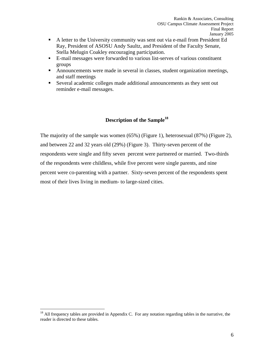- <span id="page-11-0"></span> A letter to the University community was sent out via e-mail from President Ed Ray, President of ASOSU Andy Saultz, and President of the Faculty Senate, Stella Melugin Coakley encouraging participation.
- E-mail messages were forwarded to various list-serves of various constituent groups
- Announcements were made in several in classes, student organization meetings, and staff meetings
- Several academic colleges made additional announcements as they sent out reminder e-mail messages.

## **Description of the Sample<sup>18</sup>**

The majority of the sample was women (65%) (Figure 1), heterosexual (87%) (Figure 2), and between 22 and 32 years old (29%) (Figure 3). Thirty-seven percent of the respondents were single and fifty seven percent were partnered or married. Two-thirds of the respondents were childless, while five percent were single parents, and nine percent were co-parenting with a partner. Sixty-seven percent of the respondents spent most of their lives living in medium- to large-sized cities.

 $18$  All frequency tables are provided in Appendix C. For any notation regarding tables in the narrative, the reader is directed to these tables.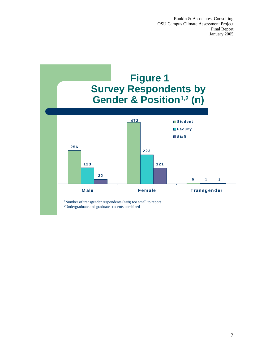

1Number of transgender respondents (n=8) too small to report 2Undergraduate and graduate students combined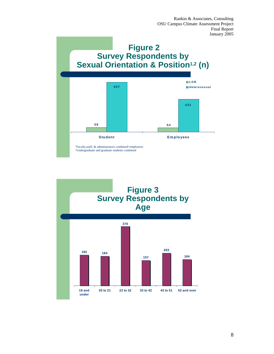



8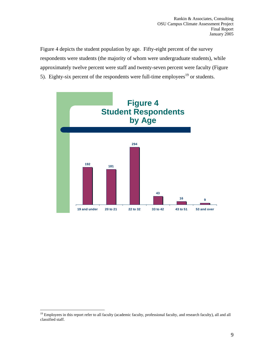Figure 4 depicts the student population by age. Fifty-eight percent of the survey respondents were students (the majority of whom were undergraduate students), while approximately twelve percent were staff and twenty-seven percent were faculty (Figure 5). Eighty-six percent of the respondents were full-time employees<sup>19</sup> or students.



<sup>&</sup>lt;sup>19</sup> Employees in this report refer to all faculty (academic faculty, professional faculty, and research faculty), all and all classified staff.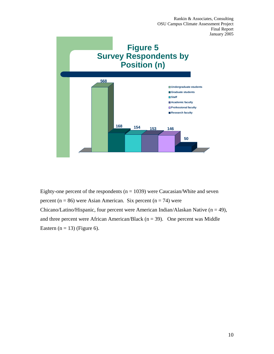

Eighty-one percent of the respondents ( $n = 1039$ ) were Caucasian/White and seven percent ( $n = 86$ ) were Asian American. Six percent ( $n = 74$ ) were Chicano/Latino/Hispanic, four percent were American Indian/Alaskan Native ( $n = 49$ ), and three percent were African American/Black ( $n = 39$ ). One percent was Middle Eastern ( $n = 13$ ) (Figure 6).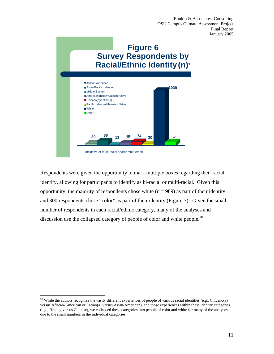

Respondents were given the opportunity to mark multiple boxes regarding their racial identity, allowing for participants to identify as bi-racial or multi-racial. Given this opportunity, the majority of respondents chose white  $(n = 989)$  as part of their identity and 300 respondents chose "color" as part of their identity (Figure 7). Given the small number of respondents in each racial/ethnic category, many of the analyses and discussion use the collapsed category of people of color and white people.<sup>20</sup>

 $\overline{a}$ 

11

<sup>&</sup>lt;sup>20</sup> While the authors recognize the vastly different experiences of people of various racial identities (e.g., Chicano(a) versus African-American or Latino(a) versus Asian-American), and those experiences within these identity categories (e.g., Hmong versus Chinese), we collapsed these categories into people of color and white for many of the analyses due to the small numbers in the individual categories.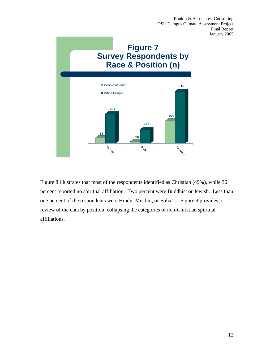

Figure 8 illustrates that most of the respondents identified as Christian (49%), while 36 percent reported no spiritual affiliation. Two percent were Buddhist or Jewish. Less than one percent of the respondents were Hindu, Muslim, or Baha'I. Figure 9 provides a review of the data by position, collapsing the categories of non-Christian spiritual affiliations.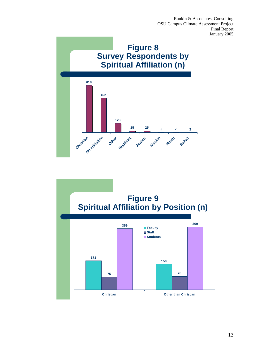

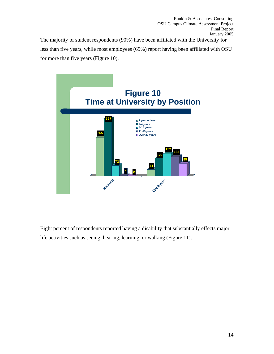The majority of student respondents (90%) have been affiliated with the University for less than five years, while most employees (69%) report having been affiliated with OSU for more than five years (Figure 10).



Eight percent of respondents reported having a disability that substantially effects major life activities such as seeing, hearing, learning, or walking (Figure 11).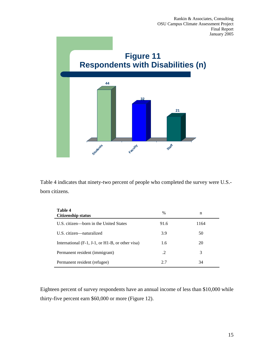

Table 4 indicates that ninety-two percent of people who completed the survey were U.S. born citizens.

| Table 4<br><b>Citizenship status</b>                                      | $\%$ | n    |
|---------------------------------------------------------------------------|------|------|
| U.S. citizen—born in the United States                                    | 91.6 | 1164 |
| U.S. citizen—naturalized                                                  | 3.9  | 50   |
| International $(F-1, J-1, \text{or } H1-B, \text{or other } \text{visa})$ | 1.6  | 20   |
| Permanent resident (immigrant)                                            | .2   | 3    |
| Permanent resident (refugee)                                              | 2.7  | 34   |

Eighteen percent of survey respondents have an annual income of less than \$10,000 while thirty-five percent earn \$60,000 or more (Figure 12).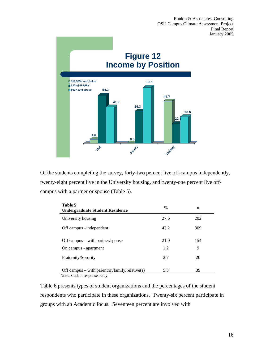

Of the students completing the survey, forty-two percent live off-campus independently, twenty-eight percent live in the University housing, and twenty-one percent live offcampus with a partner or spouse (Table 5).

| Table 5<br><b>Undergraduate Student Residence</b>                              | $\%$        | n        |
|--------------------------------------------------------------------------------|-------------|----------|
| University housing                                                             | 27.6        | 202      |
| Off campus – independent                                                       | 42.2        | 309      |
| Off campus $-$ with partner/spouse<br>On campus - apartment                    | 21.0<br>1.2 | 154<br>9 |
| Fraternity/Sorority                                                            | 2.7         | 20       |
| Off campus – with parent(s)/family/relative(s)<br>Note: Student responses only | 5.3         | 39       |

Table 6 presents types of student organizations and the percentages of the student respondents who participate in these organizations. Twenty-six percent participate in groups with an Academic focus. Seventeen percent are involved with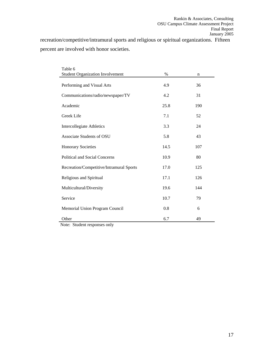recreation/competitive/intramural sports and religious or spiritual organizations. Fifteen percent are involved with honor societies.

| Table 6                                  |      |     |
|------------------------------------------|------|-----|
| <b>Student Organization Involvement</b>  | $\%$ | n   |
| Performing and Visual Arts               | 4.9  | 36  |
| Communications/radio/newspaper/TV        | 4.2  | 31  |
| Academic                                 | 25.8 | 190 |
| Greek Life                               | 7.1  | 52  |
| <b>Intercollegiate Athletics</b>         | 3.3  | 24  |
| Associate Students of OSU                | 5.8  | 43  |
| <b>Honorary Societies</b>                | 14.5 | 107 |
| Political and Social Concerns            | 10.9 | 80  |
| Recreation/Competitive/Intramural Sports | 17.0 | 125 |
| Religious and Spiritual                  | 17.1 | 126 |
| Multicultural/Diversity                  | 19.6 | 144 |
| Service                                  | 10.7 | 79  |
| Memorial Union Program Council           | 0.8  | 6   |
| Other                                    | 6.7  | 49  |

Note: Student responses only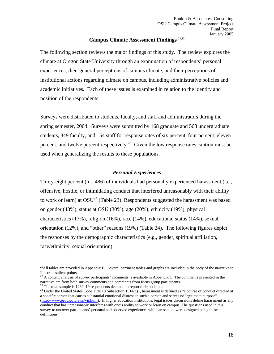#### **Campus Climate Assessment Findings 21,22**

<span id="page-23-0"></span>The following section reviews the major findings of this study. The review explores the climate at Oregon State University through an examination of respondents' personal experiences, their general perceptions of campus climate, and their perceptions of institutional actions regarding climate on campus, including administrative policies and academic initiatives. Each of these issues is examined in relation to the identity and position of the respondents.

Surveys were distributed to students, faculty, and staff and administrators during the spring semester, 2004. Surveys were submitted by 168 graduate and 568 undergraduate students, 349 faculty, and 154 staff for response rates of six percent, four percent, eleven percent, and twelve percent respectively.<sup>23</sup> Given the low response rates caution must be used when generalizing the results to these populations.

#### *Personal Experiences*

Thirty-eight percent ( $n = 486$ ) of individuals had personally experienced harassment (i.e., offensive, hostile, or intimidating conduct that interfered unreasonably with their ability to work or learn) at  $OSU^{24}$  (Table 23). Respondents suggested the harassment was based on gender (43%), status at OSU (30%), age (20%), ethnicity (19%), physical characteristics (17%), religion (16%), race (14%), educational status (14%), sexual orientation (12%), and "other" reasons (19%) (Table 24). The following figures depict the responses by the demographic characteristics (e.g., gender, spiritual affiliation, race/ethnicity, sexual orientation).

 $^{21}$ All tables are provided in Appendix B. Several pertinent tables and graphs are included in the body of the narrative to illustrate salient points.

 $^{22}$  A content analysis of survey participants' comments is available in Appendix C. The comments presented in the narrative are from both survey comments and comments from focus group participants. 23 The total sample is 1289, 19 respondents declined to report their position.

<sup>&</sup>lt;sup>24</sup> Under the United States Code Title 18 Subsection 1514(c)1, harassment is defined as "a course of conduct directed at a specific person that causes substantial emotional distress in such a person and serves no legitimate purpose" (http://www.eeoc.gov/laws/vii.html). In higher education institutions, legal issues discussions define harassment as any conduct that has unreasonably interferes with one's ability to work or learn on campus. The questions used in this survey to uncover participants' personal and observed experiences with harassment were designed using these definitions.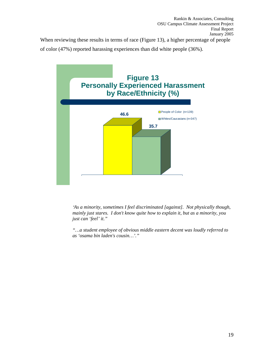When reviewing these results in terms of race (Figure 13), a higher percentage of people of color (47%) reported harassing experiences than did white people (36%).



*"As a minority, sometimes I feel discriminated [against]. Not physically though, mainly just stares. I don't know quite how to explain it, but as a minority, you just can 'feel' it."* 

*"…a student employee of obvious middle eastern decent was loudly referred to as 'osama bin laden's cousin…'."*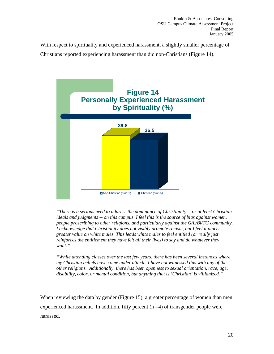With respect to spirituality and experienced harassment, a slightly smaller percentage of Christians reported experiencing harassment than did non-Christians (Figure 14).



*"There is a serious need to address the dominance of Christianity -- or at least Christian ideals and judgments -- on this campus. I feel this is the source of bias against women, people proscribing to other religions, and particularly against the G/L/Bi/TG community. I acknowledge that Christianity does not visibly promote racism, but I feel it places greater value on white males. This leads white males to feel entitled (or really just reinforces the entitlement they have felt all their lives) to say and do whatever they want."* 

*"While attending classes over the last few years, there has been several instances where my Christian beliefs have come under attack. I have not witnessed this with any of the other religions. Additionally, there has been openness to sexual orientation, race, age, disability, color, or mental condition, but anything that is 'Christian' is villianized."* 

When reviewing the data by gender (Figure 15), a greater percentage of women than men experienced harassment. In addition, fifty percent  $(n = 4)$  of transgender people were harassed.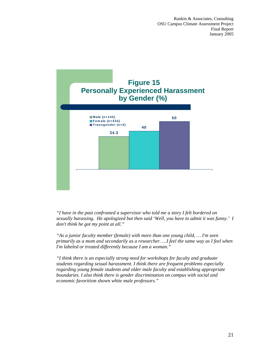

*"I have in the past confronted a supervisor who told me a story I felt bordered on sexually harassing. He apologized but then said 'Well, you have to admit it was funny.' I don't think he got my point at all."* 

*"As a junior faculty member (female) with more than one young child, … I'm seen primarily as a mom and secondarily as a researcher. …I feel the same way as I feel when I'm labeled or treated differently because I am a woman."* 

*"I think there is an especially strong need for workshops for faculty and graduate students regarding sexual harassment. I think there are frequent problems especially regarding young female students and older male faculty and establishing appropriate boundaries. I also think there is gender discrimination on campus with social and economic favoritism shown white male professors."*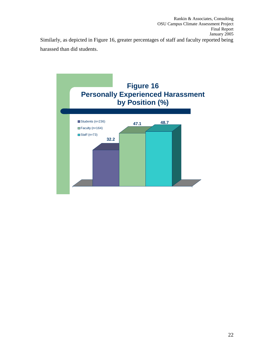Rankin & Associates, Consulting OSU Campus Climate Assessment Project Final Report January 2005 Similarly, as depicted in Figure 16, greater percentages of staff and faculty reported being harassed than did students.

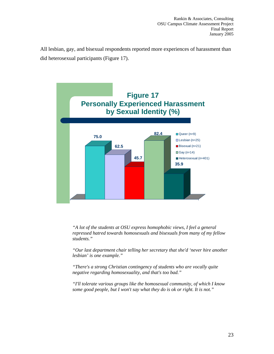All lesbian, gay, and bisexual respondents reported more experiences of harassment than did heterosexual participants (Figure 17).



*"A lot of the students at OSU express homophobic views, I feel a general repressed hatred towards homosexuals and bisexuals from many of my fellow students."* 

*"Our last department chair telling her secretary that she'd 'never hire another lesbian' is one example."* 

*"There's a strong Christian contingency of students who are vocally quite negative regarding homosexuality, and that's too bad."* 

*"I'll tolerate various groups like the homosexual community, of which I know some good people, but I won't say what they do is ok or right. It is not."*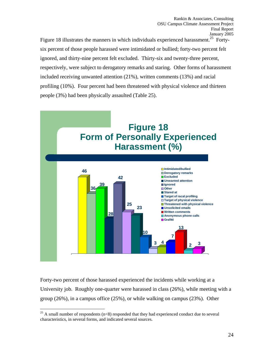Figure 18 illustrates the manners in which individuals experienced harassment.<sup>25</sup> Fortysix percent of those people harassed were intimidated or bullied; forty-two percent felt ignored, and thirty-nine percent felt excluded. Thirty-six and twenty-three percent, respectively, were subject to derogatory remarks and staring. Other forms of harassment included receiving unwanted attention (21%), written comments (13%) and racial profiling (10%). Four percent had been threatened with physical violence and thirteen people (3%) had been physically assaulted (Table 25).



Forty-two percent of those harassed experienced the incidents while working at a University job. Roughly one-quarter were harassed in class (26%), while meeting with a group (26%), in a campus office (25%), or while walking on campus (23%). Other

<sup>&</sup>lt;sup>25</sup> A small number of respondents ( $n<8$ ) responded that they had experienced conduct due to several characteristics, in several forms, and indicated several sources.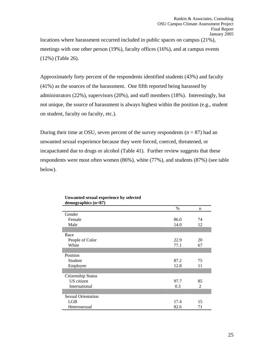<span id="page-30-0"></span>locations where harassment occurred included in public spaces on campus (21%), meetings with one other person (19%), faculty offices (16%), and at campus events (12%) (Table 26).

Approximately forty percent of the respondents identified students (43%) and faculty (41%) as the sources of the harassment. One fifth reported being harassed by administrators (22%), supervisors (20%), and staff members (18%). Interestingly, but not unique, the source of harassment is always highest within the position (e.g., student on student, faculty on faculty, etc.).

During their time at OSU, seven percent of the survey respondents  $(n = 87)$  had an unwanted sexual experience because they were forced, coerced, threatened, or incapacitated due to drugs or alcohol (Table 41). Further review suggests that these respondents were most often women (86%), white (77%), and students (87%) (see table below).

|                           | $\%$ | n              |
|---------------------------|------|----------------|
| Gender                    |      |                |
| Female                    | 86.0 | 74             |
| Male                      | 14.0 | 12             |
|                           |      |                |
| Race                      |      |                |
| People of Color           | 22.9 | 20             |
| White                     | 77.1 | 67             |
|                           |      |                |
| Position                  |      |                |
| Student                   | 87.2 | 75             |
| Employee                  | 12.8 | 11             |
|                           |      |                |
| Citizenship Status        |      |                |
| US citizen                | 97.7 | 85             |
| International             | 0.3  | $\mathfrak{D}$ |
|                           |      |                |
| <b>Sexual Orientation</b> |      |                |
| LGB                       | 17.4 | 15             |
| Heterosexual              | 82.6 | 71             |

**Unwanted sexual experience by selected demographics (n=87)**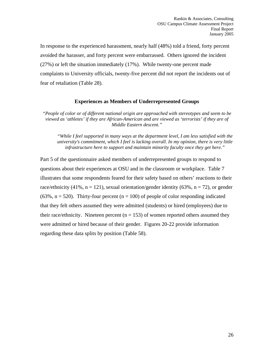In response to the experienced harassment, nearly half (48%) told a friend, forty percent avoided the harasser, and forty percent were embarrassed. Others ignored the incident (27%) or left the situation immediately (17%). While twenty-one percent made complaints to University officials, twenty-five percent did not report the incidents out of fear of retaliation (Table 28).

#### **Experiences as Members of Underrepresented Groups**

*"People of color or of different national origin are approached with stereotypes and seem to be viewed as 'athletes' if they are African-American and are viewed as 'terrorists' if they are of Middle Eastern descent."* 

*"While I feel supported in many ways at the department level, I am less satisfied with the university's commitment, which I feel is lacking overall. In my opinion, there is very little infrastructure here to support and maintain minority faculty once they get here."* 

Part 5 of the questionnaire asked members of underrepresented groups to respond to questions about their experiences at OSU and in the classroom or workplace. Table 7 illustrates that some respondents feared for their safety based on others' reactions to their race/ethnicity (41%,  $n = 121$ ), sexual orientation/gender identity (63%,  $n = 72$ ), or gender  $(63\%, n = 520)$ . Thirty-four percent  $(n = 100)$  of people of color responding indicated that they felt others assumed they were admitted (students) or hired (employees) due to their race/ethnicity. Nineteen percent ( $n = 153$ ) of women reported others assumed they were admitted or hired because of their gender. Figures 20-22 provide information regarding these data splits by position (Table 58).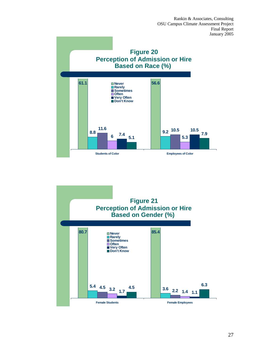

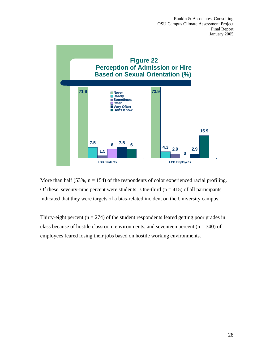

More than half  $(53\%, n = 154)$  of the respondents of color experienced racial profiling. Of these, seventy-nine percent were students. One-third ( $n = 415$ ) of all participants indicated that they were targets of a bias-related incident on the University campus.

Thirty-eight percent ( $n = 274$ ) of the student respondents feared getting poor grades in class because of hostile classroom environments, and seventeen percent ( $n = 340$ ) of employees feared losing their jobs based on hostile working environments.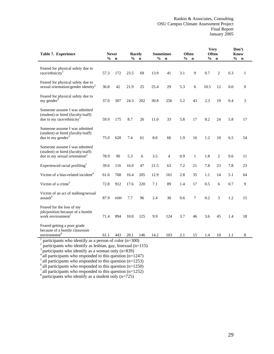| Table 7. Experience                                                                                                                                                          | $\frac{0}{0}$ | <b>Never</b><br>$\mathbf n$ | Rarely<br>% | $\mathbf n$ | <b>Sometimes</b><br>$\frac{0}{0}$ | $\mathbf n$ | $\frac{0}{0}$ | <b>Often</b><br>$\mathbf n$ | <b>Very</b><br>Often<br>$\frac{6}{9}$ | $\mathbf n$    | <b>Know</b><br>$\frac{0}{0}$ | Don't<br>$\mathbf n$ |
|------------------------------------------------------------------------------------------------------------------------------------------------------------------------------|---------------|-----------------------------|-------------|-------------|-----------------------------------|-------------|---------------|-----------------------------|---------------------------------------|----------------|------------------------------|----------------------|
|                                                                                                                                                                              |               |                             |             |             |                                   |             |               |                             |                                       |                |                              |                      |
| Feared for physical safety due to<br>race/ethnicity $1$                                                                                                                      | 57.3          | 172                         | 23.5        | 69          | 13.9                              | 41          | 3.1           | 9                           | 0.7                                   | $\overline{c}$ | 0.3                          | $\mathbf{1}$         |
| Feared for physical safety due to<br>sexual orientation/gender identity <sup>2</sup>                                                                                         | 36.8          | 42                          | 21.9        | 25          | 25.4                              | 29          | 5.3           | 6                           | 10.5                                  | 12             | 0.0                          | $\overline{0}$       |
| Feared for physical safety due to<br>my gender <sup>3</sup>                                                                                                                  | 37.0          | 307                         | 24.3        | 202         | 30.8                              | 256         | 5.2           | 43                          | 2.3                                   | 19             | 0.4                          | 3                    |
| Someone assume I was admitted<br>(student) or hired (faculty/staff)<br>due to my race/ethnicity <sup>1</sup>                                                                 | 59.9          | 175                         | 8.7         | 26          | 11.0                              | 33          | 5.8           | 17                          | 8.2                                   | 24             | 5.8                          | 17                   |
| Someone assume I was admitted<br>(student) or hired (faculty/staff)<br>due to my gender $3$                                                                                  | 75.0          | 620                         | 7.4         | 61          | 8.0                               | 66          | 1.9           | 16                          | 1.2                                   | 10             | 6.5                          | 54                   |
| Someone assume I was admitted<br>(student) or hired (faculty/staff)<br>due to my sexual orientation <sup>2</sup>                                                             | 78.9          | 90                          | 5.3         | 6           | 3.5                               | 4           | 0.9           | $\mathbf{1}$                | 1.8                                   | $\overline{c}$ | 9.6                          | 11                   |
| Experienced racial profiling <sup>1</sup>                                                                                                                                    | 39.6          | 116                         | 16.0        | 47          | 21.5                              | 63          | 7.2           | 21                          | 7.8                                   | 23             | 7.8                          | 23                   |
| Victim of a bias-related incident <sup>4</sup>                                                                                                                               | 61.6          | 768                         | 16.4        | 205         | 12.9                              | 161         | 2.8           | 35                          | 1.1                                   | 14             | 5.1                          | 64                   |
| Victim of a crime <sup>5</sup>                                                                                                                                               | 72.8          | 912                         | 17.6        | 220         | 7.1                               | 89          | 1.4           | 17                          | 0.5                                   | 6              | 0.7                          | 9                    |
| Victim of an act of stalking/sexual<br>assault <sup>6</sup>                                                                                                                  | 87.9          | 1099                        | 7.7         | 96          | 2.4                               | 30          | 0.6           | 7                           | 0.2                                   | 3              | 1.2                          | 15                   |
| Feared for the loss of my<br>job/position because of a hostile<br>work environment <sup>7</sup>                                                                              | 71.4          | 894                         | 10.0        | 125         | 9.9                               | 124         | 3.7           | 46                          | 3.6                                   | 45             | 1.4                          | 18                   |
| Feared getting a poor grade<br>because of a hostile classroom<br>environment <sup>8</sup>                                                                                    | 61.1          | 443                         | 20.1        | 146         | 14.2                              | 103         | 2.1           | 15                          | 1.4                                   | 10             | 1.1                          | 8                    |
| participants who identify as a person of color $(n=300)$<br>participants who identify as lesbian, gay, bisexual (n=115)<br>participants who identify as a woman only (n=839) |               |                             |             |             |                                   |             |               |                             |                                       |                |                              |                      |

 $4^4$  all participants who responded to this question (n=1247)

 $<sup>5</sup>$  all participants who responded to this question (n=1253)</sup> <sup>6</sup> all participants who responded to this question (n=1250)

 $^7$  all participants who responded to this question (n=1252)

 $8$  participants who identify as a student only (n=725)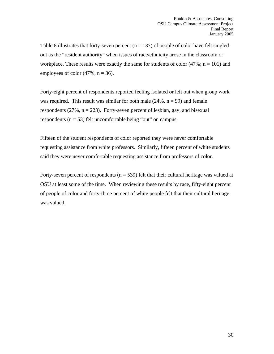Table 8 illustrates that forty-seven percent  $(n = 137)$  of people of color have felt singled out as the "resident authority" when issues of race/ethnicity arose in the classroom or workplace. These results were exactly the same for students of color  $(47\%; n = 101)$  and employees of color  $(47\%, n = 36)$ .

Forty-eight percent of respondents reported feeling isolated or left out when group work was required. This result was similar for both male  $(24\%, n = 99)$  and female respondents  $(27\%, n = 223)$ . Forty-seven percent of lesbian, gay, and bisexual respondents ( $n = 53$ ) felt uncomfortable being "out" on campus.

Fifteen of the student respondents of color reported they were never comfortable requesting assistance from white professors. Similarly, fifteen percent of white students said they were never comfortable requesting assistance from professors of color.

Forty-seven percent of respondents ( $n = 539$ ) felt that their cultural heritage was valued at OSU at least some of the time. When reviewing these results by race, fifty-eight percent of people of color and forty-three percent of white people felt that their cultural heritage was valued.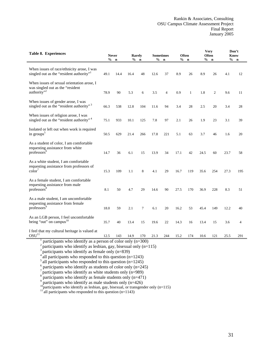| Table 8. Experiences                                                                                                                                                                                                                                                                                                                                              |      | <b>Never</b><br>$%$ n | Rarely | $%$ n  |      | <b>Sometimes</b><br>$%$ n |      | Often<br>$%$ n |      | <b>Very</b><br><b>Often</b><br>$%$ n | Know | Don't<br>$%$ n |
|-------------------------------------------------------------------------------------------------------------------------------------------------------------------------------------------------------------------------------------------------------------------------------------------------------------------------------------------------------------------|------|-----------------------|--------|--------|------|---------------------------|------|----------------|------|--------------------------------------|------|----------------|
| When issues of race/ethnicity arose, I was<br>singled out as the "resident authority" <sup>1</sup>                                                                                                                                                                                                                                                                | 49.1 | 14.4                  | 16.4   | 48     | 12.6 | 37                        | 8.9  | 26             | 8.9  | 26                                   | 4.1  | 12             |
| When issues of sexual orientation arose, I<br>was singled out as the "resident"<br>authority" <sup>2</sup>                                                                                                                                                                                                                                                        | 78.9 | 90                    | 5.3    | 6      | 3.5  | $\overline{4}$            | 0.9  | $\mathbf{1}$   | 1.8  | $\overline{c}$                       | 9.6  | 11             |
| When issues of gender arose, I was<br>singled out as the "resident authority" <sup>3</sup>                                                                                                                                                                                                                                                                        | 66.3 | 538                   | 12.8   | 104    | 11.6 | 94                        | 3.4  | 28             | 2.5  | 20                                   | 3.4  | 28             |
| When issues of religion arose, I was<br>singled out as the "resident authority" <sup>4</sup>                                                                                                                                                                                                                                                                      | 75.1 | 933                   | 10.1   | 125    | 7.8  | 97                        | 2.1  | 26             | 1.9  | 23                                   | 3.1  | 39             |
| Isolated or left out when work is required<br>in groups <sup>5</sup>                                                                                                                                                                                                                                                                                              | 50.5 | 629                   | 21.4   | 266    | 17.8 | 221                       | 5.1  | 63             | 3.7  | 46                                   | 1.6  | 20             |
| As a student of color, I am comfortable<br>requesting assistance from white<br>professors <sup>6</sup>                                                                                                                                                                                                                                                            | 14.7 | 36                    | 6.1    | 15     | 13.9 | 34                        | 17.1 | 42             | 24.5 | 60                                   | 23.7 | 58             |
| As a white student, I am comfortable<br>requesting assistance from professors of<br>$\text{color}^7$                                                                                                                                                                                                                                                              | 15.3 | 109                   | 1.1    | 8      | 4.1  | 29                        | 16.7 | 119            | 35.6 | 254                                  | 27.3 | 195            |
| As a female student, I am comfortable<br>requesting assistance from male<br>professors <sup>8</sup>                                                                                                                                                                                                                                                               | 8.1  | 50                    | 4.7    | 29     | 14.6 | 90                        | 27.5 | 170            | 36.9 | 228                                  | 8.3  | 51             |
| As a male student, I am uncomfortable<br>requesting assistance from female<br>professors <sup>9</sup>                                                                                                                                                                                                                                                             | 18.0 | 59                    | 2.1    | $\tau$ | 6.1  | 20                        | 16.2 | 53             | 45.4 | 149                                  | 12.2 | 40             |
| As an LGB person, I feel uncomfortable<br>being "out" on campus $^{10}$                                                                                                                                                                                                                                                                                           | 35.7 | 40                    | 13.4   | 15     | 19.6 | 22                        | 14.3 | 16             | 13.4 | 15                                   | 3.6  | $\overline{4}$ |
| I feel that my cultural heritage is valued at<br>OSU <sup>11</sup>                                                                                                                                                                                                                                                                                                | 12.5 | 143                   | 14.9   | 170    | 21.3 | 244                       | 15.2 | 174            | 10.6 | 121                                  | 25.5 | 291            |
| participants who identify as a person of color only $(n=300)$<br>$\mathbf{r}_{\text{out}}$ $\mathbf{r}_{\text{in}}$ $\mathbf{r}_{\text{out}}$ $\mathbf{r}_{\text{out}}$ $\mathbf{r}_{\text{out}}$ and $\mathbf{r}_{\text{out}}$ $\mathbf{r}_{\text{out}}$ $\mathbf{r}_{\text{out}}$ $\mathbf{r}_{\text{out}}$ $\mathbf{r}_{\text{out}}$ $\mathbf{r}_{\text{out}}$ |      |                       |        |        |      |                           |      |                |      |                                      |      |                |

<sup>2</sup> participants who identify as lesbian, gay, bisexual only (n=115) <sup>3</sup> participants who identify as female only (n=839) <sup>4</sup> all participants who responded to this question (n=1243)

 $5$  all participants who responded to this question (n=1245)

 $6$  participants who identify as students of color only (n=245)

participants who identify as white students only (n=989)

8 participants who identify as female students only (n=471)

 $9^9$  participants who identify as male students only (n=426)

participants who identify as male statements only (n=12) <sup>11</sup> all participants who responded to this question (n=1143)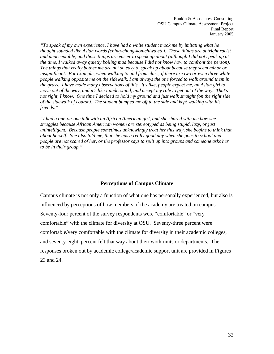*"To speak of my own experience, I have had a white student mock me by imitating what he thought sounded like Asian words (ching-chong-konichiwa etc). Those things are outright racist and unacceptable, and those things are easier to speak up about (although I did not speak up at the time, I walked away quietly boiling mad because I did not know how to confront the person). The things that really bother me are not so easy to speak up about because they seem minor or insignificant. For example, when walking to and from class, if there are two or even three white people walking opposite me on the sidewalk, I am always the one forced to walk around them in the grass. I have made many observations of this. It's like, people expect me, an Asian girl to move out of the way, and it's like I understand, and accept my role to get out of the way. That's not right, I know. One time I decided to hold my ground and just walk straight (on the right side of the sidewalk of course). The student bumped me off to the side and kept walking with his friends."* 

*"I had a one-on-one talk with an African American girl, and she shared with me how she struggles because African American women are stereotyped as being stupid, lazy, or just unintelligent. Because people sometimes unknowingly treat her this way, she begins to think that about herself. She also told me, that she has a really good day when she goes to school and people are not scared of her, or the professor says to split up into groups and someone asks her to be in their group."* 

# **Perceptions of Campus Climate**

Campus climate is not only a function of what one has personally experienced, but also is influenced by perceptions of how members of the academy are treated on campus. Seventy-four percent of the survey respondents were "comfortable" or "very comfortable" with the climate for diversity at OSU. Seventy-three percent were comfortable/very comfortable with the climate for diversity in their academic colleges, and seventy-eight percent felt that way about their work units or departments. The responses broken out by academic college/academic support unit are provided in Figures 23 and 24.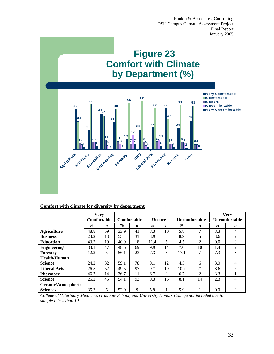# **Figure 23 Comfort with Climate by Department (%)**



# **Comfort with climate for diversity by department**

|                     | <b>Very</b><br>Comfortable |                  | Comfortable<br><b>Unsure</b> |                  | <b>Uncomfortable</b> |                  | <b>Very</b><br>Uncomfortable |                  |      |                  |
|---------------------|----------------------------|------------------|------------------------------|------------------|----------------------|------------------|------------------------------|------------------|------|------------------|
|                     | %                          | $\boldsymbol{n}$ | $\%$                         | $\boldsymbol{n}$ | $\%$                 | $\boldsymbol{n}$ | $\%$                         | $\boldsymbol{n}$ | $\%$ | $\boldsymbol{n}$ |
| <b>Agriculture</b>  | 48.8                       | 59               | 33.9                         | 41               | 8.3                  | 10               | 5.8                          | 7                | 3.3  | 4                |
| <b>Business</b>     | 23.2                       | 13               | 55.4                         | 31               | 8.9                  | 5                | 8.9                          | 5                | 3.6  | $\overline{2}$   |
| <b>Education</b>    | 43.2                       | 19               | 40.9                         | 18               | 11.4                 | 5                | 4.5                          | 2                | 0.0  | $\Omega$         |
| <b>Engineering</b>  | 33.1                       | 47               | 48.6                         | 69               | 9.9                  | 14               | 7.0                          | 10               | 1.4  | 2                |
| Forestry            | 12.2                       | 5                | 56.1                         | 23               | 7.3                  | 3                | 17.1                         | 7                | 7.3  | 3                |
| <b>Health/Human</b> |                            |                  |                              |                  |                      |                  |                              |                  |      |                  |
| <b>Science</b>      | 24.2                       | 32               | 59.1                         | 78               | 9.1                  | 12               | 4.5                          | 6                | 3.0  | 4                |
| <b>Liberal Arts</b> | 26.5                       | 52               | 49.5                         | 97               | 9.7                  | 19               | 10.7                         | 21               | 3.6  | ⇁                |
| <b>Pharmacy</b>     | 46.7                       | 14               | 36.7                         | 11               | 6.7                  | 2                | 6.7                          | 2                | 3.3  |                  |
| <b>Science</b>      | 26.2                       | 45               | 54.1                         | 93               | 9.3                  | 16               | 8.1                          | 14               | 2.3  | 4                |
| Oceanic/Atmospheric |                            |                  |                              |                  |                      |                  |                              |                  |      |                  |
| <b>Sciences</b>     | 35.3                       | 6                | 52.9                         | 9                | 5.9                  |                  | 5.9                          |                  | 0.0  | $\Omega$         |

*College of Veterinary Medicine, Graduate School, and University Honors College not included due to sample n less than 10.*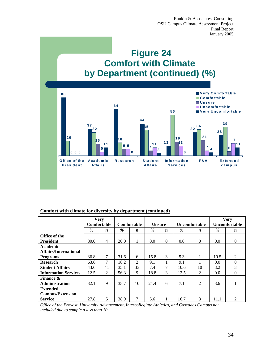

# **Comfort with climate for diversity by department (continued)**

|                              | <b>Very</b>        |                  |      |                  |               |          |                      |                  |               | <b>Very</b>      |
|------------------------------|--------------------|------------------|------|------------------|---------------|----------|----------------------|------------------|---------------|------------------|
|                              | <b>Comfortable</b> |                  |      | Comfortable      | <b>Unsure</b> |          | <b>Uncomfortable</b> |                  | Uncomfortable |                  |
|                              | $\%$               | $\boldsymbol{n}$ | %    | $\boldsymbol{n}$ | $\%$          | n        | %                    | $\boldsymbol{n}$ | %             | $\boldsymbol{n}$ |
| Office of the                |                    |                  |      |                  |               |          |                      |                  |               |                  |
| <b>President</b>             | 80.0               | $\overline{4}$   | 20.0 | 1                | 0.0           | $\Omega$ | 0.0                  | $\mathbf{0}$     | 0.0           | $\Omega$         |
| <b>Academic</b>              |                    |                  |      |                  |               |          |                      |                  |               |                  |
| <b>Affairs/International</b> |                    |                  |      |                  |               |          |                      |                  |               |                  |
| <b>Programs</b>              | 36.8               | 7                | 31.6 | 6                | 15.8          | 3        | 5.3                  |                  | 10.5          | 2                |
| <b>Research</b>              | 63.6               | 7                | 18.2 | 2                | 9.1           |          | 9.1                  |                  | 0.0           | $\Omega$         |
| <b>Student Affairs</b>       | 43.6               | 41               | 35.1 | 33               | 7.4           | 7        | 10.6                 | 10               | 3.2           | $\mathcal{F}$    |
| <b>Information Services</b>  | 12.5               | 2                | 56.3 | 9                | 18.8          | 3        | 12.5                 | 2                | 0.0           | $\Omega$         |
| <b>Finance &amp;</b>         |                    |                  |      |                  |               |          |                      |                  |               |                  |
| Administration               | 32.1               | 9                | 35.7 | 10               | 21.4          | 6        | 7.1                  | 2                | 3.6           |                  |
| <b>Extended</b>              |                    |                  |      |                  |               |          |                      |                  |               |                  |
| <b>Campus/Extension</b>      |                    |                  |      |                  |               |          |                      |                  |               |                  |
| <b>Service</b>               | 27.8               | 5                | 38.9 | 7                | 5.6           |          | 16.7                 | 3                | 11.1          | $\mathfrak{D}$   |

*Office of the Provost, University Advancement, Intercollegiate Athletics, and Cascades Campus not included due to sample n less than 10.*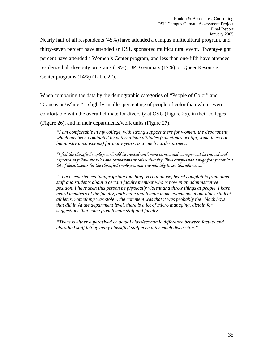Nearly half of all respondents (45%) have attended a campus multicultural program, and thirty-seven percent have attended an OSU sponsored multicultural event. Twenty-eight percent have attended a Women's Center program, and less than one-fifth have attended residence hall diversity programs (19%), DPD seminars (17%), or Queer Resource Center programs (14%) (Table 22).

When comparing the data by the demographic categories of "People of Color" and "Caucasian/White," a slightly smaller percentage of people of color than whites were comfortable with the overall climate for diversity at OSU (Figure 25), in their colleges (Figure 26), and in their departments/work units (Figure 27).

*"I am comfortable in my college, with strong support there for women; the department, which has been dominated by paternalistic attitudes (sometimes benign, sometimes not, but mostly unconscious) for many years, is a much harder project."* 

*"I feel the classified employees should be treated with more respect and management be trained and expected to follow the rules and regulations of this university. Thus campus has a huge fear factor in a lot of departments for the classified employees and I would like to see this addressed."* 

*"I have experienced inappropriate touching, verbal abuse, heard complaints from other staff and students about a certain faculty member who is now in an administrative position. I have seen this person be physically violent and throw things at people. I have heard members of the faculty, both male and female make comments about black student athletes. Something was stolen, the comment was that it was probably the "black boys" that did it. At the department level, there is a lot of micro managing, distain for suggestions that come from female staff and faculty."* 

*"There is either a perceived or actual class/economic difference between faculty and classified staff felt by many classified staff even after much discussion."*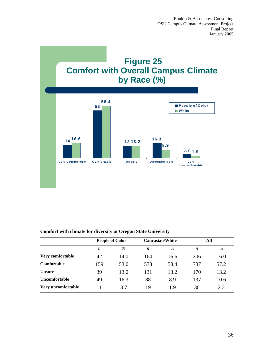

# **Comfort with climate for diversity at Oregon State University**

|                      |                  | <b>People of Color</b> |                  | <b>Caucasian/White</b> | All              |      |
|----------------------|------------------|------------------------|------------------|------------------------|------------------|------|
|                      | $\boldsymbol{n}$ | $\%$                   | $\boldsymbol{n}$ | $\%$                   | $\boldsymbol{n}$ | $\%$ |
| Very comfortable     | 42               | 14.0                   | 164              | 16.6                   | 206              | 16.0 |
| Comfortable          | 159              | 53.0                   | 578              | 58.4                   | 737              | 57.2 |
| <b>Unsure</b>        | 39               | 13.0                   | 131              | 13.2                   | 170              | 13.2 |
| <b>Uncomfortable</b> | 49               | 16.3                   | 88               | 8.9                    | 137              | 10.6 |
| Very uncomfortable   | 11               | 3.7                    | 19               | 1.9                    | 30               | 2.3  |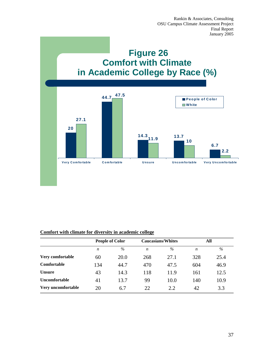

# **Comfort with climate for diversity in academic college**

|                      | <b>People of Color</b> |      |     | <b>Caucasians/Whites</b> | All |      |
|----------------------|------------------------|------|-----|--------------------------|-----|------|
|                      | n                      | $\%$ | n   | $\%$                     | n   | $\%$ |
| Very comfortable     | 60                     | 20.0 | 268 | 27.1                     | 328 | 25.4 |
| <b>Comfortable</b>   | 134                    | 44.7 | 470 | 47.5                     | 604 | 46.9 |
| <b>Unsure</b>        | 43                     | 14.3 | 118 | 11.9                     | 161 | 12.5 |
| <b>Uncomfortable</b> | 41                     | 13.7 | 99  | 10.0                     | 140 | 10.9 |
| Very uncomfortable   | 20                     | 6.7  | 22  | 2.2                      | 42  | 3.3  |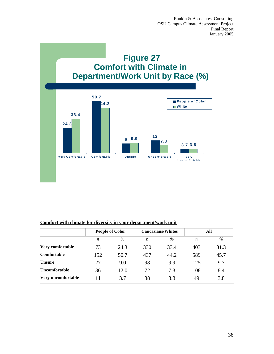

# **Comfort with climate for diversity in your department/work unit**

|                      | <b>People of Color</b> |      |                  | <b>Caucasians/Whites</b> | All              |      |
|----------------------|------------------------|------|------------------|--------------------------|------------------|------|
|                      | $\boldsymbol{n}$       | $\%$ | $\boldsymbol{n}$ | $\%$                     | $\boldsymbol{n}$ | $\%$ |
| Very comfortable     | 73                     | 24.3 | 330              | 33.4                     | 403              | 31.3 |
| <b>Comfortable</b>   | 152                    | 50.7 | 437              | 44.2                     | 589              | 45.7 |
| <b>Unsure</b>        | 27                     | 9.0  | 98               | 9.9                      | 125              | 9.7  |
| <b>Uncomfortable</b> | 36                     | 12.0 | 72               | 7.3                      | 108              | 8.4  |
| Very uncomfortable   | 11                     | 3.7  | 38               | 3.8                      | 49               | 3.8  |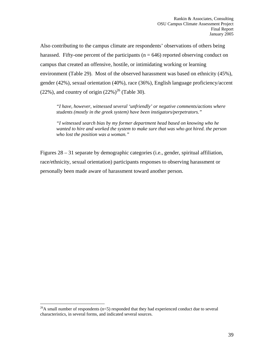Also contributing to the campus climate are respondents' observations of others being harassed. Fifty-one percent of the participants ( $n = 646$ ) reported observing conduct on campus that created an offensive, hostile, or intimidating working or learning environment (Table 29). Most of the observed harassment was based on ethnicity (45%), gender (42%), sexual orientation (40%), race (36%), English language proficiency/accent (22%), and country of origin  $(22\%)^{26}$  (Table 30).

*"I have, however, witnessed several 'unfriendly' or negative comments/actions where students (mostly in the greek system) have been instigators/perpetrators."* 

*"I witnessed search bias by my former department head based on knowing who he wanted to hire and worked the system to make sure that was who got hired. the person who lost the position was a woman."* 

Figures 28 – 31 separate by demographic categories (i.e., gender, spiritual affiliation, race/ethnicity, sexual orientation) participants responses to observing harassment or personally been made aware of harassment toward another person.

 $\overline{a}$ 

 $^{26}$ A small number of respondents (n<5) responded that they had experienced conduct due to several characteristics, in several forms, and indicated several sources.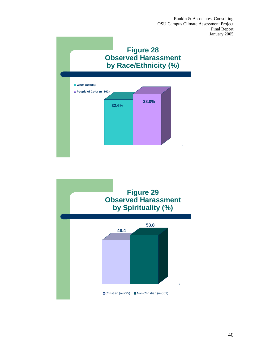

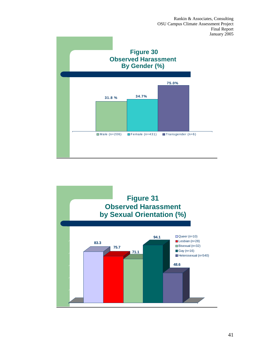

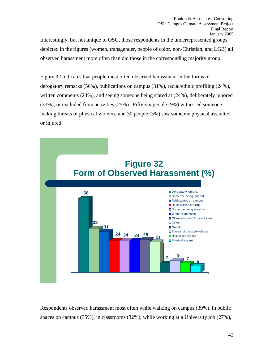Interestingly, but not unique to OSU, those respondents in the underrepresented groups depicted in the figures (women, transgender, people of color, non-Christian, and LGB) all observed harassment more often than did those in the corresponding majority group.

Figure 32 indicates that people most often observed harassment in the forms of derogatory remarks (56%), publications on campus (31%), racial/ethnic profiling (24%), written comments (24%), and seeing someone being stared at (24%), deliberately ignored (33%), or excluded from activities (25%). Fifty-six people (9%) witnessed someone making threats of physical violence and 30 people (5%) saw someone physical assaulted or injured.



Respondents observed harassment most often while walking on campus (39%), in public spaces on campus (35%), in classrooms (32%), while working at a University job (27%),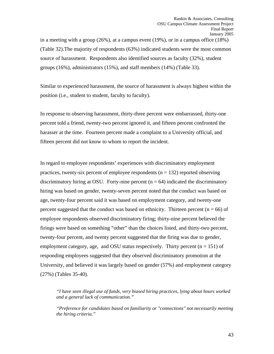in a meeting with a group (26%), at a campus event (19%), or in a campus office (18%) (Table 32).The majority of respondents (63%) indicated students were the most common source of harassment. Respondents also identified sources as faculty (32%), student groups (16%), administrators (15%), and staff members (14%) (Table 33).

Similar to experienced harassment, the source of harassment is always highest within the position (i.e., student to student, faculty to faculty).

In response to observing harassment, thirty-three percent were embarrassed, thirty-one percent told a friend, twenty-two percent ignored it, and fifteen percent confronted the harasser at the time. Fourteen percent made a complaint to a University official, and fifteen percent did not know to whom to report the incident.

In regard to employee respondents' experiences with discriminatory employment practices, twenty-six percent of employee respondents ( $n = 132$ ) reported observing discriminatory hiring at OSU. Forty-nine percent  $(n = 64)$  indicated the discriminatory hiring was based on gender, twenty-seven percent noted that the conduct was based on age, twenty-four percent said it was based on employment category, and twenty-one percent suggested that the conduct was based on ethnicity. Thirteen percent ( $n = 66$ ) of employee respondents observed discriminatory firing; thirty-nine percent believed the firings were based on something "other" than the choices listed, and thirty-two percent, twenty-four percent, and twenty percent suggested that the firing was due to gender, employment category, age, and OSU status respectively. Thirty percent  $(n = 151)$  of responding employees suggested that they observed discriminatory promotion at the University, and believed it was largely based on gender (57%) and employment category (27%) (Tables 35-40).

*"I have seen illegal use of funds, very biased hiring practices, lying about hours worked and a general lack of communication."* 

*"Preference for candidates based on familiarity or "connections" not necessarily meeting the hiring criteria."*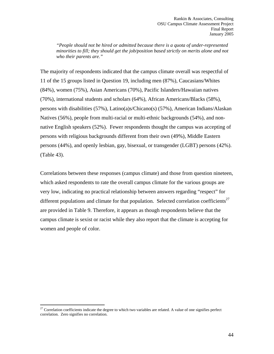*"People should not be hired or admitted because there is a quota of under-represented minorities to fill; they should get the job/position based strictly on merits alone and not who their parents are."* 

The majority of respondents indicated that the campus climate overall was respectful of 11 of the 15 groups listed in Question 19, including men (87%), Caucasians/Whites (84%), women (75%), Asian Americans (70%), Pacific Islanders/Hawaiian natives (70%), international students and scholars (64%), African Americans/Blacks (58%), persons with disabilities (57%), Latino(a)s/Chicano(s) (57%), American Indians/Alaskan Natives (56%), people from multi-racial or multi-ethnic backgrounds (54%), and nonnative English speakers (52%). Fewer respondents thought the campus was accepting of persons with religious backgrounds different from their own (49%), Middle Eastern persons (44%), and openly lesbian, gay, bisexual, or transgender (LGBT) persons (42%). (Table 43).

Correlations between these responses (campus climate) and those from question nineteen, which asked respondents to rate the overall campus climate for the various groups are very low, indicating no practical relationship between answers regarding "respect" for different populations and climate for that population. Selected correlation coefficients<sup>27</sup> are provided in Table 9. Therefore, it appears as though respondents believe that the campus climate is sexist or racist while they also report that the climate is accepting for women and people of color.

1

 $27$  Correlation coefficients indicate the degree to which two variables are related. A value of one signifies perfect correlation. Zero signifies no correlation.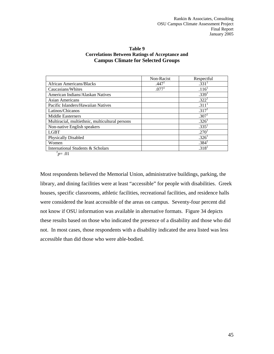| Table 9                                               |  |  |  |  |
|-------------------------------------------------------|--|--|--|--|
| <b>Correlations Between Ratings of Acceptance and</b> |  |  |  |  |
| <b>Campus Climate for Selected Groups</b>             |  |  |  |  |

|                                                 | Non-Racist        | Respectful        |
|-------------------------------------------------|-------------------|-------------------|
| <b>African Americans/Blacks</b>                 | .447 <sup>1</sup> | .331 <sup>1</sup> |
| Caucasians/Whites                               | .077 <sup>1</sup> | .116 <sup>1</sup> |
| American Indians/Alaskan Natives                |                   | .339 <sup>1</sup> |
| <b>Asian Americans</b>                          |                   | .322 <sup>1</sup> |
| Pacific Islanders/Hawaiian Natives              |                   | .311 <sup>1</sup> |
| Latinos/Chicanos                                |                   | .317 <sup>1</sup> |
| <b>Middle Easterners</b>                        |                   | .307 <sup>1</sup> |
| Multiracial, multiethnic, multicultural persons |                   | .326 <sup>1</sup> |
| Non-native English speakers                     |                   | .335 <sup>1</sup> |
| <b>LGBT</b>                                     |                   | .270 <sup>1</sup> |
| <b>Physically Disabled</b>                      |                   | .326 <sup>1</sup> |
| Women                                           |                   | .384 <sup>1</sup> |
| International Students & Scholars               |                   | .318 <sup>1</sup> |

 $^{1}p = .01$ 

Most respondents believed the Memorial Union, administrative buildings, parking, the library, and dining facilities were at least "accessible" for people with disabilities. Greek houses, specific classrooms, athletic facilities, recreational facilities, and residence halls were considered the least accessible of the areas on campus. Seventy-four percent did not know if OSU information was available in alternative formats. Figure 34 depicts these results based on those who indicated the presence of a disability and those who did not. In most cases, those respondents with a disability indicated the area listed was less accessible than did those who were able-bodied.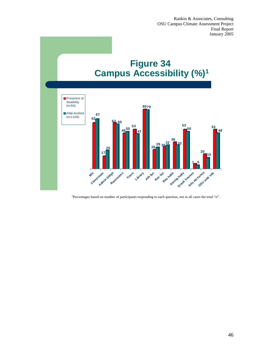

1 Percentages based on number of participants responding to each question, not in all cases the total "n".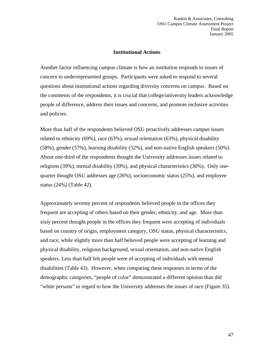# **Institutional Actions**

Another factor influencing campus climate is how an institution responds to issues of concern to underrepresented groups. Participants were asked to respond to several questions about institutional actions regarding diversity concerns on campus. Based on the comments of the respondents, it is crucial that college/university leaders acknowledge people of difference, address their issues and concerns, and promote inclusive activities and policies.

More than half of the respondents believed OSU proactively addresses campus issues related to ethnicity (69%), race (63%), sexual orientation (63%), physical disability (58%), gender (57%), learning disability (52%), and non-native English speakers (50%). About one-third of the respondents thought the University addresses issues related to religions (39%), mental disability (39%), and physical characteristics (30%). Only onequarter thought OSU addresses age (26%), socioeconomic status (25%), and employee status (24%) (Table 42).

Approximately seventy percent of respondents believed people in the offices they frequent are accepting of others based on their gender, ethnicity, and age. More than sixty percent thought people in the offices they frequent were accepting of individuals based on country of origin, employment category, OSU status, physical characteristics, and race, while slightly more than half believed people were accepting of learning and physical disability, religious background, sexual orientation, and non-native English speakers. Less than half felt people were of accepting of individuals with mental disabilities (Table 43). However, when comparing these responses in terms of the demographic categories, "people of color" demonstrated a different opinion than did "white persons" in regard to how the University addresses the issues of race (Figure 35).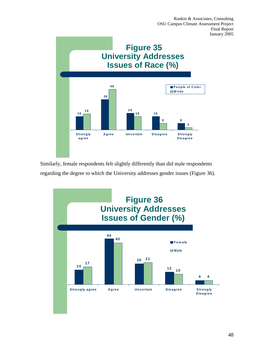

Similarly, female respondents felt slightly differently than did male respondents regarding the degree to which the University addresses gender issues (Figure 36).

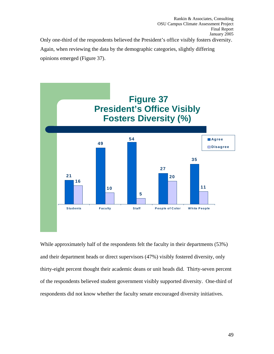Only one-third of the respondents believed the President's office visibly fosters diversity.

Again, when reviewing the data by the demographic categories, slightly differing opinions emerged (Figure 37).



While approximately half of the respondents felt the faculty in their departments (53%) and their department heads or direct supervisors (47%) visibly fostered diversity, only thirty-eight percent thought their academic deans or unit heads did. Thirty-seven percent of the respondents believed student government visibly supported diversity. One-third of respondents did not know whether the faculty senate encouraged diversity initiatives.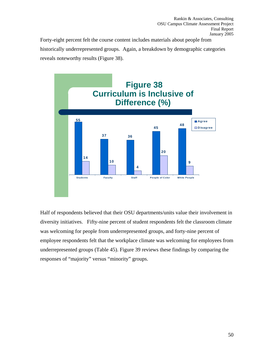Forty-eight percent felt the course content includes materials about people from historically underrepresented groups. Again, a breakdown by demographic categories reveals noteworthy results (Figure 38).



Half of respondents believed that their OSU departments/units value their involvement in diversity initiatives. Fifty-nine percent of student respondents felt the classroom climate was welcoming for people from underrepresented groups, and forty-nine percent of employee respondents felt that the workplace climate was welcoming for employees from underrepresented groups (Table 45). Figure 39 reviews these findings by comparing the responses of "majority" versus "minority" groups.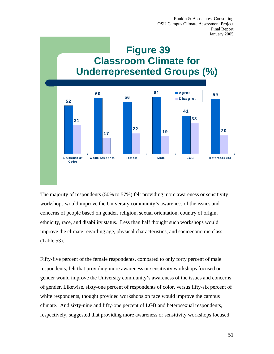

The majority of respondents (50% to 57%) felt providing more awareness or sensitivity workshops would improve the University community's awareness of the issues and concerns of people based on gender, religion, sexual orientation, country of origin, ethnicity, race, and disability status. Less than half thought such workshops would improve the climate regarding age, physical characteristics, and socioeconomic class (Table 53).

Fifty-five percent of the female respondents, compared to only forty percent of male respondents, felt that providing more awareness or sensitivity workshops focused on gender would improve the University community's awareness of the issues and concerns of gender. Likewise, sixty-one percent of respondents of color, versus fifty-six percent of white respondents, thought provided workshops on race would improve the campus climate. And sixty-nine and fifty-one percent of LGB and heterosexual respondents, respectively, suggested that providing more awareness or sensitivity workshops focused

51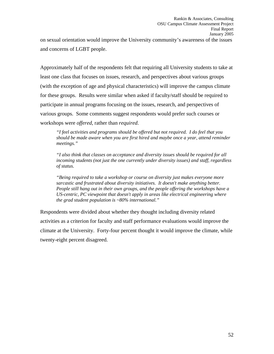on sexual orientation would improve the University community's awareness of the issues and concerns of LGBT people.

Approximately half of the respondents felt that requiring all University students to take at least one class that focuses on issues, research, and perspectives about various groups (with the exception of age and physical characteristics) will improve the campus climate for these groups. Results were similar when asked if faculty/staff should be required to participate in annual programs focusing on the issues, research, and perspectives of various groups. Some comments suggest respondents would prefer such courses or workshops were *offered*, rather than *required*.

*"I feel activities and programs should be offered but not required. I do feel that you should be made aware when you are first hired and maybe once a year, attend reminder meetings."* 

*"I also think that classes on acceptance and diversity issues should be required for all incoming students (not just the one currently under diversity issues) and staff, regardless of status.* 

*"Being required to take a workshop or course on diversity just makes everyone more sarcastic and frustrated about diversity initiatives. It doesn't make anything better. People still hang out in their own groups, and the people offering the workshops have a US-centric, PC viewpoint that doesn't apply in areas like electrical engineering where the grad student population is ~80% international."* 

Respondents were divided about whether they thought including diversity related activities as a criterion for faculty and staff performance evaluations would improve the climate at the University. Forty-four percent thought it would improve the climate, while twenty-eight percent disagreed.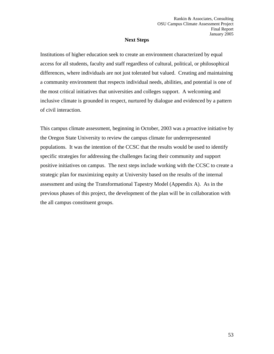# **Next Steps**

Institutions of higher education seek to create an environment characterized by equal access for all students, faculty and staff regardless of cultural, political, or philosophical differences, where individuals are not just tolerated but valued. Creating and maintaining a community environment that respects individual needs, abilities, and potential is one of the most critical initiatives that universities and colleges support. A welcoming and inclusive climate is grounded in respect, nurtured by dialogue and evidenced by a pattern of civil interaction.

This campus climate assessment, beginning in October, 2003 was a proactive initiative by the Oregon State University to review the campus climate for underrepresented populations. It was the intention of the CCSC that the results would be used to identify specific strategies for addressing the challenges facing their community and support positive initiatives on campus. The next steps include working with the CCSC to create a strategic plan for maximizing equity at University based on the results of the internal assessment and using the Transformational Tapestry Model (Appendix A). As in the previous phases of this project, the development of the plan will be in collaboration with the all campus constituent groups.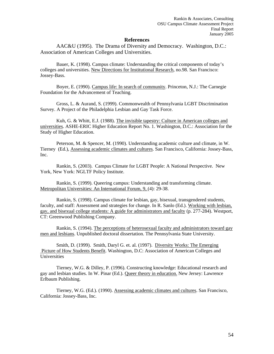### **References**

AAC&U (1995). The Drama of Diversity and Democracy. Washington, D.C.: Association of American Colleges and Universities.

Bauer, K. (1998). Campus climate: Understanding the critical components of today's colleges and universities. New Directions for Institutional Research, no.98. San Francisco: Jossey-Bass.

Boyer, E. (1990). Campus life: In search of community. Princeton, N.J.: The Carnegie Foundation for the Advancement of Teaching.

Gross, L. & Aurand, S. (1999). Commonwealth of Pennsylvania LGBT Discrimination Survey. A Project of the Philadelphia Lesbian and Gay Task Force.

Kuh, G. & Whitt, E.J. (1988). The invisible tapestry: Culture in American colleges and universities. ASHE-ERIC Higher Education Report No. 1. Washington, D.C.: Association for the Study of Higher Education.

Peterson, M. & Spencer, M. (1990). Understanding academic culture and climate, in W. Tierney (Ed.), Assessing academic climates and cultures. San Francisco, California: Jossey-Bass, Inc.

 Rankin, S. (2003). Campus Climate for LGBT People: A National Perspective. New York, New York: NGLTF Policy Institute.

Rankin, S. (1999). Queering campus: Understanding and transforming climate. Metropolitan Universities: An International Forum, 9, (4): 29-38.

Rankin, S. (1998). Campus climate for lesbian, gay, bisexual, transgendered students, faculty, and staff: Assessment and strategies for change. In R. Sanlo (Ed.). Working with lesbian, gay, and bisexual college students: A guide for administrators and faculty (p. 277-284). Westport, CT: Greenwood Publishing Company.

Rankin, S. (1994). The perceptions of heterosexual faculty and administrators toward gay men and lesbians. Unpublished doctoral dissertation. The Pennsylvania State University.

Smith, D. (1999). Smith, Daryl G. et. al. (1997). Diversity Works: The Emerging Picture of How Students Benefit. Washington, D.C: Association of American Colleges and Universities

Tierney, W.G. & Dilley, P. (1996). Constructing knowledge: Educational research and gay and lesbian studies. In W. Pinar (Ed.). Queer theory in education. New Jersey: Lawrence Erlbaum Publishing.

Tierney, W.G. (Ed.). (1990). Assessing academic climates and cultures. San Francisco, California: Jossey-Bass, Inc.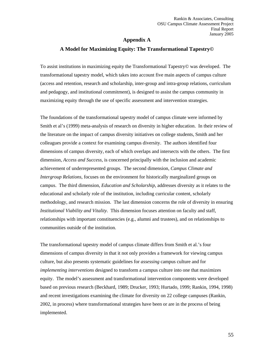# **Appendix A**

# **A Model for Maximizing Equity: The Transformational Tapestry©**

To assist institutions in maximizing equity the Transformational Tapestry© was developed. The transformational tapestry model, which takes into account five main aspects of campus culture (access and retention, research and scholarship, inter-group and intra-group relations, curriculum and pedagogy, and institutional commitment), is designed to assist the campus community in maximizing equity through the use of specific assessment and intervention strategies.

The foundations of the transformational tapestry model of campus climate were informed by Smith et al's (1999) meta-analysis of research on diversity in higher education. In their review of the literature on the impact of campus diversity initiatives on college students, Smith and her colleagues provide a context for examining campus diversity. The authors identified four dimensions of campus diversity, each of which overlaps and intersects with the others. The first dimension, *Access and Success*, is concerned principally with the inclusion and academic achievement of underrepresented groups. The second dimension, *Campus Climate and Intergroup Relations*, focuses on the environment for historically marginalized groups on campus. The third dimension, *Education and Scholarship*, addresses diversity as it relates to the educational and scholarly role of the institution, including curricular content, scholarly methodology, and research mission. The last dimension concerns the role of diversity in ensuring *Institutional Viability and Vitality*. This dimension focuses attention on faculty and staff, relationships with important constituencies (e.g., alumni and trustees), and on relationships to communities outside of the institution.

The transformational tapestry model of campus climate differs from Smith et al.'s four dimensions of campus diversity in that it not only provides a framework for viewing campus culture, but also presents systematic guidelines for *assessing* campus culture and for *implementing interventions* designed to transform a campus culture into one that maximizes equity. The model's assessment and transformational intervention components were developed based on previous research (Beckhard, 1989; Drucker, 1993; Hurtado, 1999; Rankin, 1994, 1998) and recent investigations examining the climate for diversity on 22 college campuses (Rankin, 2002, in process) where transformational strategies have been or are in the process of being implemented.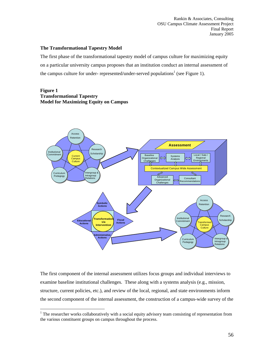### **The Transformational Tapestry Model**

The first phase of the transformational tapestry model of campus culture for maximizing equity on a particular university campus proposes that an institution conduct an internal assessment of the campus culture for under- represented/under-served populations<sup>1</sup> (see Figure 1).

# **Figure 1 Transformational Tapestry Model for Maximizing Equity on Campus**

 $\overline{a}$ 



The first component of the internal assessment utilizes focus groups and individual interviews to examine baseline institutional challenges. These along with a systems analysis (e.g., mission, structure, current policies, etc.), and review of the local, regional, and state environments inform the second component of the internal assessment, the construction of a campus-wide survey of the

<sup>&</sup>lt;sup>1</sup> The researcher works collaboratively with a social equity advisory team consisting of representation from the various constituent groups on campus throughout the process.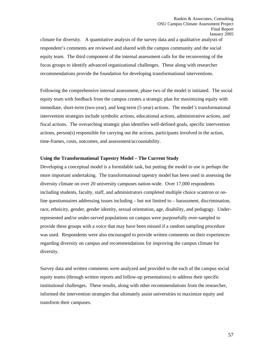climate for diversity. A quantitative analysis of the survey data and a qualitative analysis of respondent's comments are reviewed and shared with the campus community and the social equity team. The third component of the internal assessment calls for the reconvening of the focus groups to identify advanced organizational challenges. These along with researcher recommendations provide the foundation for developing transformational interventions.

Following the comprehensive internal assessment, phase two of the model is initiated. The social equity team with feedback from the campus creates a strategic plan for maximizing equity with immediate, short-term (two-year), and long-term (5-year) actions. The model's transformational intervention strategies include symbolic actions, educational actions, administrative actions, and fiscal actions. The overarching strategic plan identifies well-defined goals, specific intervention actions, person(s) responsible for carrying out the actions, participants involved in the action, time-frames, costs, outcomes, and assessment/accountability.

### **Using the Transformational Tapestry Model – The Current Study**

Developing a conceptual model is a formidable task, but putting the model to use is perhaps the more important undertaking. The transformational tapestry model has been used in assessing the diversity climate on over 20 university campuses nation-wide. Over 17,000 respondents including students, faculty, staff, and administrators completed multiple choice scantron or online questionnaires addressing issues including – but not limited to – harassment, discrimination, race, ethnicity, gender, gender identity, sexual orientation, age, disability, and pedagogy. Underrepresented and/or under-served populations on campus were purposefully over-sampled to provide these groups with a voice that may have been missed if a random sampling procedure was used. Respondents were also encouraged to provide written comments on their experiences regarding diversity on campus and recommendations for improving the campus climate for diversity.

Survey data and written comments were analyzed and provided to the each of the campus social equity teams (through written reports and follow-up presentations) to address their specific institutional challenges. These results, along with other recommendations from the researcher, informed the intervention strategies that ultimately assist universities to maximize equity and transform their campuses.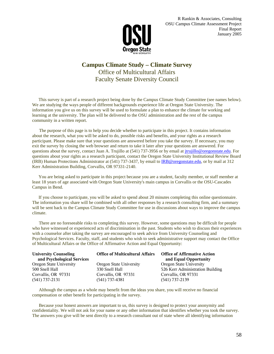

# **Campus Climate Study – Climate Survey**  Office of Multicultural Affairs Faculty Senate Diversity Council

This survey is part of a research project being done by the Campus Climate Study Committee (see names below). We are studying the ways people of different backgrounds experience life at Oregon State University. The information you give us on this survey will be used to formulate a plan to enhance the climate for working and learning at the university. The plan will be delivered to the OSU administration and the rest of the campus community in a written report.

 The purpose of this page is to help you decide whether to participate in this project. It contains information about the research, what you will be asked to do, possible risks and benefits, and your rights as a research participant. Please make sure that your questions are answered before you take the survey. If necessary, you may exit the survey by closing the web browser and return to take it later after your questions are answered. For questions about the survey, contact Juan A. Trujillo at (541) 737-3956 or by email at jtrujillo@oregonstate.edu. For questions about your rights as a research participant, contact the Oregon State University Institutional Review Board (IRB) Human Protections Administrator at (541) 737-3437, by email to IRB@oregonstate.edu, or by mail at 312 Kerr Administration Building, Corvallis, OR 97331-2140.

 You are being asked to participate in this project because you are a student, faculty member, or staff member at least 18 years of age associated with Oregon State University's main campus in Corvallis or the OSU-Cascades Campus in Bend.

 If you choose to participate, you will be asked to spend about 20 minutes completing this online questionnaire. The information you share will be combined with all other responses by a research consulting firm, and a summary will be sent back to the Campus Climate Study Committee for use in discussions about ways to improve the campus climate.

 There are no foreseeable risks to completing this survey. However, some questions may be difficult for people who have witnessed or experienced acts of discrimination in the past. Students who wish to discuss their experiences with a counselor after taking the survey are encouraged to seek advice from University Counseling and Psychological Services. Faculty, staff, and students who wish to seek administrative support may contact the Office of Multicultural Affairs or the Office of Affirmative Action and Equal Opportunity:

| <b>University Counseling</b> | <b>Office of Multicultural Affairs</b> | <b>Office of Affirmative Action</b> |
|------------------------------|----------------------------------------|-------------------------------------|
| and Psychological Services   |                                        | and Equal Opportunity               |
| Oregon State University      | <b>Oregon State University</b>         | <b>Oregon State University</b>      |
| 500 Snell Hall               | 330 Snell Hall                         | 526 Kerr Administration Building    |
| Corvallis, OR 97331          | Corvallis, OR 97331                    | Corvallis, OR 97331                 |
| $(541) 737 - 2131$           | (541) 737-4381                         | $(541)$ 737-2139                    |

 Although the campus as a whole may benefit from the ideas you share, you will receive no financial compensation or other benefit for participating in the survey.

 Because your honest answers are important to us, this survey is designed to protect your anonymity and confidentiality. We will not ask for your name or any other information that identifies whether you took the survey. The answers you give will be sent directly to a research consultant out of state where all identifying information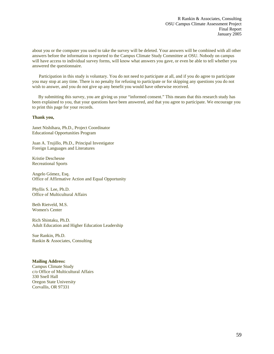about you or the computer you used to take the survey will be deleted. Your answers will be combined with all other answers before the information is reported to the Campus Climate Study Committee at OSU. Nobody on campus will have access to individual survey forms, will know what answers you gave, or even be able to tell whether you answered the questionnaire.

 Participation in this study is voluntary. You do not need to participate at all, and if you do agree to participate you may stop at any time. There is no penalty for refusing to participate or for skipping any questions you do not wish to answer, and you do not give up any benefit you would have otherwise received.

 By submitting this survey, you are giving us your "informed consent." This means that this research study has been explained to you, that your questions have been answered, and that you agree to participate. We encourage you to print this page for your records.

### **Thank you,**

Janet Nishihara, Ph.D., Project Coordinator Educational Opportunities Program

Juan A. Trujillo, Ph.D., Principal Investigator Foreign Languages and Literatures

Kristie Deschesne Recreational Sports

Angelo Gómez, Esq. Office of Affirmative Action and Equal Opportunity

Phyllis S. Lee, Ph.D. Office of Multicultural Affairs

Beth Rietveld, M.S. Women's Center

Rich Shintaku, Ph.D. Adult Education and Higher Education Leadership

Sue Rankin, Ph.D. Rankin & Associates, Consulting

#### **Mailing Address:**

Campus Climate Study c/o Office of Multicultural Affairs 330 Snell Hall Oregon State University Corvallis, OR 97331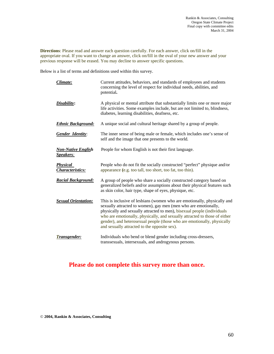**Directions**: Please read and answer each question carefully. For each answer, click on/fill in the appropriate oval. If you want to change an answer, click on/fill in the oval of your new answer and your previous response will be erased. You may decline to answer specific questions.

Below is a list of terms and definitions used within this survey.

| Climate:                                      | Current attitudes, behaviors, and standards of employees and students<br>concerning the level of respect for individual needs, abilities, and<br>potential.                                                                                                                                                                                                                                                                     |
|-----------------------------------------------|---------------------------------------------------------------------------------------------------------------------------------------------------------------------------------------------------------------------------------------------------------------------------------------------------------------------------------------------------------------------------------------------------------------------------------|
| Disability:                                   | A physical or mental attribute that substantially limits one or more major<br>life activities. Some examples include, but are not limited to, blindness,<br>diabetes, learning disabilities, deafness, etc.                                                                                                                                                                                                                     |
| <b>Ethnic Background:</b>                     | A unique social and cultural heritage shared by a group of people.                                                                                                                                                                                                                                                                                                                                                              |
| <b>Gender Identity:</b>                       | The inner sense of being male or female, which includes one's sense of<br>self and the image that one presents to the world.                                                                                                                                                                                                                                                                                                    |
| <b>Non-Native English</b><br><u>Speakers:</u> | People for whom English is not their first language.                                                                                                                                                                                                                                                                                                                                                                            |
| <b>Physical</b><br>Characteristics:           | People who do not fit the socially constructed "perfect" physique and/or<br>appearance (e.g. too tall, too short, too fat, too thin).                                                                                                                                                                                                                                                                                           |
| <b>Racial Background:</b>                     | A group of people who share a socially constructed category based on<br>generalized beliefs and/or assumptions about their physical features such<br>as skin color, hair type, shape of eyes, physique, etc.                                                                                                                                                                                                                    |
| <b>Sexual Orientation:</b>                    | This is inclusive of lesbians (women who are emotionally, physically and<br>sexually attracted to women), gay men (men who are emotionally,<br>physically and sexually attracted to men), bisexual people (individuals<br>who are emotionally, physically, and sexually attracted to those of either<br>gender), and heterosexual people (those who are emotionally, physically<br>and sexually attracted to the opposite sex). |
| Transgender:                                  | Individuals who bend or blend gender including cross-dressers,<br>transsexuals, intersexuals, and androgynous persons.                                                                                                                                                                                                                                                                                                          |

# **Please do not complete this survey more than once.**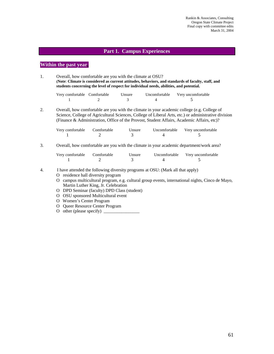### **Part 1. Campus Experiences**

# **Within the past year,**

1. Overall, how comfortable are you with the climate at OSU? **(Note**: **Climate is considered as current attitudes, behaviors, and standards of faculty, staff, and students concerning the level of respect for individual needs, abilities, and potential.** 

| Very comfortable Comfortable | <b>Unsure</b> | Uncomfortable Very uncomfortable |
|------------------------------|---------------|----------------------------------|
|                              |               |                                  |

2. Overall, how comfortable are you with the climate in your academic college (e.g. College of Science, College of Agricultural Sciences, College of Liberal Arts, etc.) or administrative division (Finance & Administration, Office of the Provost, Student Affairs, Academic Affairs, etc)?

| Very comfortable | Comfortable | Unsure | Uncomfortable | Very uncomfortable |
|------------------|-------------|--------|---------------|--------------------|
|                  |             |        |               |                    |

3. Overall, how comfortable are you with the climate in your academic department/work area?

| Very comfortable | Comfortable | Unsure | Uncomfortable Very uncomfortable |
|------------------|-------------|--------|----------------------------------|
|                  |             |        |                                  |

- 4. I have attended the following diversity programs at OSU: (Mark all that apply)
	- O residence hall diversity program
	- O campus multicultural program, e.g. cultural group events, international nights, Cinco de Mayo, Martin Luther King, Jr. Celebration
	- O DPD Seminar (faculty) DPD Class (student)
	- O OSU sponsored Multicultural event
	- O Women's Center Program
	- O Queer Resource Center Program
	- O other (please specify)  $\overline{\phantom{a}}$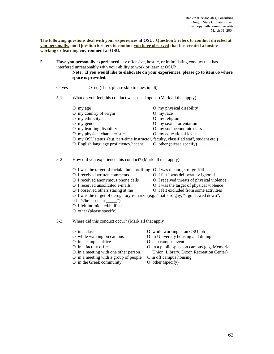**The following questions deal with your experiences at OSU. Question 5 refers to conduct directed at you personally, and Question 6 refers to conduct you have observed that has created a hostile working or learning environment at OSU.** 

5. **Have you personally experienced** any offensive, hostile, or intimidating conduct that has interfered unreasonably with your ability to work or learn at OSU?

### **Note: If you would like to elaborate on your experiences, please go to item 66 where space is provided.**

O yes O no (If no, please skip to question 6)

#### 5-1. What do you feel this conduct was based upon...(Mark all that apply)

| O my age                                                                             | O my physical disability |
|--------------------------------------------------------------------------------------|--------------------------|
| O my country of origin                                                               | O my race                |
| O my ethnicity                                                                       | O my religion            |
| O my gender                                                                          | O my sexual orientation  |
| O my learning disability                                                             | O my socioeconomic class |
| O my physical characteristics                                                        | O my educational level   |
| O my OSU status (e.g. part-time instructor, faculty, classified staff, student etc.) |                          |
| O English language proficiency/accent                                                | O other (please specify) |

### 5-2. How did you experience this conduct? (Mark all that apply)

- O I was the target of racial/ethnic profiling O I was the target of graffiti
- O I received written comments O I felt I was deliberately ignored
- - -
- O I received anonymous phone calls O I received threats of physical violence
- O I received unsolicited e-mails O I was the target of physical violence
	-
- O I observed others staring at me  $\overline{O}$  I felt excluded from some activities
- O I was the target of derogatory remarks (e.g. "that's so gay, "I got Jewed down", "she's/he's such a \_\_\_\_\_\_")
- O I felt intimidated/bullied
- O other (please specify)

5-3. Where did this conduct occur? (Mark all that apply)

- 
- 
- 
- 
- 
- O in a meeting with a group of people O in off campus housing
- O in the Greek community O other (specify)
- O in a class O while working at an OSU job
- O while walking on campus O in University housing and dining
- O in a campus office  $\qquad \qquad$  O at a campus event
- O in a faculty office O in a public space on campus (e.g. Memorial O in a meeting with one other person Union, Library, Dixon Recreation Center)
	-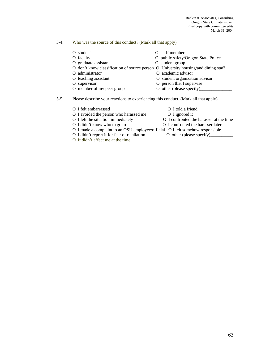# 5-4. Who was the source of this conduct? (Mark all that apply)

| O student                 | O staff member                                                                     |
|---------------------------|------------------------------------------------------------------------------------|
| O faculty                 | O public safety/Oregon State Police                                                |
| O graduate assistant      | O student group                                                                    |
|                           | O don't know classification of source person O University housing/and dining staff |
| O administrator           | O academic advisor                                                                 |
| O teaching assistant      | O student organization advisor                                                     |
| O supervisor              | O person that I supervise                                                          |
| O member of my peer group | O other (please specify)                                                           |

5-5. Please describe your reactions to experiencing this conduct. (Mark all that apply)

| O I felt embarrassed                                                          | O I told a friend                       |
|-------------------------------------------------------------------------------|-----------------------------------------|
| O I avoided the person who harassed me                                        | O I ignored it                          |
| O I left the situation immediately                                            | O I confronted the harasser at the time |
| O I didn't know who to go to                                                  | O I confronted the harasser later       |
| O I made a complaint to an OSU employee/official O I felt somehow responsible |                                         |
| O I didn't report it for fear of retaliation                                  |                                         |
| O It didn't affect me at the time                                             |                                         |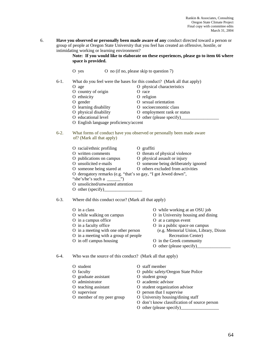6. **Have you observed or personally been made aware of any** conduct directed toward a person or group of people at Oregon State University that you feel has created an offensive, hostile, or intimidating working or learning environment?

**Note: If you would like to elaborate on these experiences, please go to item 66 where space is provided.** 

O yes O no (if no, please skip to question 7)

6-1. What do you feel were the bases for this conduct? (Mark all that apply)

| O age                                 | O physical characteristics  |
|---------------------------------------|-----------------------------|
| O country of origin                   | O race                      |
| O ethnicity                           | O religion                  |
| O gender                              | O sexual orientation        |
| O learning disability                 | O socioeconomic class       |
| O physical disability                 | O employment rank or status |
| O educational level                   | O other (please specify)    |
| O English language proficiency/accent |                             |

### 6-2. What forms of conduct have you observed or personally been made aware of? (Mark all that apply)

- O racial/ethnic profiling O graffiti
- O written comments O threats of physical violence
- O publications on campus O physical assault or injury
- O unsolicited e-mails O someone being deliberately ignored
- -
- O someone being stared at O others excluded from activities
- O derogatory remarks (e.g. "that's so gay, "I got Jewed down",
- "she's/he's such a  $\qquad$ ")
- O unsolicited/unwanted attention
- O other (specify)

6-3. Where did this conduct occur? (Mark all that apply)

- 
- 
- 
- 
- 
- O in a meeting with a group of people Recreation Center)
- O in off campus housing O in the Greek community
- O in a class O while working at an OSU job
- O while walking on campus O in University housing and dining
- O in a campus office  $\qquad \qquad$  O at a campus event
- O in a faculty office  $\qquad \qquad$  O in a public space on campus
- O in a meeting with one other person (e.g. Memorial Union, Library, Dixon
	-
	- O other (please specify)\_

6-4. Who was the source of this conduct? (Mark all that apply)

- O student O staff member
- 
- O graduate assistant O student group
- 
- 
- 
- O supervisor<br>
O person that I supervise<br>
O member of my peer group<br>
O University housing/din
- 
- O faculty O public safety/Oregon State Police
	-
- O administrator O academic advisor
- O teaching assistant O student organization advisor
	-
	- O University housing/dining staff
	- O don't know classification of source person
	- O other (please specify)\_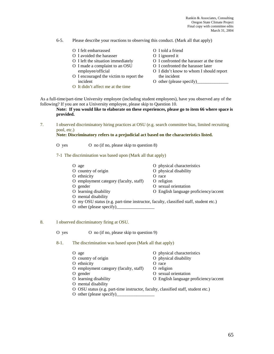Rankin & Associates, Consulting Oregon State Climate Project Final copy with committee edits March 31, 2004

6-5. Please describe your reactions to observing this conduct. (Mark all that apply)

- O I felt embarrassed O I told a friend
- 
- O I avoided the harasser<br>
O I ignored it<br>
O I confronted O I confronted of L
- 
- O I encouraged the victim to report the the incident incident O other (please specify)
- O It didn't affect me at the time
- 
- 
- O I confronted the harasser at the time
- O I made a complaint to an OSU O I confronted the harasser later
	- employee/official O I didn't know to whom I should report
		-

As a full-time/part-time University employee (including student employees), have you observed any of the following? If you are not a University employee, please skip to Question 10.

### **Note: If you would like to elaborate on these experiences, please go to item 66 where space is provided.**

7. I observed discriminatory hiring practices at OSU (e.g. search committee bias, limited recruiting pool, etc.)

### **Note: Discriminatory refers to a prejudicial act based on the characteristics listed.**

- O yes O no (if no, please skip to question 8)
- 7-1 The discrimination was based upon (Mark all that apply)

| $\sigma$ age                           | O physical characteristics            |
|----------------------------------------|---------------------------------------|
| O country of origin                    | O physical disability                 |
| O ethnicity                            | O race                                |
| O employment category (faculty, staff) | O religion                            |
| O gender                               | O sexual orientation                  |
| O learning disability                  | O English language proficiency/accent |
| O mental disability                    |                                       |

- O my OSU status (e.g. part-time instructor, faculty, classified staff, student etc.)
- O other (please specify)\_\_\_\_\_\_\_\_\_\_\_\_\_\_\_\_\_
- 8. I observed discriminatory firing at OSU.
	- O yes O no (if no, please skip to question 9)
	- 8-1. The discrimination was based upon (Mark all that apply)

| O age                                  | O physical characteristics            |
|----------------------------------------|---------------------------------------|
| O country of origin                    | O physical disability                 |
| O ethnicity                            | O race                                |
| O employment category (faculty, staff) | O religion                            |
| O gender                               | O sexual orientation                  |
| O learning disability                  | O English language proficiency/accent |
| O mental disability                    |                                       |
|                                        |                                       |

O OSU status (e.g. part-time instructor, faculty, classified staff, student etc.)

O other (please specify)\_\_\_\_\_\_\_\_\_\_\_\_\_\_\_\_\_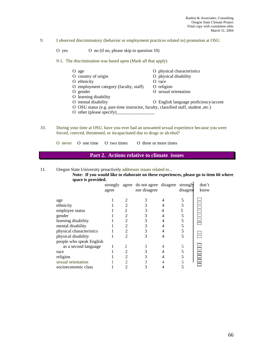9. I observed discriminatory (behavior or employment practices related to) promotion at OSU.

O yes O no (if no, please skip to question 10)

9-1. The discrimination was based upon (Mark all that apply)

- O age O physical characteristics<br>
O country of origin O physical disability O physical disability O ethnicity O race O employment category (faculty, staff) O religion O gender O sexual orientation O learning disability
- 
- O mental disability O English language proficiency/accent
- O OSU status (e.g. part-time instructor, faculty, classified staff, student ,etc.)
- O other (please specify)
- 10. During your time at OSU, have you ever had an unwanted sexual experience because you were forced, coerced, threatened, or incapacitated due to drugs or alcohol?

O never O one time O two times O three or more times

# **Part 2. Actions relative to climate issues**

11. Oregon State University proactively addresses issues related to...

**Note: If you would like to elaborate on these experiences, please go to item 66 where space is provided.** 

|                                               | agree |                             | strongly agree do not agree disagree<br>nor disagree | strongly<br>disagree | don't<br>know |
|-----------------------------------------------|-------|-----------------------------|------------------------------------------------------|----------------------|---------------|
| age                                           |       |                             |                                                      |                      |               |
| ethnicity<br>employee status                  |       |                             | 3<br>3                                               | 5                    |               |
| gender                                        |       |                             | 3                                                    |                      |               |
| learning disability                           |       |                             | 3                                                    | 5                    |               |
| mental disability<br>physical characteristics |       | $\overline{2}$              | 3<br>3                                               | 5                    |               |
| physical disability                           |       | $\mathcal{D}_{\mathcal{L}}$ | 3                                                    |                      |               |
| people who speak English                      |       |                             |                                                      |                      |               |
| as a second language<br>race                  |       |                             |                                                      |                      |               |
| religion                                      |       |                             | 3                                                    |                      |               |
| sexual orientation                            |       |                             |                                                      |                      |               |
| socioeconomic class                           |       |                             |                                                      |                      |               |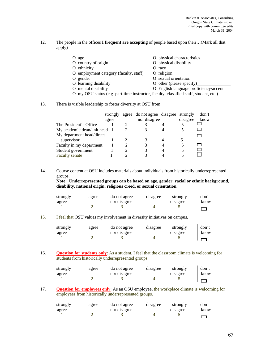12. The people in the offices **I frequent are accepting** of people based upon their…(Mark all that apply)

| O age                                                                                 | O physical characteristics            |  |  |  |  |
|---------------------------------------------------------------------------------------|---------------------------------------|--|--|--|--|
| O country of origin                                                                   | O physical disability                 |  |  |  |  |
| O ethnicity                                                                           | O race                                |  |  |  |  |
| O employment category (faculty, staff)                                                | O religion                            |  |  |  |  |
| O gender                                                                              | O sexual orientation                  |  |  |  |  |
| O learning disability                                                                 | O other (please specify)              |  |  |  |  |
| O mental disability                                                                   | O English language proficiency/accent |  |  |  |  |
| O my OSU status (e.g. part-time instructor, faculty, classified staff, student, etc.) |                                       |  |  |  |  |

13. There is visible leadership to foster diversity at OSU from:

|                              | strongly<br>agree | agree do not agree disagree<br>nor disagree | strongly<br>disagree | don't<br>know |
|------------------------------|-------------------|---------------------------------------------|----------------------|---------------|
| The President's Office       |                   |                                             |                      |               |
| My academic dean/unit head 1 |                   |                                             |                      |               |
| My department head/direct    |                   |                                             |                      |               |
| supervisor                   |                   |                                             |                      |               |
| Faculty in my department     |                   |                                             |                      |               |
| Student government           |                   |                                             |                      |               |
| <b>Faculty senate</b>        |                   |                                             |                      |               |

14. Course content at OSU includes materials about individuals from historically underrepresented groups.

**Note: Underrepresented groups can be based on age, gender, racial or ethnic background, disability, national origin, religious creed, or sexual orientation.**

| strongly | agree | do not agree | disagree | strongly | don't |
|----------|-------|--------------|----------|----------|-------|
| agree    |       | nor disagree |          | disagree | know  |
|          |       |              |          |          |       |

### 15. I feel that OSU values my involvement in diversity initiatives on campus.

| strongly | agree | do not agree | disagree | strongly | don't |
|----------|-------|--------------|----------|----------|-------|
| agree    |       | nor disagree |          | disagree | know  |
|          |       |              |          |          |       |

16. **Question for students only**: As a student, I feel that the classroom climate is welcoming for students from historically underrepresented groups.

| strongly | agree | do not agree | disagree | strongly | don't |
|----------|-------|--------------|----------|----------|-------|
| agree    |       | nor disagree |          | disagree | know  |
|          |       |              |          |          |       |

17. **Question for employees only**: As an OSU employee, the workplace climate is welcoming for employees from historically underrepresented groups.

| strongly | agree | do not agree | disagree | strongly | don't |
|----------|-------|--------------|----------|----------|-------|
| agree    |       | nor disagree |          | disagree | know  |
|          |       |              |          |          |       |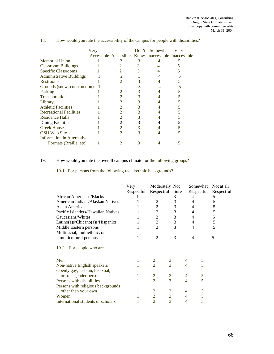|                                   | Very |                |   | Don't Somewhat                                       | Very |
|-----------------------------------|------|----------------|---|------------------------------------------------------|------|
|                                   |      |                |   | Accessible Accessible Know Inaccessible Inaccessible |      |
| Memorial Union                    |      |                | 3 |                                                      |      |
| <b>Classroom Buildings</b>        |      |                |   |                                                      |      |
| <b>Specific Classrooms</b>        |      |                |   |                                                      |      |
| <b>Administrative Buildings</b>   |      |                |   |                                                      |      |
| Restrooms                         |      | 2              |   |                                                      |      |
| Grounds (snow, construction)      |      |                |   |                                                      |      |
| Parking                           |      |                |   |                                                      |      |
| Transportation                    |      |                |   |                                                      |      |
| Library                           |      | 2              |   |                                                      |      |
| <b>Athletic Facilities</b>        |      |                |   |                                                      |      |
| <b>Recreational Facilities</b>    |      |                |   |                                                      |      |
| Residence Halls                   |      |                |   |                                                      |      |
| <b>Dining Facilities</b>          |      | 2              |   |                                                      |      |
| <b>Greek Houses</b>               |      | 2              |   |                                                      |      |
| <b>OSU</b> Web Site               |      | $\mathfrak{D}$ |   |                                                      |      |
| <b>Information in Alternative</b> |      |                |   |                                                      |      |
| Formats (Braille, etc)            |      |                |   |                                                      |      |

## 18. How would you rate the accessibility of the campus for people with disabilities?

## 19. How would you rate the overall campus climate for the following groups?

19-1. For persons from the following racial/ethnic backgrounds?

|                                    | Very       | Moderately Not |                | Somewhat       |   | Not at all |
|------------------------------------|------------|----------------|----------------|----------------|---|------------|
|                                    | Respectful | Respectful     | Sure           | Respectful     |   | Respectful |
| <b>African Americans/Blacks</b>    |            | 2              | 3              | 4              |   | 5          |
| American Indians/Alaskan Natives   |            |                | 3              | 4              |   | 5          |
| <b>Asian Americans</b>             |            | 2              | 3              | 4              |   | 5          |
| Pacific Islanders/Hawaiian Natives |            | 2              | 3              | 4              |   | 5          |
| Caucasians/Whites                  |            | 2              | 3              | $\overline{4}$ |   | 5          |
| Latino(a)s/Chicano(a)s/Hispanics   |            | $\overline{c}$ | 3              | 4              |   | 5          |
| Middle Eastern persons             |            | $\overline{2}$ | 3              | $\overline{4}$ |   | 5          |
| Multiracial, multiethnic, or       |            |                |                |                |   |            |
| multicultural persons              | 1          | $\mathfrak{D}$ | 3              | $\overline{4}$ |   | 5          |
| 19-2. For people who are           |            |                |                |                |   |            |
| Men                                |            | 2              | 3              |                | 5 |            |
| Non-native English speakers        |            | $\overline{2}$ | 3              | 4              | 5 |            |
| Openly gay, lesbian, bisexual,     |            |                |                |                |   |            |
| or transgender persons             |            | $\overline{2}$ | 3              | 4              | 5 |            |
| Persons with disabilities          |            | $\overline{2}$ | $\overline{3}$ | $\overline{4}$ | 5 |            |
| Persons with religious backgrounds |            |                |                |                |   |            |
| other than your own                |            | $\overline{2}$ | 3              | 4              | 5 |            |
| Women                              |            | $\overline{2}$ | 3              | 4              | 5 |            |
| International students or scholars |            | $\overline{2}$ | 3              | 4              | 5 |            |
|                                    |            |                |                |                |   |            |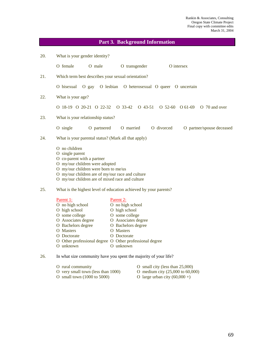## **Part 3. Background Information**

| 20.                      | What is your gender identity?                                                                                                                                                                                                                          |                                                                                                                                                        |  |  |  |  |
|--------------------------|--------------------------------------------------------------------------------------------------------------------------------------------------------------------------------------------------------------------------------------------------------|--------------------------------------------------------------------------------------------------------------------------------------------------------|--|--|--|--|
|                          | O female<br>O male                                                                                                                                                                                                                                     | O transgender<br>O intersex                                                                                                                            |  |  |  |  |
| 21.                      | Which term best describes your sexual orientation?                                                                                                                                                                                                     |                                                                                                                                                        |  |  |  |  |
|                          | O gay O lesbian O heterosexual O queer O uncertain<br>O bisexual                                                                                                                                                                                       |                                                                                                                                                        |  |  |  |  |
| 22.<br>What is your age? |                                                                                                                                                                                                                                                        |                                                                                                                                                        |  |  |  |  |
|                          | 0 18-19 0 20-21 0 22-32 0 33-42 0 43-51                                                                                                                                                                                                                | $O$ 52-60 $O$ 61-69<br>O 70 and over                                                                                                                   |  |  |  |  |
| 23.                      | What is your relationship status?                                                                                                                                                                                                                      |                                                                                                                                                        |  |  |  |  |
|                          | O single<br>O partnered                                                                                                                                                                                                                                | O married<br>O divorced<br>O partner/spouse deceased                                                                                                   |  |  |  |  |
| 24.                      | What is your parental status? (Mark all that apply)                                                                                                                                                                                                    |                                                                                                                                                        |  |  |  |  |
|                          | $\Omega$ no children<br>O single parent<br>O co-parent with a partner<br>O my/our children were adopted<br>O my/our children were born to me/us<br>O my/our children are of my/our race and culture<br>O my/our children are of mixed race and culture |                                                                                                                                                        |  |  |  |  |
| 25.                      |                                                                                                                                                                                                                                                        | What is the highest level of education achieved by your parents?                                                                                       |  |  |  |  |
|                          | Parent 1:<br>O no high school<br>O high school<br>O some college<br>O Associates degree<br>O Bachelors degree<br>O Masters<br>O Doctorate<br>O Other professional degree O Other professional degree<br>O unknown                                      | Parent 2:<br>O no high school<br>O high school<br>O some college<br>O Associates degree<br>O Bachelors degree<br>O Masters<br>O Doctorate<br>O unknown |  |  |  |  |

## 26. In what size community have you spent the majority of your life?

|  |  | O rural community |
|--|--|-------------------|
|--|--|-------------------|

- O small city (less than  $25,000$ )<br>O medium city  $(25,000 \text{ to } 60,000)$
- O very small town (less than 1000)<br>O small town (1000 to 5000)
- 
- 
- O large urban city  $(60,000 +)$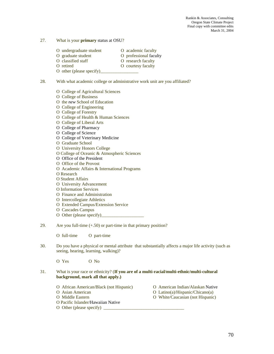- 27. What is your **primary** status at OSU?
	- O undergraduate student O academic faculty
	- O graduate student O professional faculty

- O classified staff O research faculty
- O retired O courtesy faculty
- O other (please specify)\_
- 28. With what academic college or administrative work unit are you affiliated?
	- O College of Agricultural Sciences
	- O College of Business
	- O the *new* School of Education
	- O College of Engineering
	- O College of Forestry
	- O College of Health & Human Sciences
	- O College of Liberal Arts
	- O College of Pharmacy
	- O College of Science
	- O College of Veterinary Medicine
	- O Graduate School
	- O University Honors College
	- O College of Oceanic & Atmospheric Sciences
	- O Office of the President
	- O Office of the Provost
	- O Academic Affairs & International Programs
	- O Research
	- O Student Affairs
	- O University Advancement
	- O Information Services
	- O Finance and Administration
	- O Intercollegiate Athletics
	- O Extended Campus/Extension Service
	- O Cascades Campus
	- O Other (please specify)\_\_\_\_\_\_\_\_\_\_\_\_\_\_\_\_\_\_\_
- 29. Are you full-time (+.50) or part-time in that primary position?

O full-time O part-time

30. Do you have a physical or mental attribute that substantially affects a major life activity (such as seeing, hearing, learning, walking)?

O Yes O No

- 31. What is your race or ethnicity? (**If you are of a multi-racial/multi-ethnic/multi-cultural background, mark all that apply.)** 
	- O African American/Black (not Hispanic) O American Indian/Alaskan Native
	-
	-
	- O Pacific Islander/Hawaiian Native
	- O Other (please specify)  $\Box$
- 
- O Asian American O Latino(a)/Hispanic/Chicano(a)
- O Middle Eastern O White/Caucasian (not Hispanic)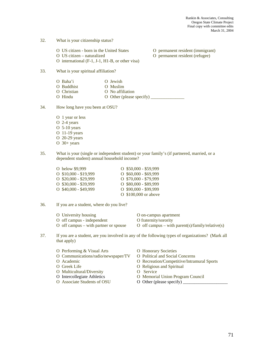- 32. What is your citizenship status?
	- O US citizen born in the United States O permanent resident (immigrant) O US citizen – naturalized O permanent resident (refugee)
	- O international (F-1, J-1, H1-B, or other visa)
- 33. What is your spiritual affiliation?
	- O Baha'i O Jewish O Buddhist O Muslim O Christian O No affiliation O Hindu O Other (please specify)
- 34. How long have you been at OSU?
	- O 1 year or less O 2-4 years O 5-10 years O 11-19 years O 20-29 years O 30+ years
- 35. What is your (single or independent student) or your family's (if partnered, married, or a dependent student) annual household income?
	- O below \$9,999 O \$50,000 \$59,999 O \$10,000 - \$19,999 O \$60,000 - \$69,999 O \$20,000 - \$29,999 O \$70,000 - \$79,999 O \$30,000 - \$39,999 O \$80,000 - \$89,999 O \$40,000 - \$49,999 O \$90,000 - \$99,999 O \$100,000 or above
- 36. If you are a student, where do you live?

| O University housing                  | O on-campus apartment                            |
|---------------------------------------|--------------------------------------------------|
| O off campus - independent            | O fraternity/sorority                            |
| O off campus – with partner or spouse | O off campus – with parent(s)/family/relative(s) |

- 37. If you are a student, are you involved in any of the following types of organizations? (Mark all that apply)
	- O Performing & Visual Arts **O Honorary Societies**
	- O Communications/radio/newspaper/TV O Political and Social Concerns
	-
	-
	- O Multicultural/Diversity O Service
	-
	- O Associate Students of OSU O Other (please specify) \_\_\_\_\_\_\_\_\_\_\_\_\_\_\_\_\_\_\_\_\_\_\_\_\_\_\_\_
- 
- - O Academic O Recreation/Competitive/Intramural Sports
	- O Greek Life **O** Religious and Spiritual
		-
	- O Intercollegiate Athletics O Memorial Union Program Council
		-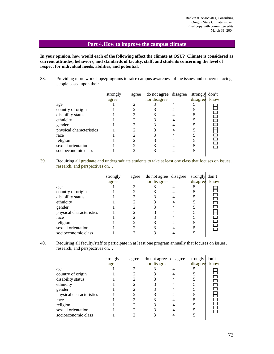## **Part 4. How to improve the campus climate**

**In your opinion, how would each of the following affect the climate at OSU? Climate is considered as current attitudes, behaviors, and standards of faculty, staff, and students concerning the level of respect for individual needs, abilities, and potential.** 

38. Providing more workshops/programs to raise campus awareness of the issues and concerns facing people based upon their…

|                          | strongly | agree | do not agree disagree | strongly | don't |
|--------------------------|----------|-------|-----------------------|----------|-------|
|                          | agree    |       | nor disagree          | disagree | know  |
| age                      |          |       |                       |          |       |
| country of origin        |          |       |                       |          |       |
| disability status        |          |       |                       |          |       |
| ethnicity                |          |       |                       |          |       |
| gender                   |          |       |                       |          |       |
| physical characteristics |          |       |                       |          |       |
| race                     |          |       |                       |          |       |
| religion                 |          |       |                       |          |       |
| sexual orientation       |          |       |                       |          |       |
| socioeconomic class      |          |       |                       |          |       |
|                          |          |       |                       |          |       |

39. Requiring all graduate and undergraduate students to take at least one class that focuses on issues, research, and perspectives on…

|                          | strongly<br>agree | agree | do not agree disagree<br>nor disagree | strongly<br>disagree | don't<br>know |
|--------------------------|-------------------|-------|---------------------------------------|----------------------|---------------|
| age                      |                   |       |                                       |                      |               |
| country of origin        |                   |       |                                       |                      |               |
| disability status        |                   |       |                                       |                      |               |
| ethnicity                |                   |       |                                       |                      |               |
| gender                   |                   |       |                                       |                      |               |
| physical characteristics |                   |       |                                       |                      |               |
| race                     |                   |       |                                       |                      |               |
| religion                 |                   |       |                                       |                      |               |
| sexual orientation       |                   |       |                                       |                      |               |
| socioeconomic class      |                   |       |                                       |                      |               |
|                          |                   |       |                                       |                      |               |

40. Requiring all faculty/staff to participate in at least one program annually that focuses on issues, research, and perspectives on…

|                          | strongly | agree | do not agree disagree | strongly don't |      |
|--------------------------|----------|-------|-----------------------|----------------|------|
|                          | agree    |       | nor disagree          | disagree       | know |
| age                      |          |       |                       |                |      |
| country of origin        |          |       |                       |                |      |
| disability status        |          |       |                       |                |      |
| ethnicity                |          |       |                       |                |      |
| gender                   |          |       |                       |                |      |
| physical characteristics |          |       |                       |                |      |
| race                     |          |       |                       |                |      |
| religion                 |          |       |                       |                |      |
| sexual orientation       |          |       |                       |                |      |
| socioeconomic class      |          |       |                       |                |      |
|                          |          |       |                       |                |      |

 $\mathbf{r}$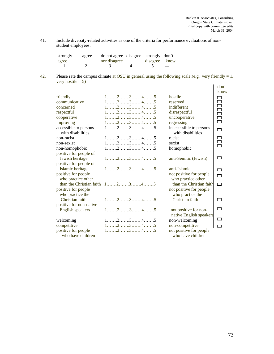41. Include diversity-related activities as one of the criteria for performance evaluations of nonstudent employees.  $\overline{1}$ 

| strongly | agree | do not agree disagree strongly don't |               |  |
|----------|-------|--------------------------------------|---------------|--|
| agree    |       | nor disagree                         | disagree know |  |
|          |       |                                      |               |  |

42. Please rate the campus climate at OSU in general using the following scale:(e.g. very friendly  $= 1$ , very hostile  $= 5$ )

|                                            |                                                                          |                                              | don't                                                                            |
|--------------------------------------------|--------------------------------------------------------------------------|----------------------------------------------|----------------------------------------------------------------------------------|
|                                            |                                                                          |                                              | know                                                                             |
| friendly                                   | $1, \ldots, 2, \ldots, 3, \ldots, 4, \ldots, 5$                          | hostile                                      |                                                                                  |
| communicative                              | $1, \ldots, 2, \ldots, 3, \ldots, 4, \ldots, 5$                          | reserved                                     |                                                                                  |
| concerned                                  | $1, \ldots, 2, \ldots, 3, \ldots, 4, \ldots, 5$                          | indifferent                                  |                                                                                  |
| respectful                                 | $1, \ldots, 2, \ldots, 3, \ldots, 4, \ldots, 5$                          | disrespectful                                |                                                                                  |
| cooperative                                | $1, \ldots, 2, \ldots, 3, \ldots, 4, \ldots, 5$                          | uncooperative                                | n<br>B<br>B<br>B<br>B<br>B<br>B<br>S<br>S<br>S<br>S<br>S<br><br><br><br><br><br> |
| improving                                  | $1, \ldots, 2, \ldots, 3, \ldots, 4, \ldots, 5$                          | regressing                                   |                                                                                  |
| accessible to persons<br>with disabilities | $1, \ldots, 2, \ldots, 3, \ldots, 4, \ldots, 5$                          | inaccessible to persons<br>with disabilities | $\Box$                                                                           |
| non-racist                                 | $1, \ldots, 2, \ldots, 3, \ldots, 4, \ldots, 5$                          | racist                                       |                                                                                  |
| non-sexist                                 | $1, \ldots, 2, \ldots, 3, \ldots, 4, \ldots, 5$                          | sexist                                       |                                                                                  |
| non-homophobic                             | $1$ 2345                                                                 | homophobic                                   |                                                                                  |
| positive for people of                     |                                                                          |                                              |                                                                                  |
| Jewish heritage                            | $1, \ldots, 2, \ldots, 3, \ldots, 4, \ldots, 5$                          | anti-Semitic (Jewish)                        |                                                                                  |
| positive for people of                     |                                                                          |                                              |                                                                                  |
| Islamic heritage                           | $1, \ldots, 2, \ldots, 3, \ldots, 4, \ldots, 5$                          | anti-Islamic                                 |                                                                                  |
| positive for people                        |                                                                          | not positive for people                      | $\Box$                                                                           |
| who practice other                         |                                                                          | who practice other                           |                                                                                  |
|                                            | than the Christian faith $1, \ldots, 2, \ldots, 3, \ldots, 4, \ldots, 5$ | than the Christian faith                     | $\Box$                                                                           |
| positive for people                        |                                                                          | not positive for people                      |                                                                                  |
| who practice the                           |                                                                          | who practice the                             |                                                                                  |
| Christian faith                            | $1, \ldots, 2, \ldots, 3, \ldots, 4, \ldots, 5$                          | Christian faith                              |                                                                                  |
| positive for non-native                    |                                                                          |                                              |                                                                                  |
| English speakers                           | $1, \ldots, 2, \ldots, 3, \ldots, 4, \ldots, 5$                          | not positive for non-                        |                                                                                  |
|                                            |                                                                          | native English speakers                      |                                                                                  |
| welcoming                                  | $1$ 2345                                                                 | non-welcoming                                | $\Box$                                                                           |
| competitive                                | $1, \ldots, 2, \ldots, 3, \ldots, 4, \ldots, 5$                          | non-competitive                              |                                                                                  |
| positive for people                        | $1$ 2345                                                                 | not positive for people                      |                                                                                  |
| who have children                          |                                                                          | who have children                            |                                                                                  |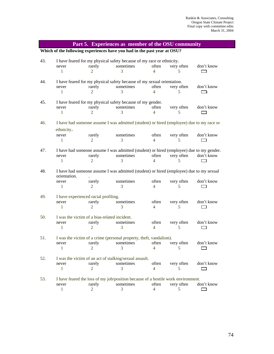| Part 5. Experiences as member of the OSU community                           |                                              |                |                                                                                          |                |            |            |  |  |
|------------------------------------------------------------------------------|----------------------------------------------|----------------|------------------------------------------------------------------------------------------|----------------|------------|------------|--|--|
|                                                                              |                                              |                | Which of the following experiences have you had in the past year at OSU?                 |                |            |            |  |  |
| 43.<br>I have feared for my physical safety because of my race or ethnicity. |                                              |                |                                                                                          |                |            |            |  |  |
|                                                                              | never                                        | rarely         | sometimes                                                                                | often          | very often | don't know |  |  |
|                                                                              | 1                                            | 2              | 3                                                                                        | 4              | 5          |            |  |  |
| 44.                                                                          |                                              |                | I have feared for my physical safety because of my sexual orientation.                   |                |            |            |  |  |
|                                                                              | never                                        | rarely         | sometimes                                                                                | often          | very often | don't know |  |  |
|                                                                              | $\mathbf{1}$                                 | 2              | 3                                                                                        | 4              | 5          | 一下         |  |  |
| 45.                                                                          |                                              |                | I have feared for my physical safety because of my gender.                               |                |            |            |  |  |
|                                                                              | never                                        | rarely         | sometimes                                                                                | often          | very often | don't know |  |  |
|                                                                              | $\mathbf{1}$                                 | 2              | 3                                                                                        | 4              | 5          |            |  |  |
| 46.                                                                          |                                              |                | I have had someone assume I was admitted (student) or hired (employee) due to my race or |                |            |            |  |  |
|                                                                              | ethnicity.                                   |                |                                                                                          |                |            |            |  |  |
|                                                                              | never                                        | rarely         | sometimes                                                                                | often          | very often | don't know |  |  |
|                                                                              | $\mathbf{1}$                                 | 2              | 3                                                                                        | 4              | 5          | ┌─┐        |  |  |
| 47.                                                                          |                                              |                | I have had someone assume I was admitted (student) or hired (employee) due to my gender. |                |            |            |  |  |
|                                                                              | never                                        | rarely         | sometimes                                                                                | often          | very often | don't know |  |  |
|                                                                              | $\mathbf{1}$                                 | $\overline{2}$ | 3                                                                                        | 4              | 5          |            |  |  |
| 48.                                                                          | orientation.                                 |                | I have had someone assume I was admitted (student) or hired (employee) due to my sexual  |                |            |            |  |  |
|                                                                              | never                                        | rarely         | sometimes                                                                                | often          | very often | don't know |  |  |
|                                                                              | $\mathbf{1}$                                 | 2              | 3                                                                                        | 4              | 5          |            |  |  |
| 49.                                                                          | I have experienced racial profiling.         |                |                                                                                          |                |            |            |  |  |
|                                                                              | never                                        | rarely         | sometimes                                                                                | often          | very often | don't know |  |  |
|                                                                              | $\mathbf{1}$                                 | 2              | 3                                                                                        | $\overline{4}$ | 5          |            |  |  |
| 50.                                                                          | I was the victim of a bias-related incident. |                |                                                                                          |                |            |            |  |  |
|                                                                              | never                                        | rarely         | sometimes                                                                                | often          | very often | don't know |  |  |
|                                                                              | 1                                            | 2              | 3                                                                                        | $\overline{4}$ | 5          |            |  |  |
| 51.                                                                          |                                              |                | I was the victim of a crime (personal property, theft, vandalism).                       |                |            |            |  |  |
|                                                                              | never                                        | rarely         | sometimes                                                                                | often          | very often | don't know |  |  |
|                                                                              | 1                                            | 2              | 3                                                                                        | 4              | 5          |            |  |  |
| 52.                                                                          |                                              |                | I was the victim of an act of stalking/sexual assault.                                   |                |            |            |  |  |
|                                                                              | never                                        | rarely         | sometimes                                                                                | often          | very often | don't know |  |  |
|                                                                              | 1                                            | 2              | 3                                                                                        | 4              | 5          |            |  |  |
| 53.                                                                          |                                              |                | I have feared the loss of my job/position because of a hostile work environment.         |                |            |            |  |  |
|                                                                              | never                                        | rarely         | sometimes                                                                                | often          | very often | don't know |  |  |
|                                                                              | 1                                            | 2              | 3                                                                                        | 4              | 5          |            |  |  |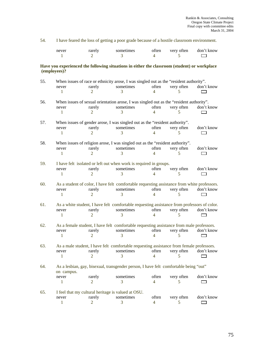54. I have feared the loss of getting a poor grade because of a hostile classroom environment.

| never | rarely | sometimes | $\delta$ ften | very often | don't know |
|-------|--------|-----------|---------------|------------|------------|
|       |        |           |               |            |            |

**Have you experienced the following situations in either the classroom (student) or workplace (employees)?** 

| 55. | When issues of race or ethnicity arose, I was singled out as the "resident authority". |                             |                                                                                             |                          |            |            |  |
|-----|----------------------------------------------------------------------------------------|-----------------------------|---------------------------------------------------------------------------------------------|--------------------------|------------|------------|--|
|     | never                                                                                  | rarely                      | sometimes                                                                                   | often                    | very often | don't know |  |
|     | 1                                                                                      | $\mathfrak{D}$              | 3                                                                                           | $\overline{\mathcal{A}}$ | 5          |            |  |
| 56. |                                                                                        |                             | When issues of sexual orientation arose, I was singled out as the "resident authority".     |                          |            |            |  |
|     | never                                                                                  | rarely                      | sometimes                                                                                   | often                    | very often | don't know |  |
|     | 1                                                                                      | 2                           | 3                                                                                           | 4                        | 5          |            |  |
| 57. |                                                                                        |                             | When issues of gender arose, I was singled out as the "resident authority".                 |                          |            |            |  |
|     | never                                                                                  | rarely                      | sometimes                                                                                   | often                    | very often | don't know |  |
|     | 1                                                                                      | 2                           |                                                                                             | 4                        |            |            |  |
| 58. |                                                                                        |                             | When issues of religion arose, I was singled out as the "resident authority".               |                          |            |            |  |
|     | never                                                                                  | rarely                      | sometimes                                                                                   | often                    | very often | don't know |  |
|     | 1                                                                                      | 2                           | 3                                                                                           | 4                        | 5          | $\Box$     |  |
| 59. |                                                                                        |                             | I have felt isolated or left out when work is required in groups.                           |                          |            |            |  |
|     | never                                                                                  | rarely                      | sometimes                                                                                   | often                    | very often | don't know |  |
|     | $\mathbf{1}$                                                                           | $\mathfrak{D}$              | 3                                                                                           | $\overline{\mathcal{A}}$ | 5          |            |  |
| 60. |                                                                                        |                             | As a student of color, I have felt comfortable requesting assistance from white professors. |                          |            |            |  |
|     | never                                                                                  | rarely                      | sometimes                                                                                   | often                    | very often | don't know |  |
|     | 1                                                                                      | 2                           | 3                                                                                           | $\overline{\mathcal{A}}$ | 5          |            |  |
| 61. |                                                                                        |                             | As a white student, I have felt comfortable requesting assistance from professors of color. |                          |            |            |  |
|     | never                                                                                  | rarely                      | sometimes                                                                                   | often                    | very often | don't know |  |
|     | 1                                                                                      | $\mathcal{D}_{\mathcal{L}}$ | 3                                                                                           | $\overline{\mathcal{A}}$ | 5          |            |  |
| 62. |                                                                                        |                             | As a female student, I have felt comfortable requesting assistance from male professors.    |                          |            |            |  |
|     | never                                                                                  | rarely                      | sometimes                                                                                   | often                    | very often | don't know |  |
|     | 1                                                                                      | 2                           | 3                                                                                           | $\overline{\mathcal{A}}$ | 5          |            |  |
| 63. |                                                                                        |                             | As a male student, I have felt comfortable requesting assistance from female professors.    |                          |            |            |  |
|     | never                                                                                  | rarely                      | sometimes                                                                                   | often                    | very often | don't know |  |
|     | 1                                                                                      | 2                           | 3                                                                                           | $\overline{4}$           | 5          | $\Box$     |  |
| 64. | on campus.                                                                             |                             | As a lesbian, gay, bisexual, transgender person, I have felt comfortable being "out"        |                          |            |            |  |
|     | never                                                                                  | rarely                      | sometimes                                                                                   | often                    | very often | don't know |  |
|     | 1                                                                                      | $\mathfrak{D}$              | 3                                                                                           | $\overline{4}$           | 5          |            |  |
|     |                                                                                        |                             |                                                                                             |                          |            |            |  |
| 65. |                                                                                        |                             | I feel that my cultural heritage is valued at OSU.                                          |                          |            |            |  |
|     | never                                                                                  | rarely                      | sometimes                                                                                   | often                    | very often | don't know |  |
|     | 1                                                                                      | $\overline{2}$              | 3                                                                                           | 4                        | 5          |            |  |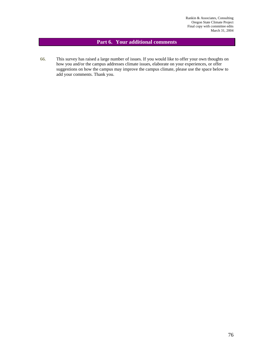## **Part 6. Your additional comments**

66. This survey has raised a large number of issues. If you would like to offer your own thoughts on how you and/or the campus addresses climate issues, elaborate on your experiences, or offer suggestions on how the campus may improve the campus climate, please use the space below to add your comments. Thank you.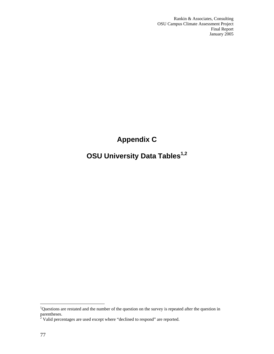Rankin & Associates, Consulting OSU Campus Climate Assessment Project Final Report January 2005

## **Appendix C**

# **OSU University Data Tables1,2**

<sup>&</sup>lt;sup>1</sup>Questions are restated and the number of the question on the survey is repeated after the question in parentheses.<br><sup>2</sup> Valid percentages are used except where "declined to respond" are reported.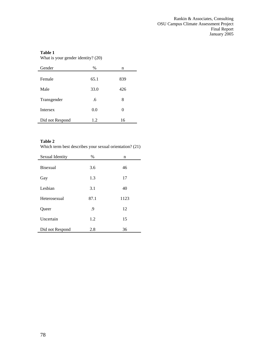What is your gender identity? (20)

| Gender          | $\%$ | n   |
|-----------------|------|-----|
| Female          | 65.1 | 839 |
| Male            | 33.0 | 426 |
| Transgender     | .6   | 8   |
| <b>Intersex</b> | 0.0  | 0   |
| Did not Respond | 1.2  | 16  |

## **Table 2**

Which term best describes your sexual orientation? (21)

| Sexual Identity | $\%$ | n    |
|-----------------|------|------|
| Bisexual        | 3.6  | 46   |
| Gay             | 1.3  | 17   |
| Lesbian         | 3.1  | 40   |
| Heterosexual    | 87.1 | 1123 |
| Queer           | .9   | 12   |
| Uncertain       | 1.2  | 15   |
| Did not Respond | 2.8  | 36   |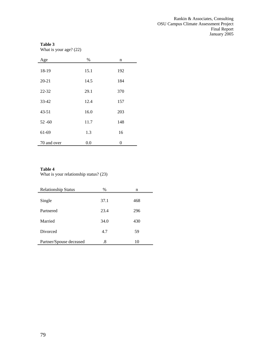What is your age? (22)

| Age         | $\%$ | n   |
|-------------|------|-----|
| 18-19       | 15.1 | 192 |
| $20 - 21$   | 14.5 | 184 |
| 22-32       | 29.1 | 370 |
| 33-42       | 12.4 | 157 |
| $43 - 51$   | 16.0 | 203 |
| $52 - 60$   | 11.7 | 148 |
| 61-69       | 1.3  | 16  |
| 70 and over | 0.0  | 0   |

## **Table 4**

What is your relationship status? (23)

| <b>Relationship Status</b> | $\%$ | n   |
|----------------------------|------|-----|
| Single                     | 37.1 | 468 |
| Partnered                  | 23.4 | 296 |
| Married                    | 34.0 | 430 |
| <b>Divorced</b>            | 4.7  | 59  |
| Partner/Spouse deceased    | .8   | 10  |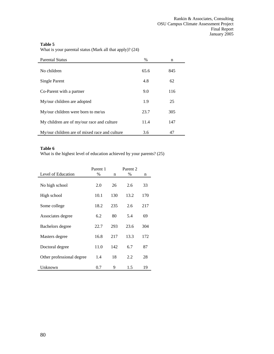Parental Status  $\%$  n No children 65.6 845 Single Parent 4.8 62 Co-Parent with a partner 9.0 116 My/our children are adopted 1.9 25 My/our children were born to me/us 23.7 305 My children are of my/our race and culture 11.4 147 My/our children are of mixed race and culture 3.6 47

What is your parental status (Mark all that apply)? (24)

#### **Table 6**

What is the highest level of education achieved by your parents? (25)

|                           | Parent 1 |     | Parent 2 |     |
|---------------------------|----------|-----|----------|-----|
| Level of Education        | $\%$     | n   | $\%$     | n   |
|                           |          |     |          |     |
| No high school            | 2.0      | 26  | 2.6      | 33  |
|                           |          |     |          |     |
| High school               | 10.1     | 130 | 13.2     | 170 |
|                           | 18.2     | 235 | 2.6      | 217 |
| Some college              |          |     |          |     |
| Associates degree         | 6.2      | 80  | 5.4      | 69  |
|                           |          |     |          |     |
| Bachelors degree          | 22.7     | 293 | 23.6     | 304 |
|                           |          |     |          |     |
| Masters degree            | 16.8     | 217 | 13.3     | 172 |
|                           | 11.0     | 142 | 6.7      | 87  |
| Doctoral degree           |          |     |          |     |
| Other professional degree | 1.4      | 18  | 2.2      | 28  |
|                           |          |     |          |     |
| Unknown                   | 0.7      | 9   | 1.5      | 19  |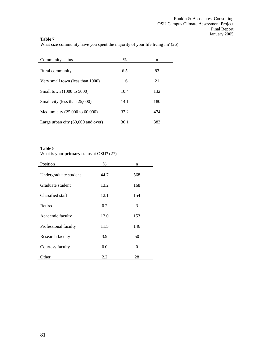What size community have you spent the majority of your life living in? (26)

| Community status                     | $\%$ | n   |
|--------------------------------------|------|-----|
| Rural community                      | 6.5  | 83  |
| Very small town (less than 1000)     | 1.6  | 21  |
| Small town (1000 to 5000)            | 10.4 | 132 |
| Small city (less than 25,000)        | 14.1 | 180 |
| Medium city (25,000 to 60,000)       | 37.2 | 474 |
| Large urban city $(60,000$ and over) | 30.1 | 383 |

## **Table 8**

What is your **primary** status at OSU? (27)

| Position              | $\%$ | n   |
|-----------------------|------|-----|
| Undergraduate student | 44.7 | 568 |
| Graduate student      | 13.2 | 168 |
| Classified staff      | 12.1 | 154 |
| Retired               | 0.2  | 3   |
| Academic faculty      | 12.0 | 153 |
| Professional faculty  | 11.5 | 146 |
| Research faculty      | 3.9  | 50  |
| Courtesy faculty      | 0.0  | 0   |
| Other                 | 2.2  | 28  |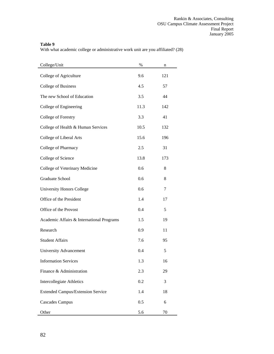With what academic college or administrative work unit are you affiliated? (28)

| College/Unit                              | %    | n   |
|-------------------------------------------|------|-----|
| College of Agriculture                    | 9.6  | 121 |
| <b>College of Business</b>                | 4.5  | 57  |
| The new School of Education               | 3.5  | 44  |
| College of Engineering                    | 11.3 | 142 |
| College of Forestry                       | 3.3  | 41  |
| College of Health & Human Services        | 10.5 | 132 |
| College of Liberal Arts                   | 15.6 | 196 |
| College of Pharmacy                       | 2.5  | 31  |
| College of Science                        | 13.8 | 173 |
| College of Veterinary Medicine            | 0.6  | 8   |
| Graduate School                           | 0.6  | 8   |
| <b>University Honors College</b>          | 0.6  | 7   |
| Office of the President                   | 1.4  | 17  |
| Office of the Provost                     | 0.4  | 5   |
| Academic Affairs & International Programs | 1.5  | 19  |
| Research                                  | 0.9  | 11  |
| <b>Student Affairs</b>                    | 7.6  | 95  |
| University Advancement                    | 0.4  | 5   |
| <b>Information Services</b>               | 1.3  | 16  |
| Finance & Administration                  | 2.3  | 29  |
| Intercollegiate Athletics                 | 0.2  | 3   |
| <b>Extended Campus/Extension Service</b>  | 1.4  | 18  |
| <b>Cascades Campus</b>                    | 0.5  | 6   |
| Other                                     | 5.6  | 70  |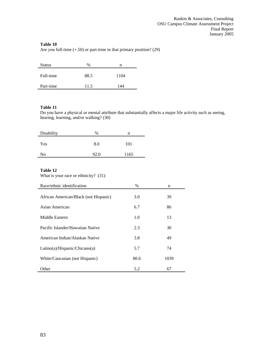Are you full-time (+.50) or part-time in that primary position? (29)

| <b>Status</b> | $\%$ | n    |
|---------------|------|------|
| Full-time     | 88.5 | 1104 |
| Part-time     | 11.5 | 144  |

#### **Table 11**

Do you have a physical or mental attribute that substantially affects a major life activity such as seeing, hearing, learning, and/or walking? (30)

| Disability | %    | n    |
|------------|------|------|
| Yes        | 8.0  | 101  |
| No         | 92.0 | 1165 |

#### **Table 12**

What is your race or ethnicity? (31)

| Race/ethnic identification            | $\%$ | n    |
|---------------------------------------|------|------|
| African American/Black (not Hispanic) | 3.0  | 39   |
| Asian American                        | 6.7  | 86   |
| Middle Eastern                        | 1.0  | 13   |
| Pacific Islander/Hawaiian Native      | 2.3  | 30   |
| American Indian/Alaskan Native        | 3.8  | 49   |
| Latino(a)/Hispanic/Chicago(a)         | 5.7  | 74   |
| White/Caucasian (not Hispanic)        | 80.6 | 1039 |
| Other                                 | 5.2  | 67   |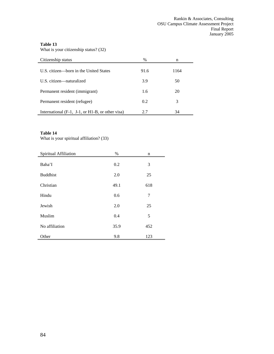What is your citizenship status? (32)

| Citizenship status                                 | $\%$ | n    |
|----------------------------------------------------|------|------|
| U.S. citizen—born in the United States             | 91.6 | 1164 |
| U.S. citizen—naturalized                           | 3.9  | 50   |
| Permanent resident (immigrant)                     | 1.6  | 20   |
| Permanent resident (refugee)                       | 0.2  | 3    |
| International $(F-1, J-1, or H1-B, or other visa)$ | 2.7  | 34   |

## **Table 14**

What is your spiritual affiliation? (33)

| Spiritual Affiliation | %    | n   |
|-----------------------|------|-----|
| Baha'I                | 0.2  | 3   |
| <b>Buddhist</b>       | 2.0  | 25  |
| Christian             | 49.1 | 618 |
| Hindu                 | 0.6  | 7   |
| Jewish                | 2.0  | 25  |
| Muslim                | 0.4  | 5   |
| No affiliation        | 35.9 | 452 |
| Other                 | 9.8  | 123 |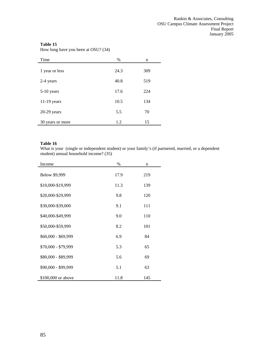How long have you been at OSU? (34)

| Time             | $\%$ | n   |
|------------------|------|-----|
| 1 year or less   | 24.3 | 309 |
| 2-4 years        | 40.8 | 519 |
| $5-10$ years     | 17.6 | 224 |
| $11-19$ years    | 10.5 | 134 |
| $20-29$ years    | 5.5  | 70  |
| 30 years or more | 1.2  | 15  |

#### **Table 16**

What is your (single or independent student) or your family's (if partnered, married, or a dependent student) annual household income? (35)

| Income              | %    | n   |  |
|---------------------|------|-----|--|
| Below \$9,999       | 17.9 | 219 |  |
| \$10,000-\$19,999   | 11.3 | 139 |  |
| \$20,000-\$29,999   | 9.8  | 120 |  |
| \$30,000-\$39,000   | 9.1  | 111 |  |
| \$40,000-\$49,999   | 9.0  | 110 |  |
| \$50,000-\$59,999   | 8.2  | 101 |  |
| \$60,000 - \$69,999 | 6.9  | 84  |  |
| \$70,000 - \$79,999 | 5.3  | 65  |  |
| \$80,000 - \$89,999 | 5.6  | 69  |  |
| \$90,000 - \$99,999 | 5.1  | 63  |  |
| \$100,000 or above  | 11.8 | 145 |  |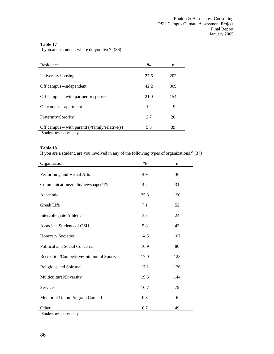If you are a student, where do you live? $1^1$  (36)

| Residence                                      | $\%$ | n   |
|------------------------------------------------|------|-----|
|                                                |      |     |
| University housing                             | 27.6 | 202 |
| Off campus –independent                        | 42.2 | 309 |
| Off campus $-$ with partner or spouse          | 21.0 | 154 |
| On campus - apartment                          | 1.2  | 9   |
| Fraternity/Sorority                            | 2.7  | 20  |
| Off campus – with parent(s)/family/relative(s) | 5.3  | 39  |
| Student responses only                         |      |     |

## **Table 18**

If you are a student, are you involved in any of the following types of organizations?<sup>1</sup> (37)

|      | n    |
|------|------|
| 4.9  | 36   |
| 4.2  | 31   |
| 25.8 | 190  |
| 7.1  | 52   |
| 3.3  | 24   |
| 5.8  | 43   |
| 14.5 | 107  |
| 10.9 | 80   |
| 17.0 | 125  |
| 17.1 | 126  |
| 19.6 | 144  |
| 10.7 | 79   |
| 0.8  | 6    |
| 6.7  | 49   |
|      | $\%$ |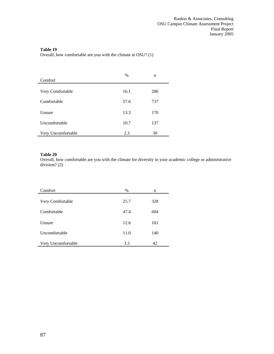Overall, how comfortable are you with the climate at OSU? (1)

| Comfort              | %    | n   |
|----------------------|------|-----|
| Very Comfortable     | 16.1 | 206 |
| Comfortable          | 57.6 | 737 |
| Unsure               | 13.3 | 170 |
| <b>Uncomfortable</b> | 10.7 | 137 |
| Very Uncomfortable   | 2.3  | 30  |

#### **Table 20**

Overall, how comfortable are you with the climate for diversity in your academic college or administrative division? (2)

| Comfort            | $\%$ | n   |
|--------------------|------|-----|
| Very Comfortable   | 25.7 | 328 |
| Comfortable        | 47.4 | 604 |
| Unsure             | 12.6 | 161 |
| Uncomfortable      | 11.0 | 140 |
| Very Uncomfortable | 3.3  | 42  |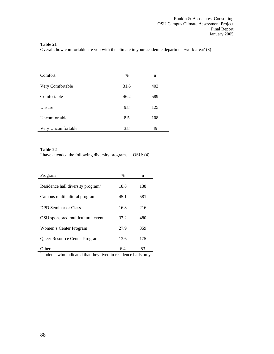Overall, how comfortable are you with the climate in your academic department/work area? (3)

| Comfort            | $\%$ | n   |
|--------------------|------|-----|
| Very Comfortable   | 31.6 | 403 |
| Comfortable        | 46.2 | 589 |
| Unsure             | 9.8  | 125 |
| Uncomfortable      | 8.5  | 108 |
| Very Uncomfortable | 3.8  | 49  |

#### **Table 22**

I have attended the following diversity programs at OSU: (4)

| Program                                                        | $\%$ | n   |
|----------------------------------------------------------------|------|-----|
| Residence hall diversity program <sup>1</sup>                  | 18.8 | 138 |
| Campus multicultural program                                   | 45.1 | 581 |
| DPD Seminar or Class                                           | 16.8 | 216 |
| OSU sponsored multicultural event                              | 37.2 | 480 |
| Women's Center Program                                         | 27.9 | 359 |
| <b>Oueer Resource Center Program</b>                           | 13.6 | 175 |
| Other                                                          | 6.4  | 83  |
| students who indicated that they lived in residence halls only |      |     |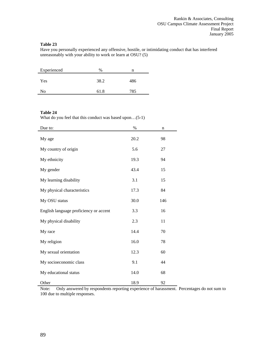Have you personally experienced any offensive, hostile, or intimidating conduct that has interfered unreasonably with your ability to work or learn at OSU? (5)

| Experienced | $\%$ | n   |
|-------------|------|-----|
| Yes         | 38.2 | 486 |
| No          | 61.8 | 785 |

#### **Table 24**

What do you feel that this conduct was based upon…(5-1)

| Due to:                                | $\%$ | n   |
|----------------------------------------|------|-----|
| My age                                 | 20.2 | 98  |
| My country of origin                   | 5.6  | 27  |
| My ethnicity                           | 19.3 | 94  |
| My gender                              | 43.4 | 15  |
| My learning disability                 | 3.1  | 15  |
| My physical characteristics            | 17.3 | 84  |
| My OSU status                          | 30.0 | 146 |
| English language proficiency or accent | 3.3  | 16  |
| My physical disability                 | 2.3  | 11  |
| My race                                | 14.4 | 70  |
| My religion                            | 16.0 | 78  |
| My sexual orientation                  | 12.3 | 60  |
| My socioeconomic class                 | 9.1  | 44  |
| My educational status                  | 14.0 | 68  |
| Other                                  | 18.9 | 92  |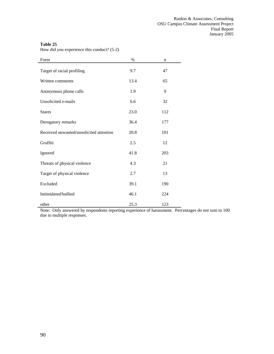| Form                                    | $\%$ | n   |
|-----------------------------------------|------|-----|
| Target of racial profiling              | 9.7  | 47  |
| Written comments                        | 13.4 | 65  |
| Anonymous phone calls                   | 1.9  | 9   |
| Unsolicited e-mails                     | 6.6  | 32  |
| <b>Stares</b>                           | 23.0 | 112 |
| Derogatory remarks                      | 36.4 | 177 |
| Received unwanted/unsolicited attention | 20.8 | 101 |
| Graffiti                                | 2.5  | 12  |
| Ignored                                 | 41.8 | 203 |
| Threats of physical violence            | 4.3  | 21  |
| Target of physical violence             | 2.7  | 13  |
| Excluded                                | 39.1 | 190 |
| Intimidated/bullied                     | 46.1 | 224 |
| other                                   | 25.3 | 123 |

How did you experience this conduct? (5-2)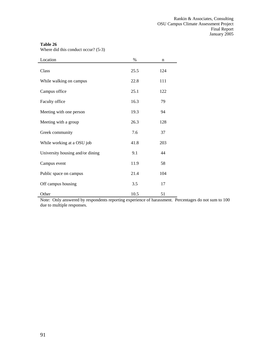Where did this conduct occur? (5-3)

| Location                         | $\%$ | n   |  |
|----------------------------------|------|-----|--|
| Class                            | 25.5 | 124 |  |
| While walking on campus          | 22.8 | 111 |  |
| Campus office                    | 25.1 | 122 |  |
| Faculty office                   | 16.3 | 79  |  |
| Meeting with one person          | 19.3 | 94  |  |
| Meeting with a group             | 26.3 | 128 |  |
| Greek community                  | 7.6  | 37  |  |
| While working at a OSU job       | 41.8 | 203 |  |
| University housing and/or dining | 9.1  | 44  |  |
| Campus event                     | 11.9 | 58  |  |
| Public space on campus           | 21.4 | 104 |  |
| Off campus housing               | 3.5  | 17  |  |
| Other                            | 10.5 | 51  |  |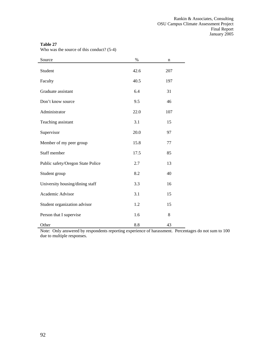| $\mathbf{v}$ and $\mathbf{v}$ as the source of this conduct: $(5 - 7)$ |      |             |
|------------------------------------------------------------------------|------|-------------|
| Source                                                                 | $\%$ | $\mathbf n$ |
| Student                                                                | 42.6 | 207         |
| Faculty                                                                | 40.5 | 197         |
| Graduate assistant                                                     | 6.4  | 31          |
| Don't know source                                                      | 9.5  | 46          |
| Administrator                                                          | 22.0 | 107         |
| Teaching assistant                                                     | 3.1  | 15          |
| Supervisor                                                             | 20.0 | 97          |
| Member of my peer group                                                | 15.8 | 77          |
| Staff member                                                           | 17.5 | 85          |
| Public safety/Oregon State Police                                      | 2.7  | 13          |
| Student group                                                          | 8.2  | 40          |
| University housing/dining staff                                        | 3.3  | 16          |
| Academic Advisor                                                       | 3.1  | 15          |
| Student organization advisor                                           | 1.2  | 15          |
| Person that I supervise                                                | 1.6  | 8           |
| Other                                                                  | 8.8  | 43          |

Who was the source of this conduct? (5-4)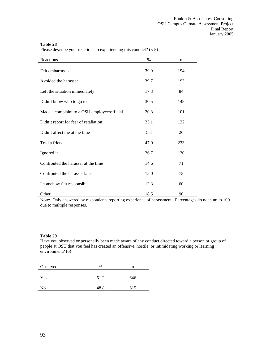Please describe your reactions to experiencing this conduct? (5-5)

| Reactions                                   | $\%$ | n   |
|---------------------------------------------|------|-----|
| Felt embarrassed                            | 39.9 | 194 |
| Avoided the harasser                        | 39.7 | 193 |
| Left the situation immediately              | 17.3 | 84  |
| Didn't know who to go to                    | 30.5 | 148 |
| Made a complaint to a OSU employee/official | 20.8 | 101 |
| Didn't report for fear of retaliation       | 25.1 | 122 |
| Didn't affect me at the time                | 5.3  | 26  |
| Told a friend                               | 47.9 | 233 |
| Ignored it                                  | 26.7 | 130 |
| Confronted the harasser at the time         | 14.6 | 71  |
| Confronted the harasser later               | 15.0 | 73  |
| I somehow felt responsible                  | 12.3 | 60  |
| Other                                       | 18.5 | 90  |

Note: Only answered by respondents reporting experience of harassment. Percentages do not sum to 100 due to multiple responses.

## **Table 29**

Have you observed or personally been made aware of any conduct directed toward a person or group of people at OSU that you feel has created an offensive, hostile, or intimidating working or learning environment? (6)

| Observed | $\%$ | n   |
|----------|------|-----|
| Yes      | 51.2 | 646 |
| No       | 48.8 | 615 |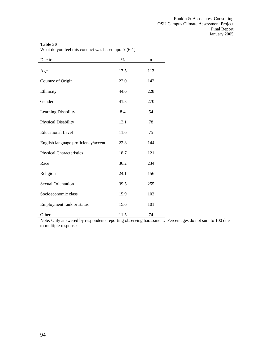What do you feel this conduct was based upon? (6-1)

| Due to:                             | $\%$ | $\mathbf n$ |
|-------------------------------------|------|-------------|
| Age                                 | 17.5 | 113         |
| Country of Origin                   | 22.0 | 142         |
| Ethnicity                           | 44.6 | 228         |
| Gender                              | 41.8 | 270         |
| Learning Disability                 | 8.4  | 54          |
| Physical Disability                 | 12.1 | 78          |
| <b>Educational Level</b>            | 11.6 | 75          |
| English language proficiency/accent | 22.3 | 144         |
| Physical Characteristics            | 18.7 | 121         |
| Race                                | 36.2 | 234         |
| Religion                            | 24.1 | 156         |
| <b>Sexual Orientation</b>           | 39.5 | 255         |
| Socioeconomic class                 | 15.9 | 103         |
| Employment rank or status           | 15.6 | 101         |
| Other                               | 11.5 | 74          |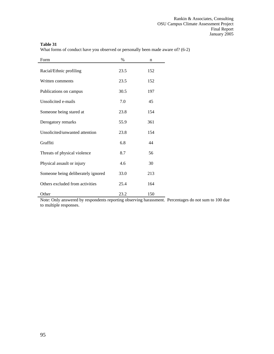What forms of conduct have you observed or personally been made aware of? (6-2)

| Form                               | $\%$ | n   |
|------------------------------------|------|-----|
| Racial/Ethnic profiling            | 23.5 | 152 |
| Written comments                   | 23.5 | 152 |
| Publications on campus             | 30.5 | 197 |
| Unsolicited e-mails                | 7.0  | 45  |
| Someone being stared at            | 23.8 | 154 |
| Derogatory remarks                 | 55.9 | 361 |
| Unsolicited/unwanted attention     | 23.8 | 154 |
| Graffiti                           | 6.8  | 44  |
| Threats of physical violence       | 8.7  | 56  |
| Physical assault or injury         | 4.6  | 30  |
| Someone being deliberately ignored | 33.0 | 213 |
| Others excluded from activities    | 25.4 | 164 |
| Other                              | 23.2 | 150 |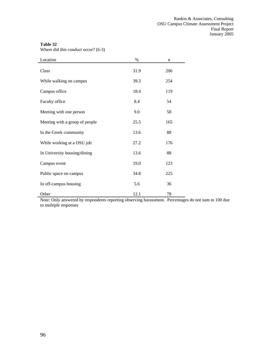Where did this conduct occur? (6-3)

| Location                       | $\%$ | n   |  |
|--------------------------------|------|-----|--|
| Class                          | 31.9 | 206 |  |
| While walking on campus        | 39.3 | 254 |  |
| Campus office                  | 18.4 | 119 |  |
| Faculty office                 | 8.4  | 54  |  |
| Meeting with one person        | 9.0  | 58  |  |
| Meeting with a group of people | 25.5 | 165 |  |
| In the Greek community         | 13.6 | 88  |  |
| While working at a OSU job     | 27.2 | 176 |  |
| In University housing/dining   | 13.6 | 88  |  |
| Campus event                   | 19.0 | 123 |  |
| Public space on campus         | 34.8 | 225 |  |
| In off-campus housing          | 5.6  | 36  |  |
| Other                          | 12.1 | 78  |  |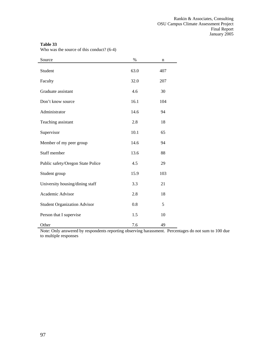Who was the source of this conduct? (6-4)

| Source                              | $\%$ | n   |
|-------------------------------------|------|-----|
| Student                             | 63.0 | 407 |
| Faculty                             | 32.0 | 207 |
| Graduate assistant                  | 4.6  | 30  |
| Don't know source                   | 16.1 | 104 |
| Administrator                       | 14.6 | 94  |
| Teaching assistant                  | 2.8  | 18  |
| Supervisor                          | 10.1 | 65  |
| Member of my peer group             | 14.6 | 94  |
| Staff member                        | 13.6 | 88  |
| Public safety/Oregon State Police   | 4.5  | 29  |
| Student group                       | 15.9 | 103 |
| University housing/dining staff     | 3.3  | 21  |
| Academic Advisor                    | 2.8  | 18  |
| <b>Student Organization Advisor</b> | 0.8  | 5   |
| Person that I supervise             | 1.5  | 10  |
| Other                               | 7.6  | 49  |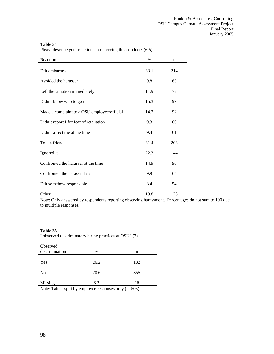Please describe your reactions to observing this conduct? (6-5)

| Reaction                                    | $\frac{0}{0}$ | n   |
|---------------------------------------------|---------------|-----|
| Felt embarrassed                            | 33.1          | 214 |
| Avoided the harasser                        | 9.8           | 63  |
| Left the situation immediately              | 11.9          | 77  |
| Didn't know who to go to                    | 15.3          | 99  |
| Made a complaint to a OSU employee/official | 14.2          | 92  |
| Didn't report I for fear of retaliation     | 9.3           | 60  |
| Didn't affect me at the time                | 9.4           | 61  |
| Told a friend                               | 31.4          | 203 |
| Ignored it                                  | 22.3          | 144 |
| Confronted the harasser at the time         | 14.9          | 96  |
| Confronted the harasser later               | 9.9           | 64  |
| Felt somehow responsible                    | 8.4           | 54  |
| Other                                       | 19.8          | 128 |

Note: Only answered by respondents reporting observing harassment. Percentages do not sum to 100 due to multiple responses.

#### **Table 35**

I observed discriminatory hiring practices at OSU? (7)

| Observed       |      |       |  |
|----------------|------|-------|--|
| discrimination | $\%$ | n     |  |
|                |      |       |  |
| Yes            | 26.2 | 132   |  |
|                |      |       |  |
| N <sub>0</sub> | 70.6 | 355   |  |
|                |      |       |  |
| Missing        | 3.2  | 16    |  |
|                |      | $  -$ |  |

Note: Tables split by employee responses only  $(n=503)$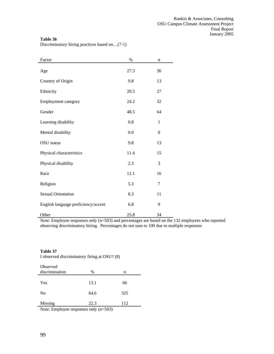Discriminatory hiring practices based on…(7-1)

| Factor                              | %    | n                |
|-------------------------------------|------|------------------|
| Age                                 | 27.3 | 36               |
| Country of Origin                   | 9.8  | 13               |
| Ethnicity                           | 20.5 | 27               |
| <b>Employment category</b>          | 24.2 | 32               |
| Gender                              | 48.5 | 64               |
| Learning disability                 | 0.8  | 1                |
| Mental disability                   | 0.0  | $\boldsymbol{0}$ |
| <b>OSU</b> status                   | 9.8  | 13               |
| Physical characteristics            | 11.4 | 15               |
| Physical disability                 | 2.3  | 3                |
| Race                                | 12.1 | 16               |
| Religion                            | 5.3  | 7                |
| <b>Sexual Orientation</b>           | 8.3  | 11               |
| English language proficiency/accent | 6.8  | 9                |
| Other                               | 25.8 | 34               |

Note: Employee responses only (n=503) and percentages are based on the 132 employees who reported observing discriminatory hiring. Percentages do not sum to 100 due to multiple responses

#### **Table 37**

I observed discriminatory firing at OSU? (8)

| Observed       |       |     |
|----------------|-------|-----|
| discrimination | $\%$  | n   |
|                |       |     |
| Yes            | 13.1  | 66  |
|                |       |     |
| No             | 64.6  | 325 |
|                |       |     |
| Missing        | 22.3  | 112 |
| .              | $  -$ |     |

Note: Employee responses only (n=503)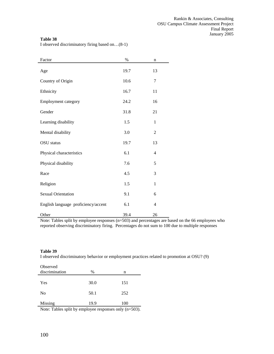I observed discriminatory firing based on…(8-1)

| Factor                              | $\%$ | $\mathbf n$    |
|-------------------------------------|------|----------------|
| Age                                 | 19.7 | 13             |
| Country of Origin                   | 10.6 | 7              |
| Ethnicity                           | 16.7 | 11             |
| Employment category                 | 24.2 | 16             |
| Gender                              | 31.8 | 21             |
| Learning disability                 | 1.5  | 1              |
| Mental disability                   | 3.0  | $\overline{2}$ |
| <b>OSU</b> status                   | 19.7 | 13             |
| Physical characteristics            | 6.1  | 4              |
| Physical disability                 | 7.6  | 5              |
| Race                                | 4.5  | 3              |
| Religion                            | 1.5  | $\mathbf{1}$   |
| <b>Sexual Orientation</b>           | 9.1  | 6              |
| English language proficiency/accent | 6.1  | $\overline{4}$ |
| Other                               | 39.4 | 26             |

Note: Tables split by employee responses (n=503) and percentages are based on the 66 employees who reported observing discriminatory firing. Percentages do not sum to 100 due to multiple responses

#### **Table 39**

I observed discriminatory behavior or employment practices related to promotion at OSU? (9)

| Observed       |        |         |
|----------------|--------|---------|
| discrimination | %      | n       |
|                |        |         |
| Yes            | 30.0   | 151     |
|                |        |         |
| No             | 50.1   | 252     |
|                |        |         |
| Missing        | 19.9   | 100     |
| ___<br>.       | $\sim$ | - - - - |

Note: Tables split by employee responses only (n=503).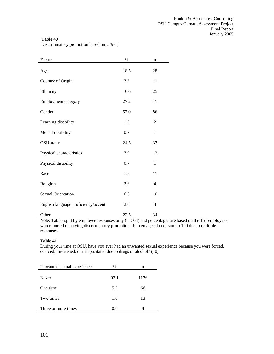Discriminatory promotion based on…(9-1)

| Factor                              | $\%$ | $\mathbf n$    |
|-------------------------------------|------|----------------|
| Age                                 | 18.5 | 28             |
| Country of Origin                   | 7.3  | 11             |
| Ethnicity                           | 16.6 | 25             |
| <b>Employment category</b>          | 27.2 | 41             |
| Gender                              | 57.0 | 86             |
| Learning disability                 | 1.3  | $\overline{2}$ |
| Mental disability                   | 0.7  | $\mathbf{1}$   |
| <b>OSU</b> status                   | 24.5 | 37             |
| Physical characteristics            | 7.9  | 12             |
| Physical disability                 | 0.7  | $\mathbf{1}$   |
| Race                                | 7.3  | 11             |
| Religion                            | 2.6  | $\overline{4}$ |
| <b>Sexual Orientation</b>           | 6.6  | 10             |
| English language proficiency/accent | 2.6  | $\overline{4}$ |
| Other                               | 22.5 | 34             |

Note: Tables split by employee responses only (n=503) and percentages are based on the 151 employees who reported observing discriminatory promotion. Percentages do not sum to 100 due to multiple responses.

#### **Table 41**

During your time at OSU, have you ever had an unwanted sexual experience because you were forced, coerced, threatened, or incapacitated due to drugs or alcohol? (10)

 $\overline{\phantom{0}}$ 

e.

| Unwanted sexual experience | $\%$ | n    |  |  |
|----------------------------|------|------|--|--|
| Never                      | 93.1 | 1176 |  |  |
| One time                   | 5.2  | 66   |  |  |
| Two times                  | 1.0  | 13   |  |  |
| Three or more times        | 0.6  |      |  |  |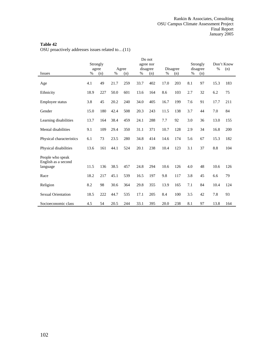OSU proactively addresses issues related to…(11)

|                                         | Do not   |     |      |       |      |           |      |          |     |          |      |            |
|-----------------------------------------|----------|-----|------|-------|------|-----------|------|----------|-----|----------|------|------------|
|                                         | Strongly |     |      |       |      | agree nor |      |          |     | Strongly |      | Don't Know |
|                                         | agree    |     |      | Agree |      | disagree  |      | Disagree |     | disagree | $\%$ | (n)        |
| <b>Issues</b>                           | %        | (n) | %    | (n)   | %    | (n)       | %    | (n)      | %   | (n)      |      |            |
| Age                                     | 4.1      | 49  | 21.7 | 259   | 33.7 | 402       | 17.0 | 203      | 8.1 | 97       | 15.3 | 183        |
| Ethnicity                               | 18.9     | 227 | 50.0 | 601   | 13.6 | 164       | 8.6  | 103      | 2.7 | 32       | 6.2  | 75         |
| Employee status                         | 3.8      | 45  | 20.2 | 240   | 34.0 | 405       | 16.7 | 199      | 7.6 | 91       | 17.7 | 211        |
| Gender                                  | 15.0     | 180 | 42.4 | 508   | 20.3 | 243       | 11.5 | 138      | 3.7 | 44       | 7.0  | 84         |
| Learning disabilities                   | 13.7     | 164 | 38.4 | 459   | 24.1 | 288       | 7.7  | 92       | 3.0 | 36       | 13.0 | 155        |
| Mental disabilities                     | 9.1      | 109 | 29.4 | 350   | 31.1 | 371       | 10.7 | 128      | 2.9 | 34       | 16.8 | 200        |
| Physical characteristics                | 6.1      | 73  | 23.5 | 280   | 34.8 | 414       | 14.6 | 174      | 5.6 | 67       | 15.3 | 182        |
| Physical disabilities                   | 13.6     | 161 | 44.1 | 524   | 20.1 | 238       | 10.4 | 123      | 3.1 | 37       | 8.8  | 104        |
| People who speak<br>English as a second |          |     |      |       |      |           |      |          |     |          |      |            |
| language                                | 11.5     | 136 | 38.5 | 457   | 24.8 | 294       | 10.6 | 126      | 4.0 | 48       | 10.6 | 126        |
| Race                                    | 18.2     | 217 | 45.1 | 539   | 16.5 | 197       | 9.8  | 117      | 3.8 | 45       | 6.6  | 79         |
| Religion                                | 8.2      | 98  | 30.6 | 364   | 29.8 | 355       | 13.9 | 165      | 7.1 | 84       | 10.4 | 124        |
| <b>Sexual Orientation</b>               | 18.5     | 222 | 44.7 | 535   | 17.1 | 205       | 8.4  | 100      | 3.5 | 42       | 7.8  | 93         |
| Socioeconomic class                     | 4.5      | 54  | 20.5 | 244   | 33.1 | 395       | 20.0 | 238      | 8.1 | 97       | 13.8 | 164        |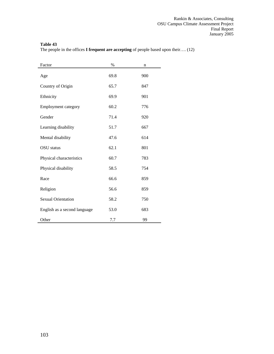The people in the offices **I frequent are accepting** of people based upon their…. (12)

| Factor                       | $\%$ | n   |
|------------------------------|------|-----|
| Age                          | 69.8 | 900 |
| Country of Origin            | 65.7 | 847 |
| Ethnicity                    | 69.9 | 901 |
| <b>Employment category</b>   | 60.2 | 776 |
| Gender                       | 71.4 | 920 |
| Learning disability          | 51.7 | 667 |
| Mental disability            | 47.6 | 614 |
| OSU status                   | 62.1 | 801 |
| Physical characteristics     | 60.7 | 783 |
| Physical disability          | 58.5 | 754 |
| Race                         | 66.6 | 859 |
| Religion                     | 56.6 | 859 |
| <b>Sexual Orientation</b>    | 58.2 | 750 |
| English as a second language | 53.0 | 683 |
| Other                        | 7.7  | 99  |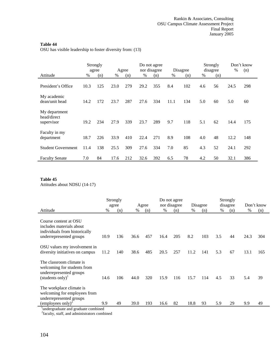l,

OSU has visible leadership to foster diversity from: (13)

|                                            |      | Strongly<br>agree |      | Agree |      | Do not agree<br>nor disagree |      | Disagree |      | Strongly<br>disagree | %    | Don't know<br>(n) |
|--------------------------------------------|------|-------------------|------|-------|------|------------------------------|------|----------|------|----------------------|------|-------------------|
| Attitude                                   | $\%$ | (n)               | $\%$ | (n)   | %    | (n)                          | $\%$ | (n)      | $\%$ | (n)                  |      |                   |
| President's Office                         | 10.3 | 125               | 23.0 | 279   | 29.2 | 355                          | 8.4  | 102      | 4.6  | 56                   | 24.5 | 298               |
| My academic<br>dean/unit head              | 14.2 | 172               | 23.7 | 287   | 27.6 | 334                          | 11.1 | 134      | 5.0  | 60                   | 5.0  | 60                |
| My department<br>head/direct<br>supervisor | 19.2 | 234               | 27.9 | 339   | 23.7 | 289                          | 9.7  | 118      | 5.1  | 62                   | 14.4 | 175               |
| Faculty in my<br>department                | 18.7 | 226               | 33.9 | 410   | 22.4 | 271                          | 8.9  | 108      | 4.0  | 48                   | 12.2 | 148               |
| <b>Student Government</b>                  | 11.4 | 138               | 25.5 | 309   | 27.6 | 334                          | 7.0  | 85       | 4.3  | 52                   | 24.1 | 292               |
| <b>Faculty Senate</b>                      | 7.0  | 84                | 17.6 | 212   | 32.6 | 392                          | 6.5  | 78       | 4.2  | 50                   | 32.1 | 386               |

## **Table 45**

Attitudes about NDSU (14-17)

|                                                                                                                                                             |      | Strongly<br>agree | Agree |     |      | Do not agree<br>nor disagree |      |     | Strongly<br>Disagree<br>disagree |     |      | Don't know |  |  |
|-------------------------------------------------------------------------------------------------------------------------------------------------------------|------|-------------------|-------|-----|------|------------------------------|------|-----|----------------------------------|-----|------|------------|--|--|
| Attitude                                                                                                                                                    | $\%$ | (n)               | $\%$  | (n) | $\%$ | (n)                          | %    | (n) | %                                | (n) | %    | (n)        |  |  |
| Course content at OSU<br>includes materials about<br>individuals from historically<br>underrepresented groups                                               | 10.9 | 136               | 36.6  | 457 | 16.4 | 205                          | 8.2  | 103 | 3.5                              | 44  | 24.3 | 304        |  |  |
| OSU values my involvement in<br>diversity initiatives on campus                                                                                             | 11.2 | 140               | 38.6  | 485 | 20.5 | 257                          | 11.2 | 141 | 5.3                              | 67  | 13.1 | 165        |  |  |
| The classroom climate is<br>welcoming for students from<br>underrepresented groups<br>$(\text{students only})^1$                                            | 14.6 | 106               | 44.0  | 320 | 15.9 | 116                          | 15.7 | 114 | 4.5                              | 33  | 5.4  | 39         |  |  |
| The workplace climate is<br>welcoming for employees from<br>underrepresented groups<br>(employees only) <sup>2</sup><br>undergraduate and graduate combined | 9.9  | 49                | 39.0  | 193 | 16.6 | 82                           | 18.8 | 93  | 5.9                              | 29  | 9.9  | 49         |  |  |

<sup>2</sup>faculty, staff, and administrators combined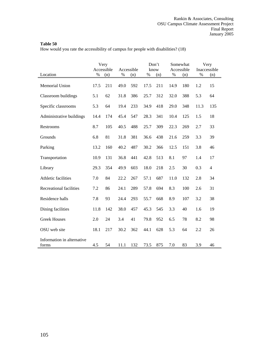How would you rate the accessibility of campus for people with disabilities? (18)

|                                     |      | Very<br>Accessible | Accessible |     |      | Don't<br>know |      | Somewhat<br>Accessible |      | Very<br>Inaccessible |
|-------------------------------------|------|--------------------|------------|-----|------|---------------|------|------------------------|------|----------------------|
| Location                            | $\%$ | (n)                | %          | (n) | %    | (n)           | $\%$ | (n)                    | $\%$ | (n)                  |
| Memorial Union                      | 17.5 | 211                | 49.0       | 592 | 17.5 | 211           | 14.9 | 180                    | 1.2  | 15                   |
| Classroom buildings                 | 5.1  | 62                 | 31.8       | 386 | 25.7 | 312           | 32.0 | 388                    | 5.3  | 64                   |
| Specific classrooms                 | 5.3  | 64                 | 19.4       | 233 | 34.9 | 418           | 29.0 | 348                    | 11.3 | 135                  |
| Administrative buildings            | 14.4 | 174                | 45.4       | 547 | 28.3 | 341           | 10.4 | 125                    | 1.5  | 18                   |
| Restrooms                           | 8.7  | 105                | 40.5       | 488 | 25.7 | 309           | 22.3 | 269                    | 2.7  | 33                   |
| Grounds                             | 6.8  | 81                 | 31.8       | 381 | 36.6 | 438           | 21.6 | 259                    | 3.3  | 39                   |
| Parking                             | 13.2 | 160                | 40.2       | 487 | 30.2 | 366           | 12.5 | 151                    | 3.8  | 46                   |
| Transportation                      | 10.9 | 131                | 36.8       | 441 | 42.8 | 513           | 8.1  | 97                     | 1.4  | 17                   |
| Library                             | 29.3 | 354                | 49.9       | 603 | 18.0 | 218           | 2.5  | 30                     | 0.3  | 4                    |
| Athletic facilities                 | 7.0  | 84                 | 22.2       | 267 | 57.1 | 687           | 11.0 | 132                    | 2.8  | 34                   |
| Recreational facilities             | 7.2  | 86                 | 24.1       | 289 | 57.8 | 694           | 8.3  | 100                    | 2.6  | 31                   |
| Residence halls                     | 7.8  | 93                 | 24.4       | 293 | 55.7 | 668           | 8.9  | 107                    | 3.2  | 38                   |
| Dining facilities                   | 11.8 | 142                | 38.0       | 457 | 45.3 | 545           | 3.3  | 40                     | 1.6  | 19                   |
| <b>Greek Houses</b>                 | 2.0  | 24                 | 3.4        | 41  | 79.8 | 952           | 6.5  | 78                     | 8.2  | 98                   |
| OSU web site                        | 18.1 | 217                | 30.2       | 362 | 44.1 | 628           | 5.3  | 64                     | 2.2  | 26                   |
| Information in alternative<br>forms | 4.5  | 54                 | 11.1       | 132 | 73.5 | 875           | 7.0  | 83                     | 3.9  | 46                   |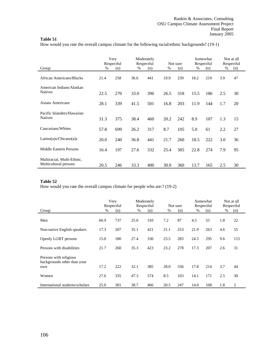How would you rate the overall campus climate for the following racial/ethnic backgrounds? (19-1)

|                                                     |      | Very<br>Respectful |      | Moderately<br>Respectful |      | Not sure |      | Somewhat<br>Respectful |     | Not at all<br>Respectful |
|-----------------------------------------------------|------|--------------------|------|--------------------------|------|----------|------|------------------------|-----|--------------------------|
| Group                                               | %    | (n)                | %    | (n)                      | %    | (n)      | %    | (n)                    | %   | (n)                      |
| African Americans/Blacks                            | 21.4 | 258                | 36.6 | 441                      | 19.9 | 239      | 18.2 | 219                    | 3.9 | 47                       |
| American Indians/Alaskan<br><b>Natives</b>          | 22.5 | 270                | 33.0 | 396                      | 26.5 | 318      | 15.5 | 186                    | 2.5 | 30                       |
| Asians Americans                                    | 28.1 | 339                | 41.5 | 501                      | 16.8 | 203      | 11.9 | 144                    | 1.7 | 20                       |
| Pacific Islanders/Hawaiian<br><b>Natives</b>        | 31.3 | 375                | 38.4 | 460                      | 20.2 | 242      | 8.9  | 107                    | 1.3 | 15                       |
| Caucasians/Whites                                   | 57.8 | 699                | 26.2 | 317                      | 8.7  | 105      | 5.0  | 61                     | 2.2 | 27                       |
| Latino(a)s/Chicano(a)s                              | 20.0 | 240                | 36.8 | 441                      | 21.7 | 260      | 18.5 | 222                    | 3.0 | 36                       |
| <b>Middle Eastern Persons</b>                       | 16.4 | 197                | 27.6 | 332                      | 25.4 | 305      | 22.8 | 274                    | 7.9 | 95                       |
| Multiracial, Multi-Ethnic,<br>Multicultural persons | 20.5 | 246                | 33.3 | 400                      | 30.0 | 360      | 13.7 | 165                    | 2.5 | 30                       |

## **Table 52**

How would you rate the overall campus climate for people who are:? (19-2)

| Group                                                        | $\%$ | Very<br>Respectful<br>(n) | Moderately<br>Respectful<br>$\%$<br>(n) |     | Not sure<br>%<br>(n) |     | Somewhat<br>Respectful<br>$\%$<br>(n) |     | Respectful<br>% | Not at all<br>(n) |
|--------------------------------------------------------------|------|---------------------------|-----------------------------------------|-----|----------------------|-----|---------------------------------------|-----|-----------------|-------------------|
|                                                              |      |                           |                                         |     |                      |     |                                       |     |                 |                   |
| Men                                                          | 60.9 | 737                       | 25.6                                    | 310 | 7.2                  | 87  | 4.5                                   | 55  | 1.8             | 22                |
| Non-native English speakers                                  | 17.3 | 207                       | 35.1                                    | 421 | 21.1                 | 253 | 21.9                                  | 263 | 4.6             | 55                |
| Openly LGBT persons                                          | 15.0 | 180                       | 27.4                                    | 330 | 23.5                 | 283 | 24.5                                  | 295 | 9.6             | 115               |
| Persons with disabilities                                    | 21.7 | 260                       | 35.3                                    | 423 | 23.2                 | 278 | 17.3                                  | 207 | 2.6             | 31                |
| Persons with religious<br>backgrounds other than your<br>own | 17.2 | 222                       | 32.1                                    | 385 | 28.0                 | 336 | 17.8                                  | 214 | 3.7             | 44                |
| Women                                                        | 27.6 | 335                       | 47.3                                    | 574 | 8.5                  | 103 | 14.1                                  | 171 | 2.5             | 30                |
| International students/scholars                              | 25.0 | 301                       | 38.7                                    | 466 | 20.5                 | 247 | 14.0                                  | 168 | 1.8             | 2                 |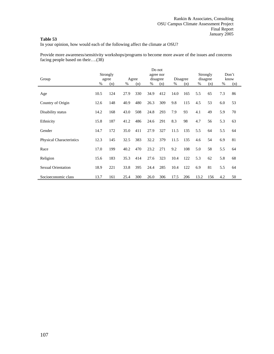In your opinion, how would each of the following affect the climate at OSU?

Provide more awareness/sensitivity workshops/programs to become more aware of the issues and concerns facing people based on their….(38)

|                                 |      |          |      |       |      | Do not    |      |          |      |          |     |       |
|---------------------------------|------|----------|------|-------|------|-----------|------|----------|------|----------|-----|-------|
|                                 |      | Strongly |      |       |      | agree nor |      |          |      | Strongly |     | Don't |
| Group                           |      | agree    |      | Agree |      | disagree  |      | Disagree |      | disagree |     | know  |
|                                 | %    | (n)      | %    | (n)   | %    | (n)       | %    | (n)      | %    | (n)      | %   | (n)   |
| Age                             | 10.5 | 124      | 27.9 | 330   | 34.9 | 412       | 14.0 | 165      | 5.5  | 65       | 7.3 | 86    |
| Country of Origin               | 12.6 | 148      | 40.9 | 480   | 26.3 | 309       | 9.8  | 115      | 4.5  | 53       | 6.0 | 53    |
| Disability status               | 14.2 | 168      | 43.0 | 508   | 24.8 | 293       | 7.9  | 93       | 4.1  | 49       | 5.9 | 70    |
| Ethnicity                       | 15.8 | 187      | 41.2 | 486   | 24.6 | 291       | 8.3  | 98       | 4.7  | 56       | 5.3 | 63    |
| Gender                          | 14.7 | 172      | 35.0 | 411   | 27.9 | 327       | 11.5 | 135      | 5.5  | 64       | 5.5 | 64    |
| <b>Physical Characteristics</b> | 12.3 | 145      | 32.5 | 383   | 32.2 | 379       | 11.5 | 135      | 4.6  | 54       | 6.9 | 81    |
| Race                            | 17.0 | 199      | 40.2 | 470   | 23.2 | 271       | 9.2  | 108      | 5.0  | 58       | 5.5 | 64    |
| Religion                        | 15.6 | 183      | 35.3 | 414   | 27.6 | 323       | 10.4 | 122      | 5.3  | 62       | 5.8 | 68    |
| <b>Sexual Orientation</b>       | 18.9 | 221      | 33.8 | 395   | 24.4 | 285       | 10.4 | 122      | 6.9  | 81       | 5.5 | 64    |
| Socioeconomic class             | 13.7 | 161      | 25.4 | 300   | 26.0 | 306       | 17.5 | 206      | 13.2 | 156      | 4.2 | 50    |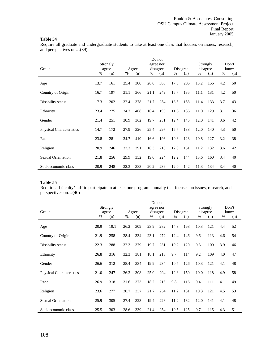Require all graduate and undergraduate students to take at least one class that focuses on issues, research, and perspectives on…(39)

| Group                           |      | Strongly<br>agree |      | Agree |      | Do not<br>agree nor<br>disagree |      | Disagree |      | Strongly<br>disagree |     | Don't<br>know |
|---------------------------------|------|-------------------|------|-------|------|---------------------------------|------|----------|------|----------------------|-----|---------------|
|                                 | %    | (n)               | %    | (n)   | %    | (n)                             | %    | (n)      | %    | (n)                  | %   | (n)           |
| Age                             | 13.7 | 161               | 25.4 | 300   | 26.0 | 306                             | 17.5 | 206      | 13.2 | 156                  | 4.2 | 50            |
| Country of Origin               | 16.7 | 197               | 31.1 | 366   | 21.1 | 249                             | 15.7 | 185      | 11.1 | 131                  | 4.2 | 50            |
| Disability status               | 17.3 | 202               | 32.4 | 378   | 21.7 | 254                             | 13.5 | 158      | 11.4 | 133                  | 3.7 | 43            |
| Ethnicity                       | 23.4 | 275               | 34.7 | 408   | 16.4 | 193                             | 11.6 | 136      | 11.0 | 129                  | 3.1 | 36            |
| Gender                          | 21.4 | 251               | 30.9 | 362   | 19.7 | 231                             | 12.4 | 145      | 12.0 | 141                  | 3.6 | 42            |
| <b>Physical Characteristics</b> | 14.7 | 172               | 27.9 | 326   | 25.4 | 297                             | 15.7 | 183      | 12.0 | 140                  | 4.3 | 50            |
| Race                            | 23.8 | 281               | 34.7 | 410   | 16.6 | 196                             | 10.8 | 128      | 10.8 | 127                  | 3.2 | 38            |
| Religion                        | 20.9 | 246               | 33.2 | 391   | 18.3 | 216                             | 12.8 | 151      | 11.2 | 132                  | 3.6 | 42            |
| <b>Sexual Orientation</b>       | 21.8 | 256               | 29.9 | 352   | 19.0 | 224                             | 12.2 | 144      | 13.6 | 160                  | 3.4 | 40            |
| Socioeconomic class             | 20.9 | 248               | 32.3 | 383   | 20.2 | 239                             | 12.0 | 142      | 11.3 | 134                  | 3.4 | 40            |

# **Table 55**

Require all faculty/staff to participate in at least one program annually that focuses on issues, research, and perspectives on…(40)

|                                 |      |          |      |       |      | Do not    |      |          |      |          |     |       |
|---------------------------------|------|----------|------|-------|------|-----------|------|----------|------|----------|-----|-------|
|                                 |      | Strongly |      |       |      | agree nor |      |          |      | Strongly |     | Don't |
| Group                           |      | agree    |      | Agree |      | disagree  |      | Disagree |      | disagree |     | know  |
|                                 | $\%$ | (n)      | %    | (n)   | %    | (n)       | %    | (n)      | %    | (n)      | %   | (n)   |
| Age                             | 20.9 | 19.1     | 26.2 | 309   | 23.9 | 282       | 14.3 | 168      | 10.3 | 121      | 4.4 | 52    |
| Country of Origin               | 21.9 | 258      | 28.4 | 334   | 23.1 | 272       | 12.4 | 146      | 9.6  | 113      | 4.6 | 54    |
| Disability status               | 22.3 | 288      | 32.3 | 379   | 19.7 | 231       | 10.2 | 120      | 9.3  | 109      | 3.9 | 46    |
| Ethnicity                       | 26.8 | 316      | 32.3 | 381   | 18.1 | 213       | 9.7  | 114      | 9.2  | 109      | 4.0 | 47    |
| Gender                          | 26.6 | 312      | 28.4 | 334   | 19.9 | 234       | 10.7 | 126      | 10.3 | 121      | 4.1 | 48    |
| <b>Physical Characteristics</b> | 21.0 | 247      | 26.2 | 308   | 25.0 | 294       | 12.8 | 150      | 10.0 | 118      | 4.9 | 58    |
| Race                            | 26.9 | 318      | 31.6 | 373   | 18.2 | 215       | 9.8  | 116      | 9.4  | 111      | 4.1 | 49    |
| Religion                        | 23.6 | 277      | 28.7 | 337   | 21.7 | 254       | 11.2 | 131      | 10.3 | 121      | 4.5 | 53    |
| <b>Sexual Orientation</b>       | 25.9 | 305      | 27.4 | 323   | 19.4 | 228       | 11.2 | 132      | 12.0 | 141      | 4.1 | 48    |
| Socioeconomic class             | 25.5 | 303      | 28.6 | 339   | 21.4 | 254       | 10.5 | 125      | 9.7  | 115      | 4.3 | 51    |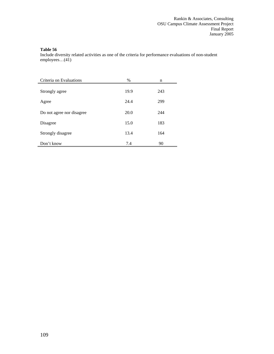Include diversity related activities as one of the criteria for performance evaluations of non-student employees…(41)

| Criteria on Evaluations   | $\%$ | n   |
|---------------------------|------|-----|
| Strongly agree            | 19.9 | 243 |
| Agree                     | 24.4 | 299 |
| Do not agree nor disagree | 20.0 | 244 |
| Disagree                  | 15.0 | 183 |
| Strongly disagree         | 13.4 | 164 |
| Don't know                | 7.4  | 90  |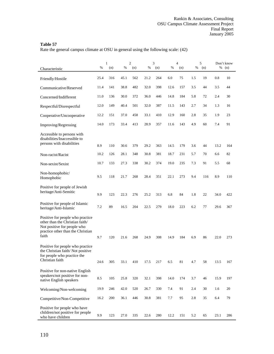Rate the general campus climate at OSU in general using the following scale: (42)

|                                                                                                                                                  | %    | $\mathbf{1}$<br>(n) | %    | $\mathfrak{2}$<br>(n) | %    | 3<br>(n) | %    | $\overline{4}$<br>(n) | %   | 5<br>(n) | %    | Don't know<br>(n) |
|--------------------------------------------------------------------------------------------------------------------------------------------------|------|---------------------|------|-----------------------|------|----------|------|-----------------------|-----|----------|------|-------------------|
| Characteristic                                                                                                                                   |      |                     |      |                       |      |          |      |                       |     |          |      |                   |
| Friendly/Hostile                                                                                                                                 | 25.4 | 316                 | 45.1 | 562                   | 21.2 | 264      | 6.0  | 75                    | 1.5 | 19       | 0.8  | 10                |
| Communicative/Reserved                                                                                                                           | 11.4 | 141                 | 38.8 | 482                   | 32.0 | 398      | 12.6 | 157                   | 3.5 | 44       | 3.5  | 44                |
| Concerned/Indifferent                                                                                                                            | 11.0 | 136                 | 30.0 | 372                   | 36.0 | 446      | 14.8 | 184                   | 5.8 | 72       | 2.4  | 30                |
| Respectful/Disrespectful                                                                                                                         | 12.0 | 149                 | 40.4 | 501                   | 32.0 | 387      | 11.5 | 143                   | 2.7 | 34       | 1.3  | 16                |
| Cooperative/Uncooperative                                                                                                                        | 12.2 | 151                 | 37.0 | 458                   | 33.1 | 410      | 12.9 | 160                   | 2.8 | 35       | 1.9  | 23                |
| Improving/Regressing                                                                                                                             | 14.0 | 173                 | 33.4 | 413                   | 28.9 | 357      | 11.6 | 143                   | 4.9 | 60       | 7.4  | 91                |
| Accessible to persons with<br>disabilities/Inaccessible to<br>persons with disabilities                                                          | 8.9  | 110                 | 30.6 | 379                   | 29.2 | 363      | 14.5 | 179                   | 3.6 | 44       | 13.2 | 164               |
| Non-racist/Racist                                                                                                                                | 10.2 | 126                 | 28.1 | 348                   | 30.8 | 381      | 18.7 | 231                   | 5.7 | 70       | 6.6  | 82                |
| Non-sexist/Sexist                                                                                                                                | 10.7 | 133                 | 27.3 | 338                   | 30.2 | 374      | 19.0 | 235                   | 7.3 | 91       | 5.5  | 68                |
| Non-homophobic/<br>Homophobic                                                                                                                    | 9.5  | 118                 | 21.7 | 268                   | 28.4 | 351      | 22.1 | 273                   | 9.4 | 116      | 8.9  | 110               |
| Positive for people of Jewish<br>heritage/Anti-Semitic                                                                                           | 9.9  | 123                 | 22.3 | 276                   | 25.2 | 313      | 6.8  | 84                    | 1.8 | 22       | 34.0 | 422               |
| Positive for people of Islamic<br>heritage/Anti-Islamic                                                                                          | 7.2  | 89                  | 16.5 | 204                   | 22.5 | 279      | 18.0 | 223                   | 6.2 | 77       | 29.6 | 367               |
| Positive for people who practice<br>other than the Christian faith/<br>Not positive for people who<br>practice other than the Christian<br>faith | 9.7  | 120                 | 21.6 | 268                   | 24.9 | 308      | 14.9 | 184                   | 6.9 | 86       | 22.0 | 273               |
| Positive for people who practice<br>the Christian faith/Not positive<br>for people who practice the<br>Christian faith                           | 24.6 | 305                 | 33.1 | 410                   | 17.5 | 217      | 6.5  | 81                    | 4.7 | 58       | 13.5 | 167               |
| Positive for non-native English<br>speakers/not positive for non-<br>native English speakers                                                     | 8.5  | 105                 | 25.8 | 320                   | 32.1 | 398      | 14.0 | 174                   | 3.7 | 46       | 15.9 | 197               |
| Welcoming/Non-welcoming                                                                                                                          | 19.9 | 246                 | 42.0 | 520                   | 26.7 | 330      | 7.4  | 91                    | 2.4 | 30       | 1.6  | 20                |
| Competitive/Non-Competitive                                                                                                                      | 16.2 | 200                 | 36.1 | 446                   | 30.8 | 381      | 7.7  | 95                    | 2.8 | 35       | 6.4  | 79                |
| Positive for people who have<br>children/not positive for people<br>who have children                                                            | 9.9  | 123                 | 27.0 | 335                   | 22.6 | 280      | 12.2 | 151                   | 5.2 | 65       | 23.1 | 286               |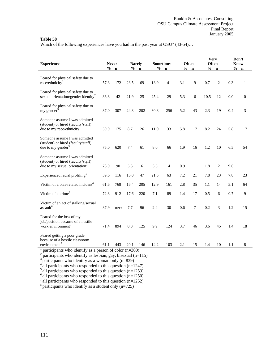Which of the following experiences have you had in the past year at OSU? (43-54)...

| <b>Experience</b>                                                                                                                                                            |               | <b>Never</b> |               | <b>Rarely</b> |      | <b>Sometimes</b> |      | <b>Often</b> | <b>Very</b><br>Often |                |               | Don't<br><b>Know</b> |
|------------------------------------------------------------------------------------------------------------------------------------------------------------------------------|---------------|--------------|---------------|---------------|------|------------------|------|--------------|----------------------|----------------|---------------|----------------------|
|                                                                                                                                                                              | $\frac{6}{6}$ | $\mathbf n$  | $\frac{6}{6}$ | $\mathbf n$   | %    | $\mathbf n$      | $\%$ | $\mathbf n$  | $\frac{0}{0}$        | $\mathbf n$    | $\frac{6}{6}$ | $\mathbf n$          |
| Feared for physical safety due to<br>race/ethnicity <sup>1</sup>                                                                                                             | 57.3          | 172          | 23.5          | 69            | 13.9 | 41               | 3.1  | 9            | 0.7                  | $\overline{c}$ | 0.3           | 1                    |
| Feared for physical safety due to<br>sexual orientation/gender identity <sup>2</sup>                                                                                         | 36.8          | 42           | 21.9          | 25            | 25.4 | 29               | 5.3  | 6            | 10.5                 | 12             | 0.0           | $\boldsymbol{0}$     |
| Feared for physical safety due to<br>my gender <sup>3</sup>                                                                                                                  | 37.0          | 307          | 24.3          | 202           | 30.8 | 256              | 5.2  | 43           | 2.3                  | 19             | 0.4           | 3                    |
| Someone assume I was admitted<br>(student) or hired (faculty/staff)<br>due to my race/ethnicity <sup>1</sup>                                                                 | 59.9          | 175          | 8.7           | 26            | 11.0 | 33               | 5.8  | 17           | 8.2                  | 24             | 5.8           | 17                   |
| Someone assume I was admitted<br>(student) or hired (faculty/staff)<br>due to my gender $3$                                                                                  | 75.0          | 620          | 7.4           | 61            | 8.0  | 66               | 1.9  | 16           | 1.2                  | 10             | 6.5           | 54                   |
| Someone assume I was admitted<br>(student) or hired (faculty/staff)<br>due to my sexual orientation <sup>2</sup>                                                             | 78.9          | 90           | 5.3           | 6             | 3.5  | 4                | 0.9  | $\mathbf{1}$ | 1.8                  | 2              | 9.6           | 11                   |
| Experienced racial profiling <sup>1</sup>                                                                                                                                    | 39.6          | 116          | 16.0          | 47            | 21.5 | 63               | 7.2  | 21           | 7.8                  | 23             | 7.8           | 23                   |
| Victim of a bias-related incident <sup>4</sup>                                                                                                                               | 61.6          | 768          | 16.4          | 205           | 12.9 | 161              | 2.8  | 35           | 1.1                  | 14             | 5.1           | 64                   |
| Victim of a crime <sup>5</sup>                                                                                                                                               | 72.8          | 912          | 17.6          | 220           | 7.1  | 89               | 1.4  | 17           | 0.5                  | 6              | 0.7           | 9                    |
| Victim of an act of stalking/sexual<br>assault <sup>6</sup>                                                                                                                  | 87.9          | 1099         | 7.7           | 96            | 2.4  | 30               | 0.6  | 7            | 0.2                  | 3              | 1.2           | 15                   |
| Feared for the loss of my<br>job/position because of a hostile<br>work environment <sup>7</sup>                                                                              | 71.4          | 894          | 0.0           | 125           | 9.9  | 124              | 3.7  | 46           | 3.6                  | 45             | 1.4           | 18                   |
| Feared getting a poor grade<br>because of a hostile classroom<br>environment <sup>8</sup>                                                                                    | 61.1          | 443          | 20.1          | 146           | 14.2 | 103              | 2.1  | 15           | 1.4                  | 10             | 1.1           | 8                    |
| participants who identify as a person of color $(n=300)$<br>participants who identify as lesbian, gay, bisexual (n=115)<br>participants who identify as a woman only (n=839) |               |              |               |               |      |                  |      |              |                      |                |               |                      |

 $4^4$  all participants who responded to this question (n=1247)

 $\frac{5}{10}$  all participants who responded to this question (n=1253)

 $6$  all participants who responded to this question (n=1250)

 $^7$  all participants who responded to this question (n=1252)

 $8$  participants who identify as a student only (n=725)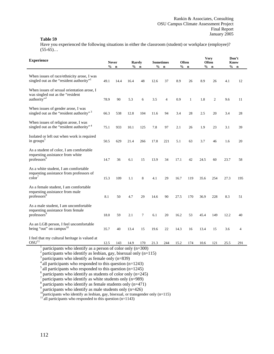Have you experienced the following situations in either the classroom (student) or workplace (employee)?  $(55-65)...$ 

| <b>Experience</b>                                                                                                                                                                                                                                 |      | <b>Never</b> | Rarely |             |      | <b>Sometimes</b> |      | <b>Often</b> | <b>Very</b> | <b>Often</b>   | Don't<br><b>Know</b> |     |
|---------------------------------------------------------------------------------------------------------------------------------------------------------------------------------------------------------------------------------------------------|------|--------------|--------|-------------|------|------------------|------|--------------|-------------|----------------|----------------------|-----|
|                                                                                                                                                                                                                                                   | $\%$ | $\mathbf n$  | $\%$   | $\mathbf n$ | $\%$ | $\mathbf n$      | $\%$ | $\mathbf n$  | $\%$        | $\mathbf n$    | $%$ n                |     |
| When issues of race/ethnicity arose, I was<br>singled out as the "resident authority" <sup>1</sup>                                                                                                                                                | 49.1 | 14.4         | 16.4   | 48          | 12.6 | 37               | 8.9  | 26           | 8.9         | 26             | 4.1                  | 12  |
| When issues of sexual orientation arose, I<br>was singled out as the "resident"<br>authority" <sup>2</sup>                                                                                                                                        | 78.9 | 90           | 5.3    | 6           | 3.5  | 4                | 0.9  | $\mathbf{1}$ | 1.8         | $\mathfrak{2}$ | 9.6                  | 11  |
| When issues of gender arose, I was<br>singled out as the "resident authority" <sup>3</sup>                                                                                                                                                        | 66.3 | 538          | 12.8   | 104         | 11.6 | 94               | 3.4  | $28\,$       | 2.5         | 20             | 3.4                  | 28  |
| When issues of religion arose, I was<br>singled out as the "resident authority" <sup>4</sup>                                                                                                                                                      | 75.1 | 933          | 10.1   | 125         | 7.8  | 97               | 2.1  | 26           | 1.9         | 23             | 3.1                  | 39  |
| Isolated or left out when work is required<br>in groups <sup>5</sup>                                                                                                                                                                              | 50.5 | 629          | 21.4   | 266         | 17.8 | 221              | 5.1  | 63           | 3.7         | 46             | 1.6                  | 20  |
| As a student of color, I am comfortable<br>requesting assistance from white<br>professors <sup>6</sup>                                                                                                                                            | 14.7 | 36           | 6.1    | 15          | 13.9 | 34               | 17.1 | 42           | 24.5        | 60             | 23.7                 | 58  |
| As a white student, I am comfortable<br>requesting assistance from professors of<br>color'                                                                                                                                                        | 15.3 | 109          | 1.1    | 8           | 4.1  | 29               | 16.7 | 119          | 35.6        | 254            | 27.3                 | 195 |
| As a female student, I am comfortable<br>requesting assistance from male<br>professors <sup>8</sup>                                                                                                                                               | 8.1  | 50           | 4.7    | 29          | 14.6 | 90               | 27.5 | 170          | 36.9        | 228            | 8.3                  | 51  |
| As a male student, I am uncomfortable<br>requesting assistance from female<br>professors <sup>9</sup>                                                                                                                                             | 18.0 | 59           | 2.1    | $\tau$      | 6.1  | 20               | 16.2 | 53           | 45.4        | 149            | 12.2                 | 40  |
| As an LGB person, I feel uncomfortable<br>being "out" on campus <sup>10</sup>                                                                                                                                                                     | 35.7 | 40           | 13.4   | 15          | 19.6 | 22               | 14.3 | 16           | 13.4        | 15             | 3.6                  | 4   |
| I feel that my cultural heritage is valued at<br>OSU <sup>11</sup>                                                                                                                                                                                | 12.5 | 143          | 14.9   | 170         | 21.3 | 244              | 15.2 | 174          | 10.6        | 121            | 25.5                 | 291 |
| participants who identify as a person of color only (n=300)<br>participants who identify as lesbian, gay, bisexual only (n=115)<br>participants who identify as female only (n=839)<br>all participants who responded to this question $(n=1243)$ |      |              |        |             |      |                  |      |              |             |                |                      |     |

 $5$  all participants who responded to this question (n=1245)

 $6$  participants who identify as students of color only (n=245)

<sup>7</sup> participants who identify as white students only (n=989) <sup>8</sup> participants who identify as female students only (n=471)

 $9^9$  participants who identify as male students only (n=426)

<sup>10</sup>participants who identify as lesbian, gay, bisexual, or transgender only (n=115) <sup>11</sup> all participants who responded to this question (n=1143)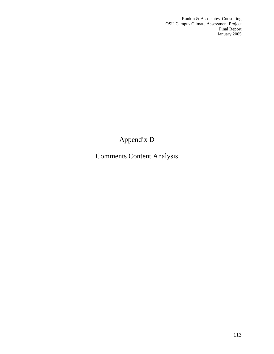Rankin & Associates, Consulting OSU Campus Climate Assessment Project **Final Report** January 2005

# Appendix D

# Comments Content Analysis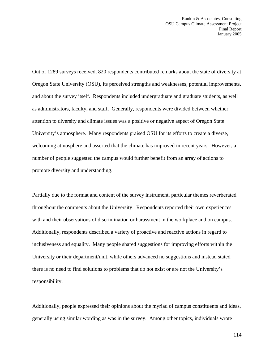Out of 1289 surveys received, 820 respondents contributed remarks about the state of diversity at Oregon State University (OSU), its perceived strengths and weaknesses, potential improvements, and about the survey itself. Respondents included undergraduate and graduate students, as well as administrators, faculty, and staff. Generally, respondents were divided between whether attention to diversity and climate issues was a positive or negative aspect of Oregon State University's atmosphere. Many respondents praised OSU for its efforts to create a diverse, welcoming atmosphere and asserted that the climate has improved in recent years. However, a number of people suggested the campus would further benefit from an array of actions to promote diversity and understanding.

Partially due to the format and content of the survey instrument, particular themes reverberated throughout the comments about the University. Respondents reported their own experiences with and their observations of discrimination or harassment in the workplace and on campus. Additionally, respondents described a variety of proactive and reactive actions in regard to inclusiveness and equality. Many people shared suggestions for improving efforts within the University or their department/unit, while others advanced no suggestions and instead stated there is no need to find solutions to problems that do not exist or are not the University's responsibility.

Additionally, people expressed their opinions about the myriad of campus constituents and ideas, generally using similar wording as was in the survey. Among other topics, individuals wrote

114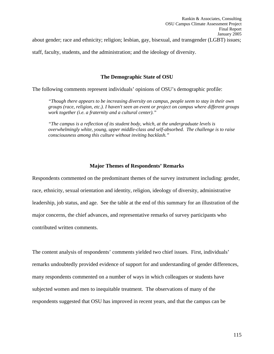staff, faculty, students, and the administration; and the ideology of diversity.

# **The Demographic State of OSU**

The following comments represent individuals' opinions of OSU's demographic profile:

*"Though there appears to be increasing diversity on campus, people seem to stay in their own groups (race, religion, etc.). I haven't seen an event or project on campus where different groups work together (i.e. a fraternity and a cultural center)."* 

*"The campus is a reflection of its student body, which, at the undergraduate levels is overwhelmingly white, young, upper middle-class and self-absorbed. The challenge is to raise consciousness among this culture without inviting backlash."*

# **Major Themes of Respondents' Remarks**

Respondents commented on the predominant themes of the survey instrument including: gender, race, ethnicity, sexual orientation and identity, religion, ideology of diversity, administrative leadership, job status, and age. See the table at the end of this summary for an illustration of the major concerns, the chief advances, and representative remarks of survey participants who contributed written comments.

The content analysis of respondents' comments yielded two chief issues. First, individuals' remarks undoubtedly provided evidence of support for and understanding of gender differences, many respondents commented on a number of ways in which colleagues or students have subjected women and men to inequitable treatment. The observations of many of the respondents suggested that OSU has improved in recent years, and that the campus can be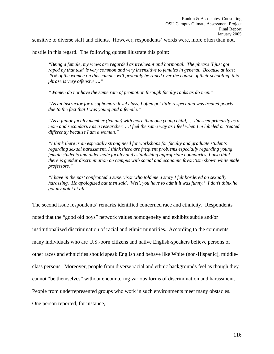sensitive to diverse staff and clients. However, respondents' words were, more often than not,

hostile in this regard. The following quotes illustrate this point:

*"Being a female, my views are regarded as irrelevant and hormonal. The phrase 'I just got raped by that test' is very common and very insensitive to females in general. Because at least 25% of the women on this campus will probably be raped over the course of their schooling, this phrase is very offensive…."* 

*"Women do not have the same rate of promotion through faculty ranks as do men."* 

*"As an instructor for a sophomore level class, I often got little respect and was treated poorly due to the fact that I was young and a female."* 

*"As a junior faculty member (female) with more than one young child, … I'm seen primarily as a mom and secondarily as a researcher. …I feel the same way as I feel when I'm labeled or treated differently because I am a woman."* 

*"I think there is an especially strong need for workshops for faculty and graduate students regarding sexual harassment. I think there are frequent problems especially regarding young female students and older male faculty and establishing appropriate boundaries. I also think there is gender discrimination on campus with social and economic favoritism shown white male professors."* 

*"I have in the past confronted a supervisor who told me a story I felt bordered on sexually harassing. He apologized but then said, 'Well, you have to admit it was funny.' I don't think he got my point at all."* 

The second issue respondents' remarks identified concerned race and ethnicity. Respondents noted that the "good old boys" network values homogeneity and exhibits subtle and/or institutionalized discrimination of racial and ethnic minorities. According to the comments, many individuals who are U.S.-born citizens and native English-speakers believe persons of other races and ethnicities should speak English and behave like White (non-Hispanic), middleclass persons. Moreover, people from diverse racial and ethnic backgrounds feel as though they cannot "be themselves" without encountering various forms of discrimination and harassment. People from underrepresented groups who work in such environments meet many obstacles. One person reported, for instance,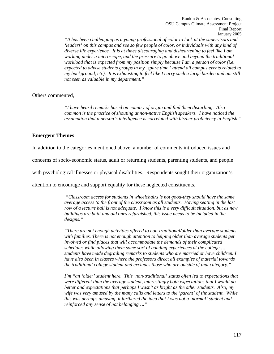*"It has been challenging as a young professional of color to look at the supervisors and 'leaders' on this campus and see so few people of color, or individuals with any kind of diverse life experience. It is at times discouraging and disheartening to feel like I am working under a microscope, and the pressure to go above and beyond the traditional workload that is expected from my position simply because I am a person of color (i.e. expected to advise students groups in my 'spare time,' attend all campus events related to my background, etc). It is exhausting to feel like I carry such a large burden and am still not seen as valuable in my department."* 

# Others commented,

*"I have heard remarks based on country of origin and find them disturbing. Also common is the practice of shouting at non-native English speakers. I have noticed the assumption that a person's intelligence is correlated with his/her proficiency in English."* 

# **Emergent Themes**

In addition to the categories mentioned above, a number of comments introduced issues and

concerns of socio-economic status, adult or returning students, parenting students, and people

with psychological illnesses or physical disabilities. Respondents sought their organization's

attention to encourage and support equality for these neglected constituents.

 *"Classroom access for students in wheelchairs is not good-they should have the same average access to the front of the classroom as all students. Having seating in the last row of a lecture hall is not adequate. I know this is a very difficult situation, but as new buildings are built and old ones refurbished, this issue needs to be included in the designs."* 

*"There are not enough activities offered to non-traditional/older than average students with families. There is not enough attention to helping older than average students get involved or find places that will accommodate the demands of their complicated schedules while allowing them some sort of bonding experiences at the college…. students have made degrading remarks to students who are married or have children. I have also been in classes where the professors direct all examples of material towards the traditional college student and excludes those who are outside of that category."* 

*I'm "an 'older' student here. This 'non-traditional' status often led to expectations that were different than the average student, interestingly both expectations that I would do better and expectations that perhaps I wasn't as bright as the other students. Also, my wife was very amused by the many calls and letters to the 'parent' of the student. While this was perhaps amusing, it furthered the idea that I was not a 'normal' student and reinforced any sense of not belonging…."*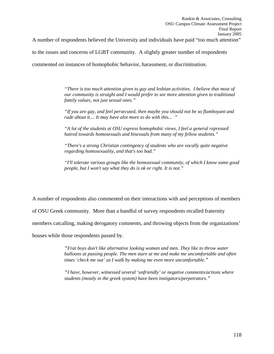A number of respondents believed the University and individuals have paid "too much attention"

to the issues and concerns of LGBT community. A slightly greater number of respondents

commented on instances of homophobic behavior, harassment, or discrimination.

*"There is too much attention given to gay and lesbian activities. I believe that most of our community is straight and I would prefer to see more attention given to traditional family values, not just sexual ones."* 

*"If you are gay, and feel persecuted, then maybe you should not be so flamboyant and rude about it.... It may have alot more to do with this... "* 

*"A lot of the students at OSU express homophobic views, I feel a general repressed hatred towards homosexuals and bisexuals from many of my fellow students."* 

*"There's a strong Christian contingency of students who are vocally quite negative regarding homosexuality, and that's too bad."* 

*"I'll tolerate various groups like the homosexual community, of which I know some good people, but I won't say what they do is ok or right. It is not."*

A number of respondents also commented on their interactions with and perceptions of members

of OSU Greek community. More than a handful of survey respondents recalled fraternity

members catcalling, making derogatory comments, and throwing objects from the organizations'

houses while those respondents passed by.

*"Frat boys don't like alternative looking woman and men. They like to throw water balloons at passing people. The men stare at me and make me uncomfortable and often times 'check me out' as I walk by making me even more uncomfortable."* 

*"I have, however, witnessed several 'unfriendly' or negative comments/actions where students (mostly in the greek system) have been instigators/perpetrators."*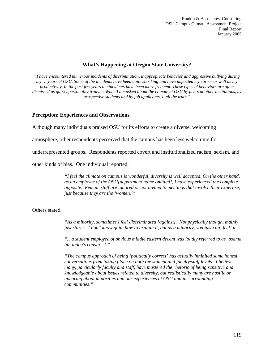# **What's Happening at Oregon State University?**

*"I have encountered numerous incidents of discrimination, inappropriate behavior and aggressive bullying during my … years at OSU. Some of the incidents have been quite shocking and have impacted my career as well as my productivity. In the past few years the incidents have been more frequent. These types of behaviors are often dismissed as quirky personality traits. …When I am asked about the climate at OSU by peers at other institutions, by prospective students and by job applicants, I tell the truth."* 

# **Perception: Experiences and Observations**

Although many individuals praised OSU for its efforts to create a diverse, welcoming

atmosphere, other respondents perceived that the campus has been less welcoming for

underrepresented groups. Respondents reported covert and institutionalized racism, sexism, and

other kinds of bias. One individual reported,

*"I feel the climate on campus is wonderful, diversity is well accepted. On the other hand, as an employee of the OSU[department name omitted], I have experienced the complete opposite. Female staff are ignored or not invited to meetings that involve their expertise, just because they are the 'women.'"* 

Others stated,

*"As a minority, sometimes I feel discriminated [against]. Not physically though, mainly just stares. I don't know quite how to explain it, but as a minority, you just can 'feel' it."* 

*"…a student employee of obvious middle eastern decent was loudly referred to as 'osama bin laden's cousin…'."* 

*"The campus approach of being 'politically correct' has actually inhibited some honest conversations from taking place on both the student and faculty/staff levels. I believe many, particularly faculty and staff, have mastered the rhetoric of being sensitive and knowledgeable about issues related to diversity, but realistically many are hostile or uncaring about minorities and our experiences at OSU and its surrounding communities."*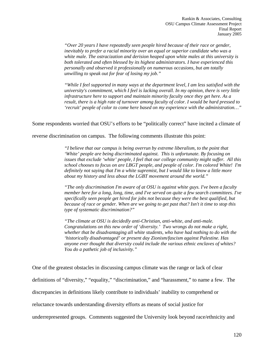*"Over 20 years I have repeatedly seen people hired because of their race or gender, inevitably to prefer a racial minority over an equal or superior candidate who was a white male. The ostracization and derision heaped upon white males at this university is both tolerated and often blessed by its highest administrators. I have experienced this personally and observed it professionally on numerous occasions, but am totally unwilling to speak out for fear of losing my job."* 

*"While I feel supported in many ways at the department level, I am less satisfied with the university's commitment, which I feel is lacking overall. In my opinion, there is very little infrastructure here to support and maintain minority faculty once they get here. As a result, there is a high rate of turnover among faculty of color. I would be hard pressed to 'recruit' people of color to come here based on my experience with the administration…"* 

Some respondents worried that OSU's efforts to be "politically correct" have incited a climate of

reverse discrimination on campus. The following comments illustrate this point:

*"I believe that our campus is being overrun by extreme liberalism, to the point that 'White' people are being discriminated against. This is unfortunate. By focusing on issues that exclude 'white' people, I feel that our college community might suffer. All this school chooses to focus on are LBGT people, and people of color. I'm colored White! I'm definitely not saying that I'm a white supremist, but I would like to know a little more about my history and less about the LGBT movement around the world."*

*"The only discrimination I'm aware of at OSU is against white guys. I've been a faculty member here for a long, long, time, and I've served on quite a few search committees. I've specifically seen people get hired for jobs not because they were the best qualified, but because of race or gender. When are we going to get past that? Isn't it time to stop this type of systematic discrimination?"* 

*"The climate at OSU is decidedly anti-Christian, anti-white, and anti-male. Congratulations on this new order of 'diversity.' Two wrongs do not make a right, whether that be disadvantaging all white students, who have had nothing to do with the 'historically disadvantaged' or present day Zionism/fascism against Palestine. Has anyone ever thought that diversity could include the various ethnic enclaves of whites? You do a pathetic job of inclusivity."*

One of the greatest obstacles in discussing campus climate was the range or lack of clear definitions of "diversity," "equality," "discrimination," and "harassment," to name a few. The discrepancies in definitions likely contribute to individuals' inability to comprehend or reluctance towards understanding diversity efforts as means of social justice for underrepresented groups. Comments suggested the University look beyond race/ethnicity and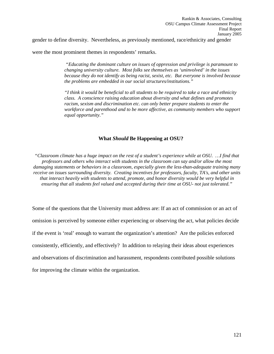gender to define diversity. Nevertheless, as previously mentioned, race/ethnicity and gender

were the most prominent themes in respondents' remarks.

 *"Educating the dominant culture on issues of oppression and privilege is paramount to changing university culture. Most folks see themselves as 'uninvolved' in the issues because they do not identify as being racist, sexist, etc. But everyone is involved because the problems are embedded in our social structures/institutions."* 

*"I think it would be beneficial to all students to be required to take a race and ethnicity class. A conscience raising education about diversity and what defines and promotes racism, sexism and discrimination etc. can only better prepare students to enter the workforce and parenthood and to be more affective, as community members who support equal opportunity."* 

## **What** *Should* **Be Happening at OSU?**

*"Classroom climate has a huge impact on the rest of a student's experience while at OSU. …I find that professors and others who interact with students in the classroom can say and/or allow the most damaging statements or behaviors in a classroom, especially given the less-than-adequate training many receive on issues surrounding diversity. Creating incentives for professors, faculty, TA's, and other units that interact heavily with students to attend, promote, and honor diversity would be very helpful in ensuring that all students feel valued and accepted during their time at OSU- not just tolerated."* 

Some of the questions that the University must address are: If an act of commission or an act of omission is perceived by someone either experiencing or observing the act, what policies decide if the event is 'real' enough to warrant the organization's attention? Are the policies enforced consistently, efficiently, and effectively? In addition to relaying their ideas about experiences and observations of discrimination and harassment, respondents contributed possible solutions for improving the climate within the organization.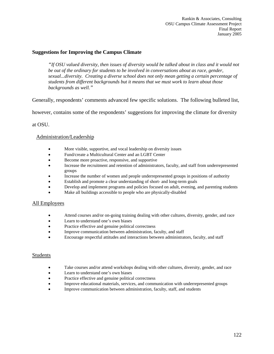# **Suggestions for Improving the Campus Climate**

*"If OSU valued diversity, then issues of diversity would be talked about in class and it would not be out of the ordinary for students to be involved in conversations about as race, gender, sexual...diversity. Creating a diverse school does not only mean getting a certain percentage of students from different backgrounds but it means that we must work to learn about those backgrounds as well."* 

Generally, respondents' comments advanced few specific solutions. The following bulleted list,

however, contains some of the respondents' suggestions for improving the climate for diversity

at OSU.

# Administration/Leadership

- More visible, supportive, and vocal leadership on diversity issues
- Fund/create a Multicultural Center and an LGBT Center
- Become more proactive, responsive, and supportive
- Increase the recruitment and retention of administrators, faculty, and staff from underrepresented groups
- Increase the number of women and people underrepresented groups in positions of authority
- Establish and promote a clear understanding of short- and long-term goals
- Develop and implement programs and policies focused on adult, evening, and parenting students
- Make all buildings accessible to people who are physically-disabled

## All Employees

- Attend courses and/or on-going training dealing with other cultures, diversity, gender, and race
- Learn to understand one's own biases
- Practice effective and genuine political correctness
- Improve communication between administration, faculty, and staff
- Encourage respectful attitudes and interactions between administrators, faculty, and staff

## **Students**

- Take courses and/or attend workshops dealing with other cultures, diversity, gender, and race
- Learn to understand one's own biases
- Practice effective and genuine political correctness
- Improve educational materials, services, and communication with underrepresented groups
- Improve communication between administration, faculty, staff, and students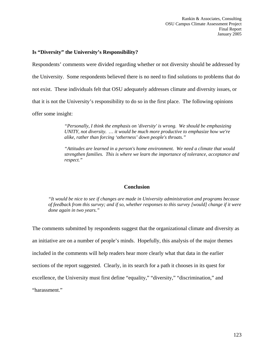# **Is "Diversity" the University's Responsibility?**

Respondents' comments were divided regarding whether or not diversity should be addressed by the University. Some respondents believed there is no need to find solutions to problems that do not exist. These individuals felt that OSU adequately addresses climate and diversity issues, or that it is not the University's responsibility to do so in the first place. The following opinions offer some insight:

> *"Personally, I think the emphasis on 'diversity' is wrong. We should be emphasizing UNITY, not diversity. … it would be much more productive to emphasize how we're alike, rather than forcing 'otherness' down people's throats."*

*"Attitudes are learned in a person's home environment. We need a climate that would strengthen families. This is where we learn the importance of tolerance, acceptance and respect."* 

# **Conclusion**

*"It would be nice to see if changes are made in University administration and programs because of feedback from this survey; and if so, whether responses to this survey [would] change if it were done again in two years."* 

The comments submitted by respondents suggest that the organizational climate and diversity as an initiative are on a number of people's minds. Hopefully, this analysis of the major themes included in the comments will help readers hear more clearly what that data in the earlier sections of the report suggested. Clearly, in its search for a path it chooses in its quest for excellence, the University must first define "equality," "diversity," "discrimination," and "harassment."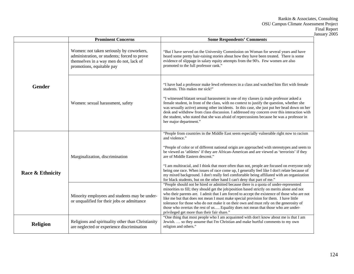|                  | <b>Prominent Concerns</b>                                                                                                                                                                                                           | <b>Some Respondents' Comments</b>                                                                                                                                                                                                                                                                                                                                                                                                                                                                                                                                                                              |
|------------------|-------------------------------------------------------------------------------------------------------------------------------------------------------------------------------------------------------------------------------------|----------------------------------------------------------------------------------------------------------------------------------------------------------------------------------------------------------------------------------------------------------------------------------------------------------------------------------------------------------------------------------------------------------------------------------------------------------------------------------------------------------------------------------------------------------------------------------------------------------------|
|                  | Women: not taken seriously by coworkers,<br>administration, or students; forced to prove<br>themselves in a way men do not, lack of<br>promotions, equitable pay                                                                    | "But I have served on the University Commission on Woman for several years and have<br>heard some pretty hair-raising stories about how they have been treated. There is some<br>evidence of slippage in salary equity attempts from the 90's. Few women are also<br>promoted to the full professor rank."                                                                                                                                                                                                                                                                                                     |
| Gender           | Women: sexual harassment, safety                                                                                                                                                                                                    | "I have had a professor make lewd references in a class and watched him flirt with female<br>students. This makes me sick!"<br>"I witnessed blatant sexual harassment in one of my classes (a male professor asked a<br>female student, in front of the class, with no context to justify the question, whether she<br>was sexually active) among other incidents. In this case, she just put her head down on her<br>desk and withdrew from class discussion. I addressed my concern over this interaction with<br>the student, who stated that she was afraid of repercussions because he was a professor in |
|                  |                                                                                                                                                                                                                                     | her major department."<br>"People from countries in the Middle East seem especially vulnerable right now to racism<br>and violence."<br>"People of color or of different national origin are approached with stereotypes and seem to<br>be viewed as 'athletes' if they are African-American and are viewed as 'terrorists' if they                                                                                                                                                                                                                                                                            |
| Race & Ethnicity | Marginalization, discrimination<br>Minority employees and students may be under-<br>or unqualified for their jobs or admittance<br>Religions and spirituality other than Christianity<br>are neglected or experience discrimination | are of Middle Eastern descent."<br>"I am multiracial, and I think that more often than not, people are focused on everyone only<br>being one race. When issues of race come up, I generally feel like I don't relate because of<br>my mixed background. I don't really feel comfortable being affiliated with an organization<br>for black students, but on the other hand I can't deny that part of me."                                                                                                                                                                                                      |
| <b>Religion</b>  |                                                                                                                                                                                                                                     | "People should not be hired or admitted because there is a quota of under-represented<br>minorities to fill; they should get the job/position based strictly on merits alone and not<br>who their parents are. I admit that I am forced to accept the existence of those who are not<br>like me but that does not mean I must make special provision for them. I have little<br>tolerance for those who do not make it on their own and must rely on the generosity of<br>those who overtax the rest of us Equality does not mean that those who are under-<br>privileged get more than their fair share."     |
|                  |                                                                                                                                                                                                                                     | "One thing that most people who I am acquainted with don't know about me is that I am<br>Jewish.  so they assume that I'm Christian and make hurtful comments to my own<br>religion and others."                                                                                                                                                                                                                                                                                                                                                                                                               |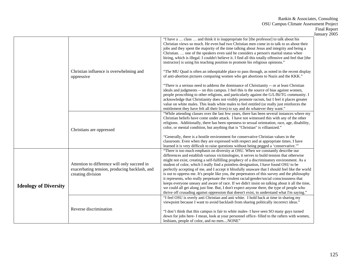|                              |                                                                                                                    |                                                                                                                                                                                                                                                                                                                                                                                                                                                                                                                                                                                                                                                                                                                                                                                                                                                                                                                                                                        | January 2005 |
|------------------------------|--------------------------------------------------------------------------------------------------------------------|------------------------------------------------------------------------------------------------------------------------------------------------------------------------------------------------------------------------------------------------------------------------------------------------------------------------------------------------------------------------------------------------------------------------------------------------------------------------------------------------------------------------------------------------------------------------------------------------------------------------------------------------------------------------------------------------------------------------------------------------------------------------------------------------------------------------------------------------------------------------------------------------------------------------------------------------------------------------|--------------|
|                              |                                                                                                                    | "I have a  class  and think it is inappropriate for [the professor] to talk about his<br>Christian views so much. He even had two Christian men come in to talk to us about their<br>jobs and they spent the majority of the time talking about Jesus and integrity and being a<br>Christian.  one of the speakers even said he considers a person's marital status when<br>hiring, which is illegal. I couldn't believe it. I find all this totally offensive and feel that [the<br>instructor] is using his teaching position to promote his religious opinions."                                                                                                                                                                                                                                                                                                                                                                                                    |              |
|                              | Christian influence is overwhelming and<br>oppressive                                                              | "The MU Quad is often an inhospitable place to pass through, as noted in the recent display<br>of anti-abortion pictures comparing women who get abortions to Nazis and the KKK."                                                                                                                                                                                                                                                                                                                                                                                                                                                                                                                                                                                                                                                                                                                                                                                      |              |
|                              |                                                                                                                    | "There is a serious need to address the dominance of Christianity -- or at least Christian<br>ideals and judgments -- on this campus. I feel this is the source of bias against women,<br>people proscribing to other religions, and particularly against the G/L/Bi/TG community. I<br>acknowledge that Christianity does not visibly promote racism, but I feel it places greater<br>value on white males. This leads white males to feel entitled (or really just reinforces the<br>entitlement they have felt all their lives) to say and do whatever they want."                                                                                                                                                                                                                                                                                                                                                                                                  |              |
|                              | Christians are oppressed                                                                                           | "While attending classes over the last few years, there has been several instances where my<br>Christian beliefs have come under attack. I have not witnessed this with any of the other<br>religions. Additionally, there has been openness to sexual orientation, race, age, disability,<br>color, or mental condition, but anything that is "Christian" is villianized."<br>"Generally, there is a hostile environment for conservative Christian values in the                                                                                                                                                                                                                                                                                                                                                                                                                                                                                                     |              |
|                              |                                                                                                                    | classroom. Even when they are expressed with respect and at appropriate times. I have<br>learned it is very difficult to raise questions without being pegged a 'conservative."                                                                                                                                                                                                                                                                                                                                                                                                                                                                                                                                                                                                                                                                                                                                                                                        |              |
| <b>Ideology of Diversity</b> | Attention to difference will only succeed in<br>exacerbating tension, producing backlash, and<br>creating division | "There is too much emphasis on diversity at OSU. When we constantly describe our<br>differences and establish various victimologies, it serves to build tension that otherwise<br>might not exist, creating a self-fulfilling prophecy of a discriminatory environment. As a<br>student of color, which I really find a pointless designation, I have found OSU to be<br>perfectly accepting of me, and I accept it blissfully unaware that I should feel like the world<br>is out to oppress me. It's people like you, the perpetrators of this survey and the philosophy<br>it represents, who really perpetuate the virulent racial/gender/social consciousness that<br>keeps everyone uneasy and aware of race. If we didn't insist on talking about it all the time,<br>we could all get along just fine. But, I don't expect anyone there, the type of people who<br>thrive off crusading against oppression that doesn't exist, to understand what I'm saying." |              |
|                              | Reverse discrimination                                                                                             | "I feel OSU is overly anti Christian and anti white. I hold back at time in sharing my<br>viewpoint because I want to avoid backlash from sharing politically incorrect ideas."<br>"I don't think that this campus is fair to white males- I have seen SO many guys turned<br>down for jobs here-I mean, look at your personnel office-filled to the rafters with women,<br>lesbians, people of color, and no menNONE"                                                                                                                                                                                                                                                                                                                                                                                                                                                                                                                                                 |              |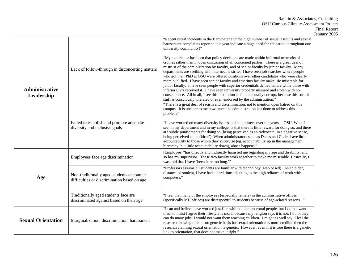|                              |                                                                                          |                                                                                                                                                                                                                                                                                                                                                                                                                                                                                                                                                                                                                                                                                                                                                                                                                                                                                                                                  | January 2005 |
|------------------------------|------------------------------------------------------------------------------------------|----------------------------------------------------------------------------------------------------------------------------------------------------------------------------------------------------------------------------------------------------------------------------------------------------------------------------------------------------------------------------------------------------------------------------------------------------------------------------------------------------------------------------------------------------------------------------------------------------------------------------------------------------------------------------------------------------------------------------------------------------------------------------------------------------------------------------------------------------------------------------------------------------------------------------------|--------------|
| Administrative<br>Leadership |                                                                                          | "Recent racial incidents in the Barometer and the high number of sexual assaults and sexual<br>harassment complaints reported this year indicate a huge need for education throughout our<br>university community!"                                                                                                                                                                                                                                                                                                                                                                                                                                                                                                                                                                                                                                                                                                              |              |
|                              | Lack of follow-through in disconcerting matters                                          | "My experience has been that policy decisions are made within informal networks of<br>cronies rather than in open discussion of all concerned parties. There is a great deal of<br>mistrust of the administration by faculty, and of senior faculty by junior faculty. Many<br>departments are seething with internecine strife. I have seen job searches where people<br>who got their PhD at OSU were offered positions over other candidates who were clearly<br>more qualified. I have seen senior faculty and emeritus faculty make life miserable for<br>junior faculty. I have seen people with superior credentials denied tenure while those with<br>inferior CV's received it. I have seen university property misused and stolen with no<br>consequence. All in all, I see this institution as fundamentally corrupt, because this sort of<br>stuff is consciously tolerated or even endorsed by the administration." |              |
|                              |                                                                                          | "There is a great deal of racism and discrimination, not to mention open hatred on this<br>campus. It is unclear to me how much the administration has done to address this<br>problem."                                                                                                                                                                                                                                                                                                                                                                                                                                                                                                                                                                                                                                                                                                                                         |              |
|                              | Failed to establish and promote adequate<br>diversity and inclusive goals                | "I have worked on many diversity issues and committees over the years at OSU. What I<br>see, in my department and in my college, is that there is little reward for doing so, and there<br>are subtle punishments for doing so (being perceived as an 'advocate' in a negative sense,<br>being perceived as 'political'). When administrators such as Deans and Chairs have little<br>accountability to those whom they supervise (eg. accountability up in the management<br>hierarchy, but little accountability down), abuse happens."                                                                                                                                                                                                                                                                                                                                                                                        |              |
| Age                          | Employees face age discrimination                                                        | [Employee] "has directly and indirectly harassed me regarding my age and disability, and<br>so has my supervisor. These two faculty work together to make me miserable. Basically, I<br>was told that I have 'been here too long."                                                                                                                                                                                                                                                                                                                                                                                                                                                                                                                                                                                                                                                                                               |              |
|                              | Non-traditionally aged students encounter<br>difficulties or discrimination based on age | "Professors assume all students are familiar with technology (web based). As an older,<br>distance ed student, I have had a hard time adjusting to the high reliance of work with<br>computers."                                                                                                                                                                                                                                                                                                                                                                                                                                                                                                                                                                                                                                                                                                                                 |              |
|                              | Traditionally aged students face are<br>discriminated against based on their age         | "I feel that many of the employees (especially female) in the administrative offices<br>(specifically MU offices) are disrespectful to students because of age-related reasons. "                                                                                                                                                                                                                                                                                                                                                                                                                                                                                                                                                                                                                                                                                                                                                |              |
| <b>Sexual Orientation</b>    | Marginalization, discrimination, harassment                                              | "I can and believe have worked just fine with non-heterosexual people, but I do not want<br>them to insist I agree their lifestyle is moral because my religion says it is not. I think they<br>can do many jobs; I would not want them teaching children. I might as well say, I feel the<br>research showing there is no genetic basis for sexual orientation is more credible then the<br>research claiming sexual orientation is genetic. However, even if it is true there is a genetic<br>link to orientation, that does not make it right."                                                                                                                                                                                                                                                                                                                                                                               |              |